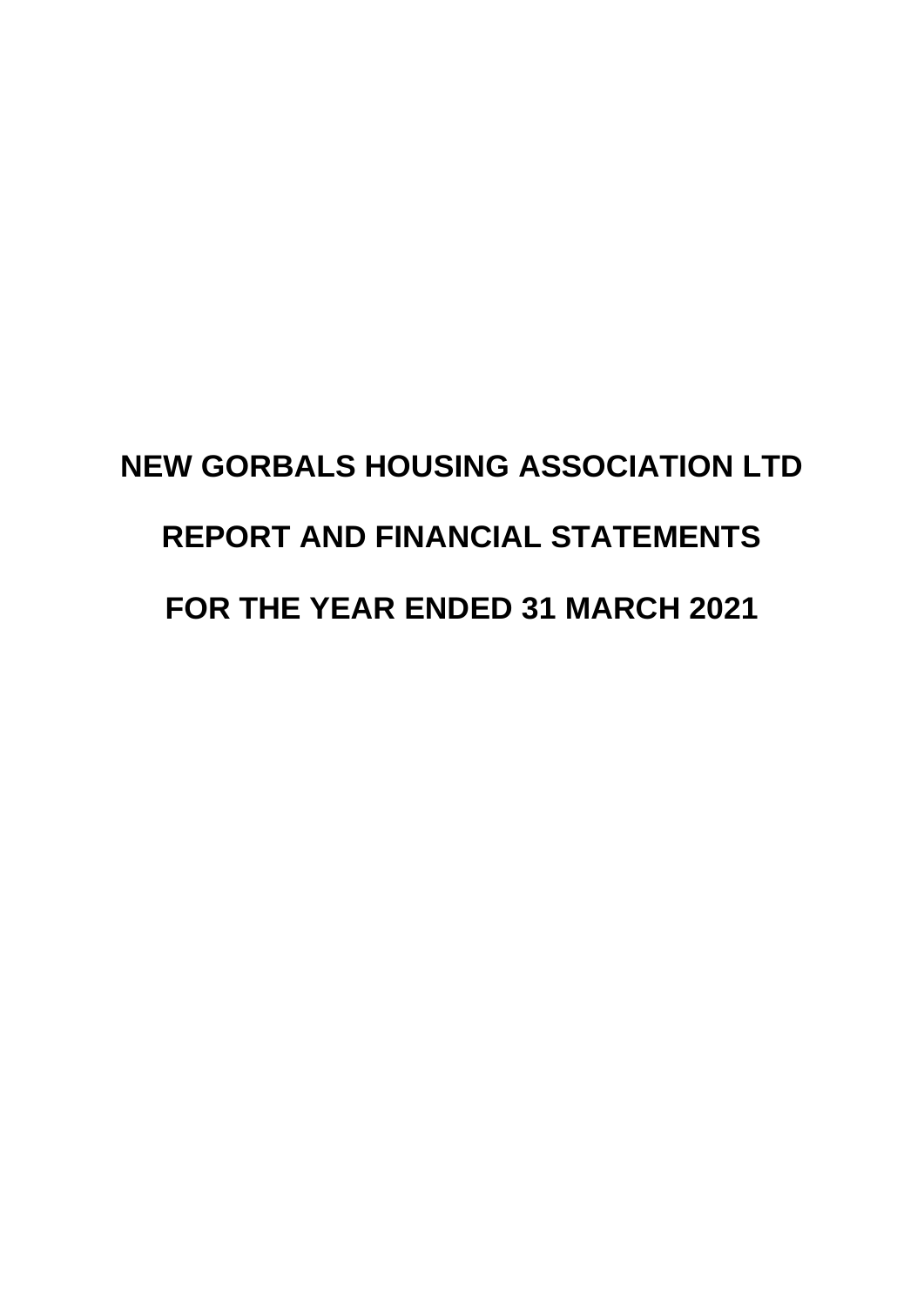# **NEW GORBALS HOUSING ASSOCIATION LTD REPORT AND FINANCIAL STATEMENTS FOR THE YEAR ENDED 31 MARCH 2021**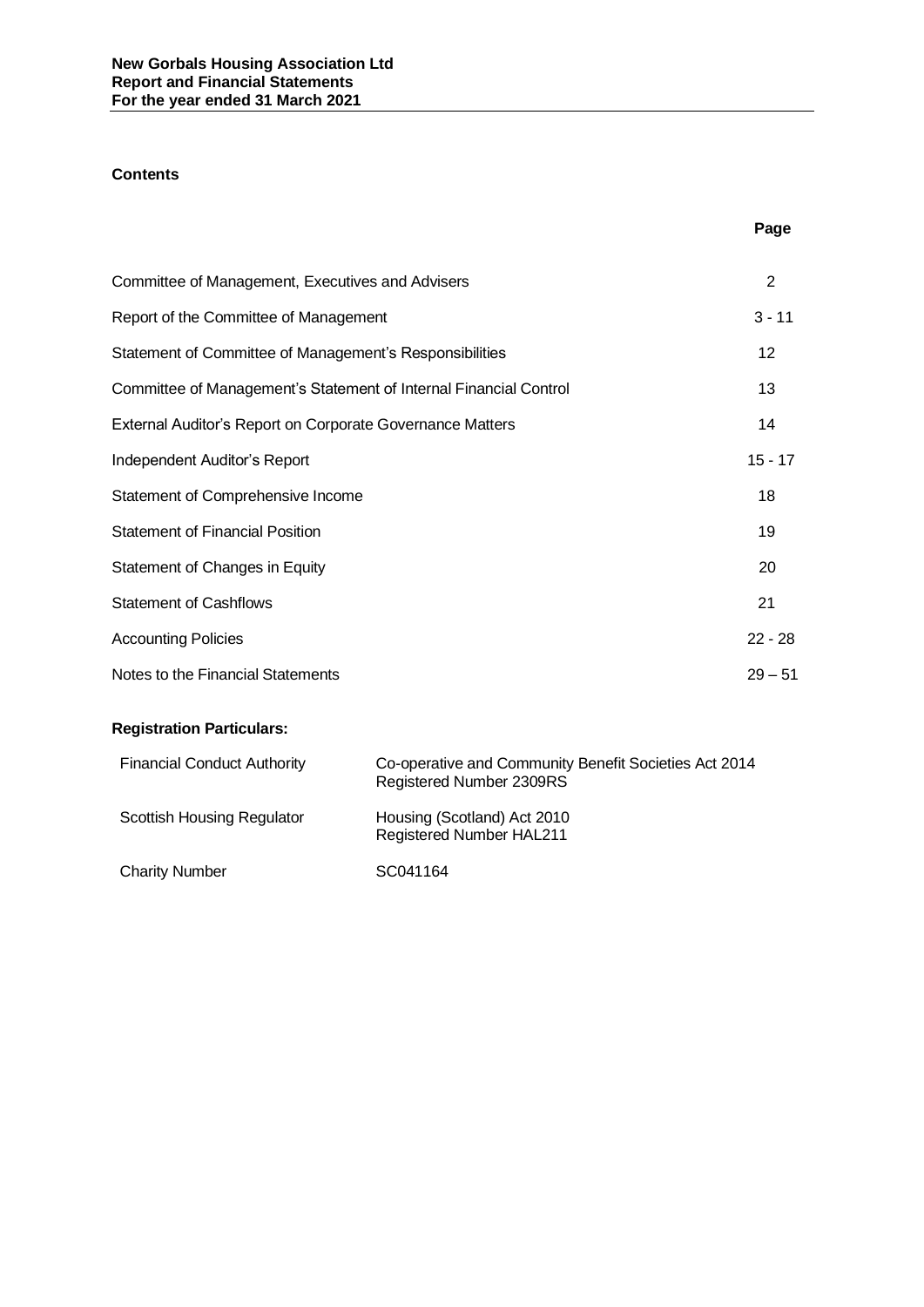# **Contents**

|                                                                   | Page              |
|-------------------------------------------------------------------|-------------------|
| Committee of Management, Executives and Advisers                  | 2                 |
| Report of the Committee of Management                             | $3 - 11$          |
| Statement of Committee of Management's Responsibilities           | $12 \overline{ }$ |
| Committee of Management's Statement of Internal Financial Control | 13                |
| External Auditor's Report on Corporate Governance Matters         | 14                |
| Independent Auditor's Report                                      | $15 - 17$         |
| Statement of Comprehensive Income                                 | 18                |
| <b>Statement of Financial Position</b>                            | 19                |
| Statement of Changes in Equity                                    | 20                |
| <b>Statement of Cashflows</b>                                     | 21                |
| <b>Accounting Policies</b>                                        | $22 - 28$         |
| Notes to the Financial Statements                                 | $29 - 51$         |
| <b>Registration Particulars:</b>                                  |                   |

# **Registration Particulars:** Financial Conduct Authority Co-operative and Community Benefit Societies Act 2014 Registered Number 2309RS Scottish Housing Regulator Housing (Scotland) Act 2010 Registered Number HAL211

Charity Number SC041164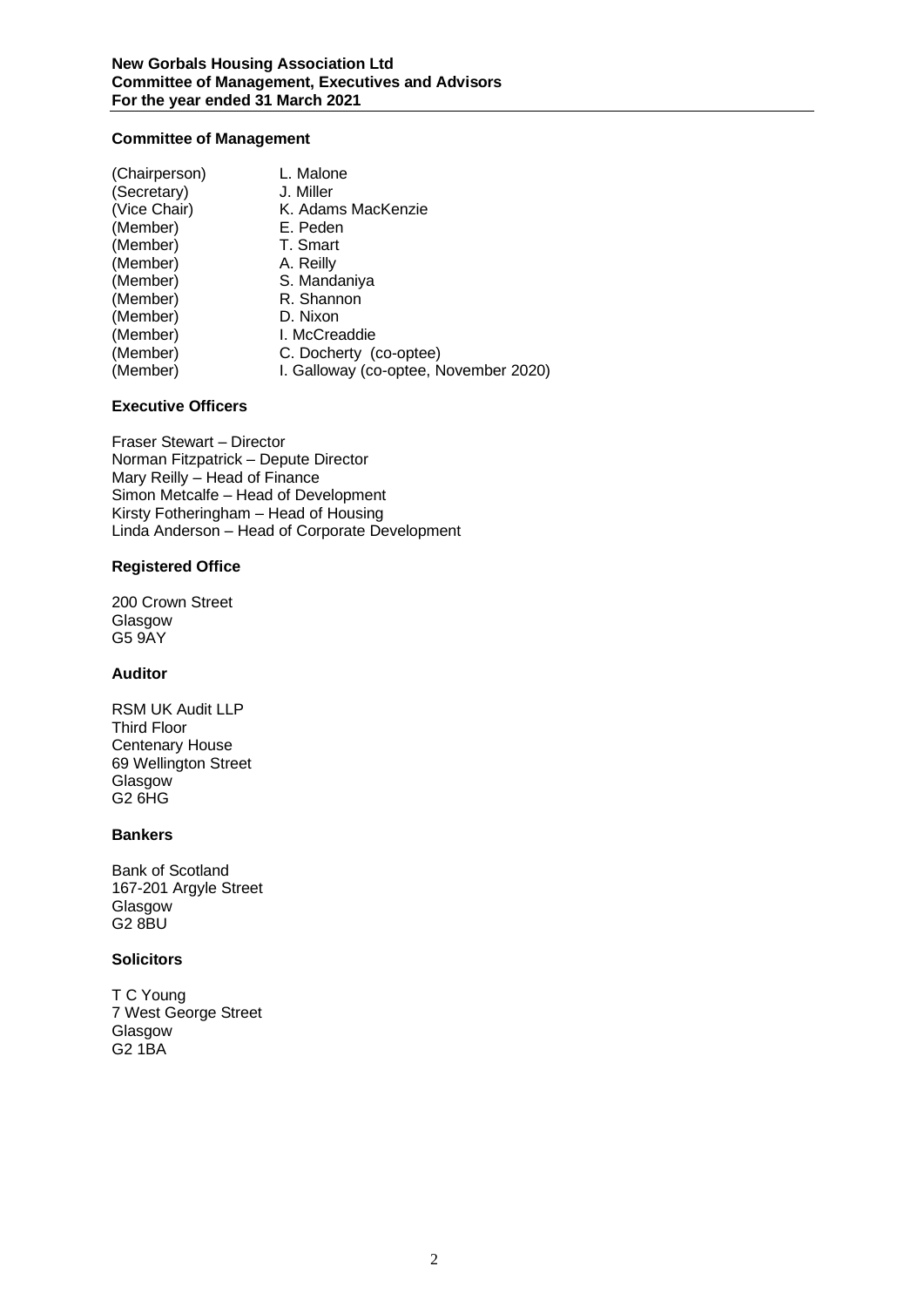# **Committee of Management**

| (Chairperson) | L. Malone                             |
|---------------|---------------------------------------|
| (Secretary)   | J. Miller                             |
| (Vice Chair)  | K. Adams MacKenzie                    |
| (Member)      | E. Peden                              |
| (Member)      | T. Smart                              |
| (Member)      | A. Reilly                             |
| (Member)      | S. Mandaniya                          |
| (Member)      | R. Shannon                            |
| (Member)      | D. Nixon                              |
| (Member)      | I. McCreaddie                         |
| (Member)      | C. Docherty (co-optee)                |
| (Member)      | I. Galloway (co-optee, November 2020) |

# **Executive Officers**

Fraser Stewart – Director Norman Fitzpatrick – Depute Director Mary Reilly – Head of Finance Simon Metcalfe – Head of Development Kirsty Fotheringham – Head of Housing Linda Anderson – Head of Corporate Development

# **Registered Office**

200 Crown Street Glasgow G5 9AY

# **Auditor**

RSM UK Audit LLP Third Floor Centenary House 69 Wellington Street Glasgow G2 6HG

# **Bankers**

Bank of Scotland 167-201 Argyle Street Glasgow G2 8BU

# **Solicitors**

T C Young 7 West George Street Glasgow G2 1BA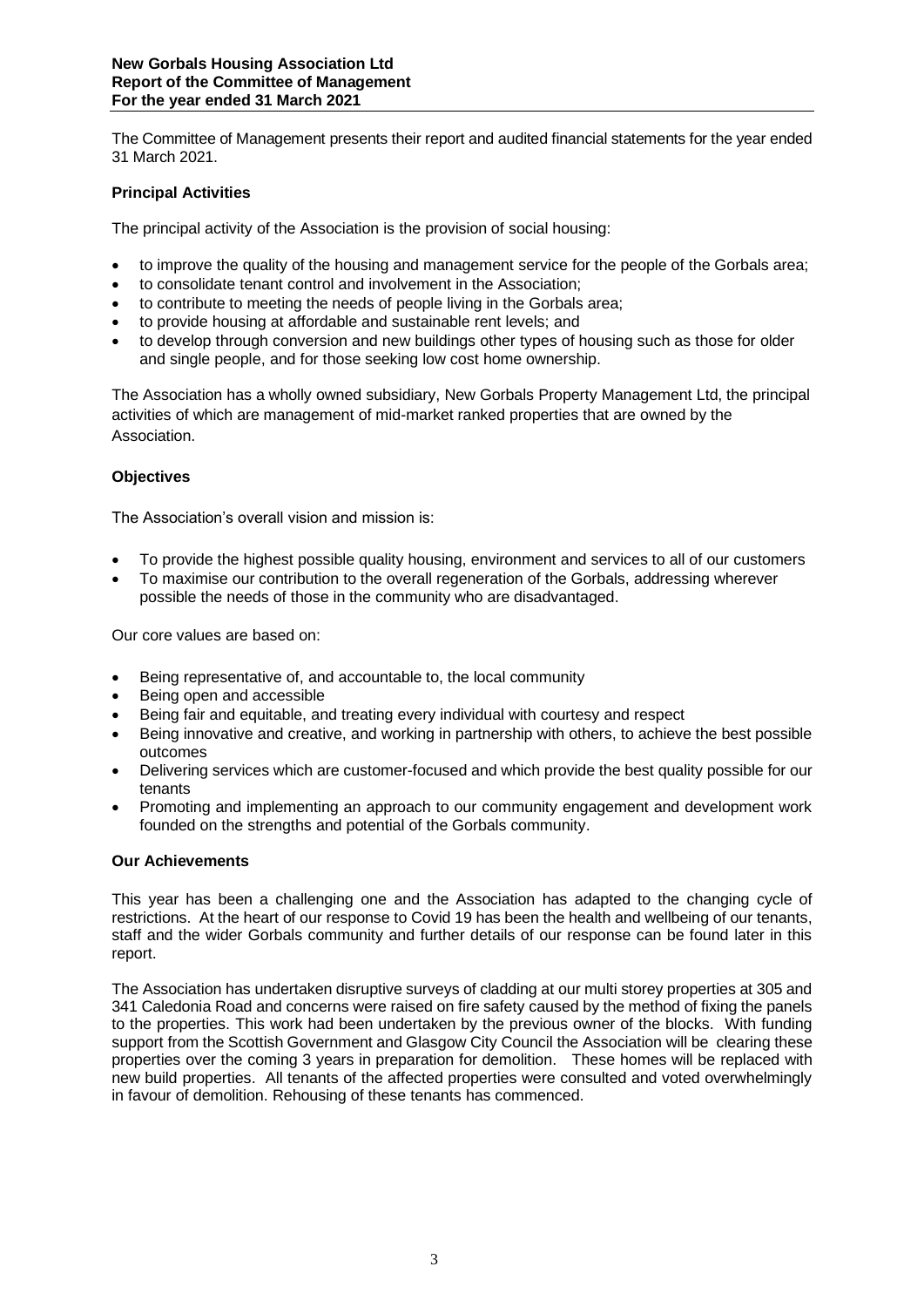The Committee of Management presents their report and audited financial statements for the year ended 31 March 2021.

# **Principal Activities**

The principal activity of the Association is the provision of social housing:

- to improve the quality of the housing and management service for the people of the Gorbals area;
- to consolidate tenant control and involvement in the Association;
- to contribute to meeting the needs of people living in the Gorbals area;
- to provide housing at affordable and sustainable rent levels; and
- to develop through conversion and new buildings other types of housing such as those for older and single people, and for those seeking low cost home ownership.

The Association has a wholly owned subsidiary, New Gorbals Property Management Ltd, the principal activities of which are management of mid-market ranked properties that are owned by the Association.

# **Objectives**

The Association's overall vision and mission is:

- To provide the highest possible quality housing, environment and services to all of our customers
- To maximise our contribution to the overall regeneration of the Gorbals, addressing wherever possible the needs of those in the community who are disadvantaged.

Our core values are based on:

- Being representative of, and accountable to, the local community
- Being open and accessible
- Being fair and equitable, and treating every individual with courtesy and respect
- Being innovative and creative, and working in partnership with others, to achieve the best possible outcomes
- Delivering services which are customer-focused and which provide the best quality possible for our tenants
- Promoting and implementing an approach to our community engagement and development work founded on the strengths and potential of the Gorbals community.

# **Our Achievements**

This year has been a challenging one and the Association has adapted to the changing cycle of restrictions. At the heart of our response to Covid 19 has been the health and wellbeing of our tenants, staff and the wider Gorbals community and further details of our response can be found later in this report.

The Association has undertaken disruptive surveys of cladding at our multi storey properties at 305 and 341 Caledonia Road and concerns were raised on fire safety caused by the method of fixing the panels to the properties. This work had been undertaken by the previous owner of the blocks. With funding support from the Scottish Government and Glasgow City Council the Association will be clearing these properties over the coming 3 years in preparation for demolition. These homes will be replaced with new build properties. All tenants of the affected properties were consulted and voted overwhelmingly in favour of demolition. Rehousing of these tenants has commenced.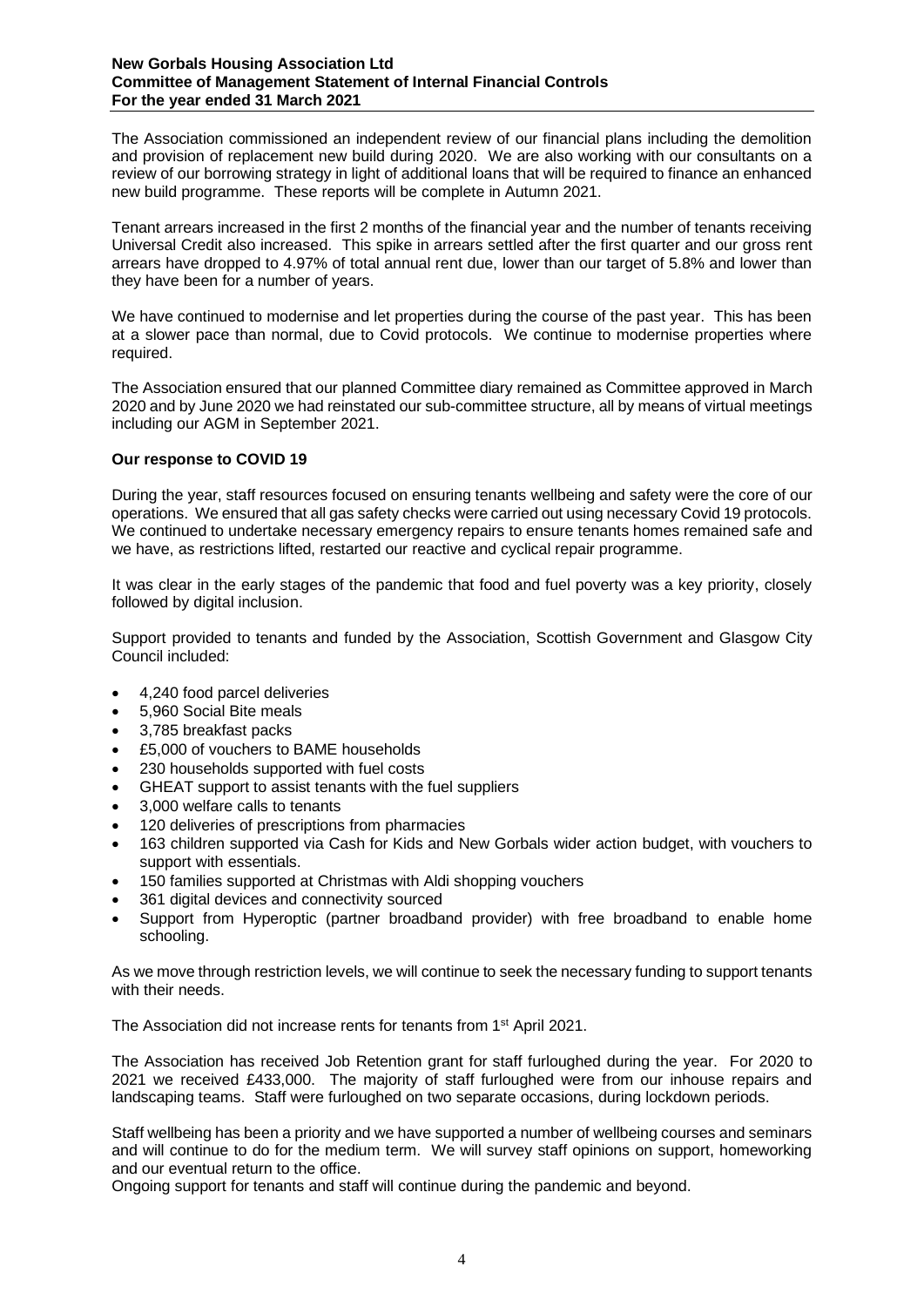#### **New Gorbals Housing Association Ltd Committee of Management Statement of Internal Financial Controls For the year ended 31 March 2021**

The Association commissioned an independent review of our financial plans including the demolition and provision of replacement new build during 2020. We are also working with our consultants on a review of our borrowing strategy in light of additional loans that will be required to finance an enhanced new build programme. These reports will be complete in Autumn 2021.

Tenant arrears increased in the first 2 months of the financial year and the number of tenants receiving Universal Credit also increased. This spike in arrears settled after the first quarter and our gross rent arrears have dropped to 4.97% of total annual rent due, lower than our target of 5.8% and lower than they have been for a number of years.

We have continued to modernise and let properties during the course of the past year. This has been at a slower pace than normal, due to Covid protocols. We continue to modernise properties where required.

The Association ensured that our planned Committee diary remained as Committee approved in March 2020 and by June 2020 we had reinstated our sub-committee structure, all by means of virtual meetings including our AGM in September 2021.

# **Our response to COVID 19**

During the year, staff resources focused on ensuring tenants wellbeing and safety were the core of our operations. We ensured that all gas safety checks were carried out using necessary Covid 19 protocols. We continued to undertake necessary emergency repairs to ensure tenants homes remained safe and we have, as restrictions lifted, restarted our reactive and cyclical repair programme.

It was clear in the early stages of the pandemic that food and fuel poverty was a key priority, closely followed by digital inclusion.

Support provided to tenants and funded by the Association, Scottish Government and Glasgow City Council included:

- 4,240 food parcel deliveries
- 5,960 Social Bite meals
- 3,785 breakfast packs
- £5,000 of vouchers to BAME households
- 230 households supported with fuel costs
- GHEAT support to assist tenants with the fuel suppliers
- 3,000 welfare calls to tenants
- 120 deliveries of prescriptions from pharmacies
- 163 children supported via Cash for Kids and New Gorbals wider action budget, with vouchers to support with essentials.
- 150 families supported at Christmas with Aldi shopping vouchers
- 361 digital devices and connectivity sourced
- Support from Hyperoptic (partner broadband provider) with free broadband to enable home schooling.

As we move through restriction levels, we will continue to seek the necessary funding to support tenants with their needs.

The Association did not increase rents for tenants from 1<sup>st</sup> April 2021.

The Association has received Job Retention grant for staff furloughed during the year. For 2020 to 2021 we received £433,000. The majority of staff furloughed were from our inhouse repairs and landscaping teams. Staff were furloughed on two separate occasions, during lockdown periods.

Staff wellbeing has been a priority and we have supported a number of wellbeing courses and seminars and will continue to do for the medium term. We will survey staff opinions on support, homeworking and our eventual return to the office.

Ongoing support for tenants and staff will continue during the pandemic and beyond.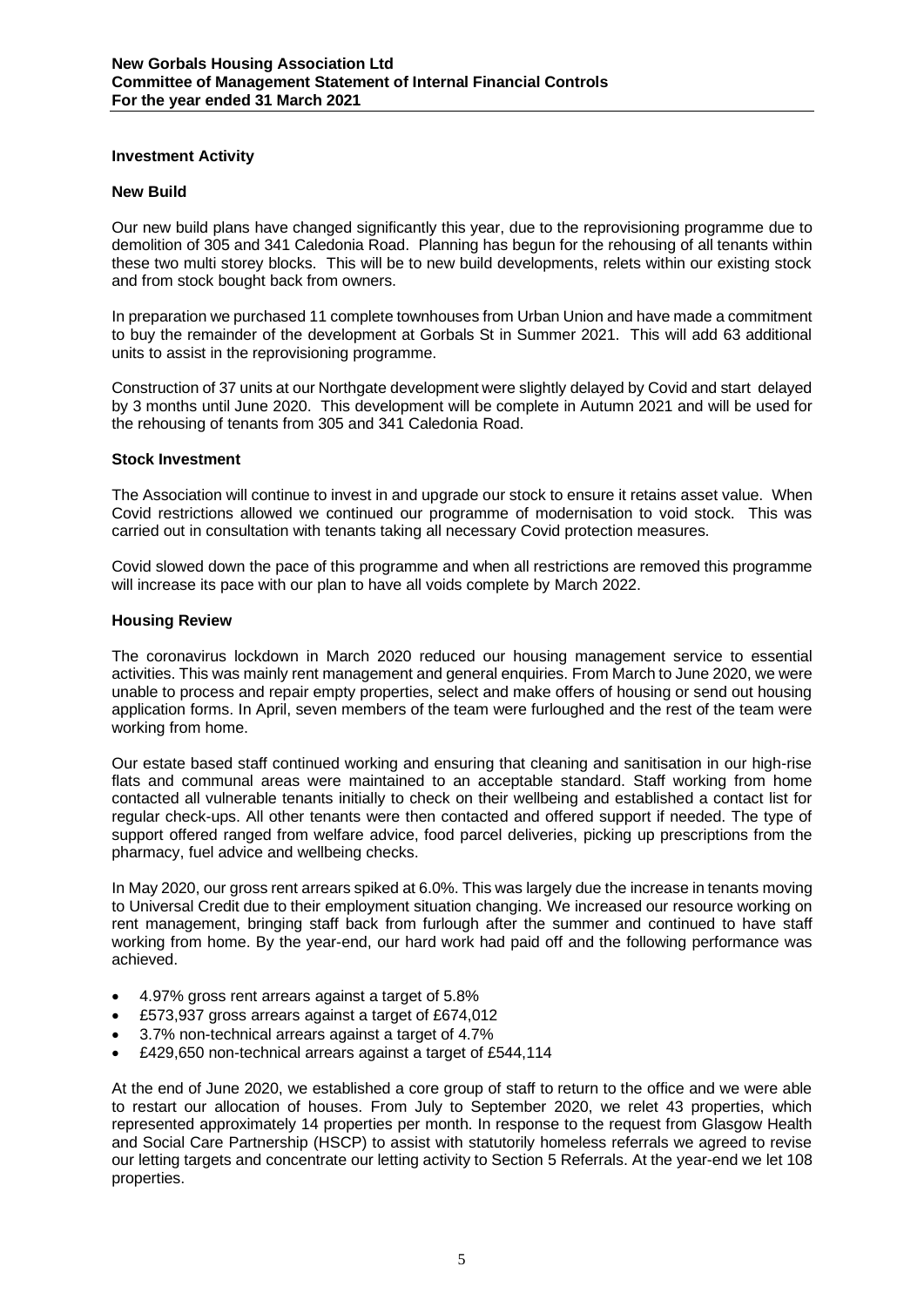# **Investment Activity**

# **New Build**

Our new build plans have changed significantly this year, due to the reprovisioning programme due to demolition of 305 and 341 Caledonia Road. Planning has begun for the rehousing of all tenants within these two multi storey blocks. This will be to new build developments, relets within our existing stock and from stock bought back from owners.

In preparation we purchased 11 complete townhouses from Urban Union and have made a commitment to buy the remainder of the development at Gorbals St in Summer 2021. This will add 63 additional units to assist in the reprovisioning programme.

Construction of 37 units at our Northgate development were slightly delayed by Covid and start delayed by 3 months until June 2020. This development will be complete in Autumn 2021 and will be used for the rehousing of tenants from 305 and 341 Caledonia Road.

# **Stock Investment**

The Association will continue to invest in and upgrade our stock to ensure it retains asset value. When Covid restrictions allowed we continued our programme of modernisation to void stock. This was carried out in consultation with tenants taking all necessary Covid protection measures.

Covid slowed down the pace of this programme and when all restrictions are removed this programme will increase its pace with our plan to have all voids complete by March 2022.

# **Housing Review**

The coronavirus lockdown in March 2020 reduced our housing management service to essential activities. This was mainly rent management and general enquiries. From March to June 2020, we were unable to process and repair empty properties, select and make offers of housing or send out housing application forms. In April, seven members of the team were furloughed and the rest of the team were working from home.

Our estate based staff continued working and ensuring that cleaning and sanitisation in our high-rise flats and communal areas were maintained to an acceptable standard. Staff working from home contacted all vulnerable tenants initially to check on their wellbeing and established a contact list for regular check-ups. All other tenants were then contacted and offered support if needed. The type of support offered ranged from welfare advice, food parcel deliveries, picking up prescriptions from the pharmacy, fuel advice and wellbeing checks.

In May 2020, our gross rent arrears spiked at 6.0%. This was largely due the increase in tenants moving to Universal Credit due to their employment situation changing. We increased our resource working on rent management, bringing staff back from furlough after the summer and continued to have staff working from home. By the year-end, our hard work had paid off and the following performance was achieved.

- 4.97% gross rent arrears against a target of 5.8%
- £573,937 gross arrears against a target of £674,012
- 3.7% non-technical arrears against a target of 4.7%
- £429,650 non-technical arrears against a target of £544,114

At the end of June 2020, we established a core group of staff to return to the office and we were able to restart our allocation of houses. From July to September 2020, we relet 43 properties, which represented approximately 14 properties per month. In response to the request from Glasgow Health and Social Care Partnership (HSCP) to assist with statutorily homeless referrals we agreed to revise our letting targets and concentrate our letting activity to Section 5 Referrals. At the year-end we let 108 properties.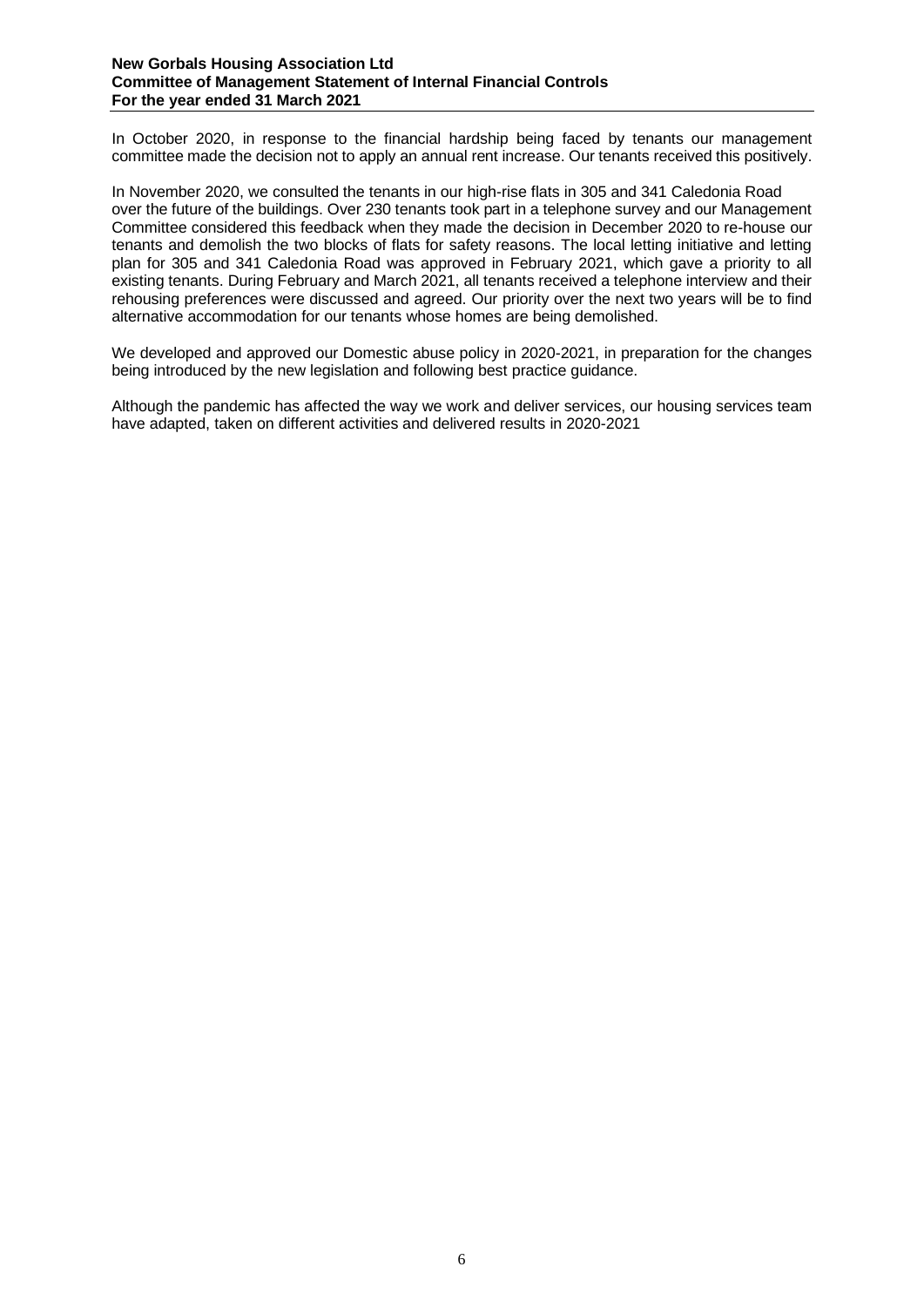#### **New Gorbals Housing Association Ltd Committee of Management Statement of Internal Financial Controls For the year ended 31 March 2021**

In October 2020, in response to the financial hardship being faced by tenants our management committee made the decision not to apply an annual rent increase. Our tenants received this positively.

In November 2020, we consulted the tenants in our high-rise flats in 305 and 341 Caledonia Road over the future of the buildings. Over 230 tenants took part in a telephone survey and our Management Committee considered this feedback when they made the decision in December 2020 to re-house our tenants and demolish the two blocks of flats for safety reasons. The local letting initiative and letting plan for 305 and 341 Caledonia Road was approved in February 2021, which gave a priority to all existing tenants. During February and March 2021, all tenants received a telephone interview and their rehousing preferences were discussed and agreed. Our priority over the next two years will be to find alternative accommodation for our tenants whose homes are being demolished.

We developed and approved our Domestic abuse policy in 2020-2021, in preparation for the changes being introduced by the new legislation and following best practice guidance.

Although the pandemic has affected the way we work and deliver services, our housing services team have adapted, taken on different activities and delivered results in 2020-2021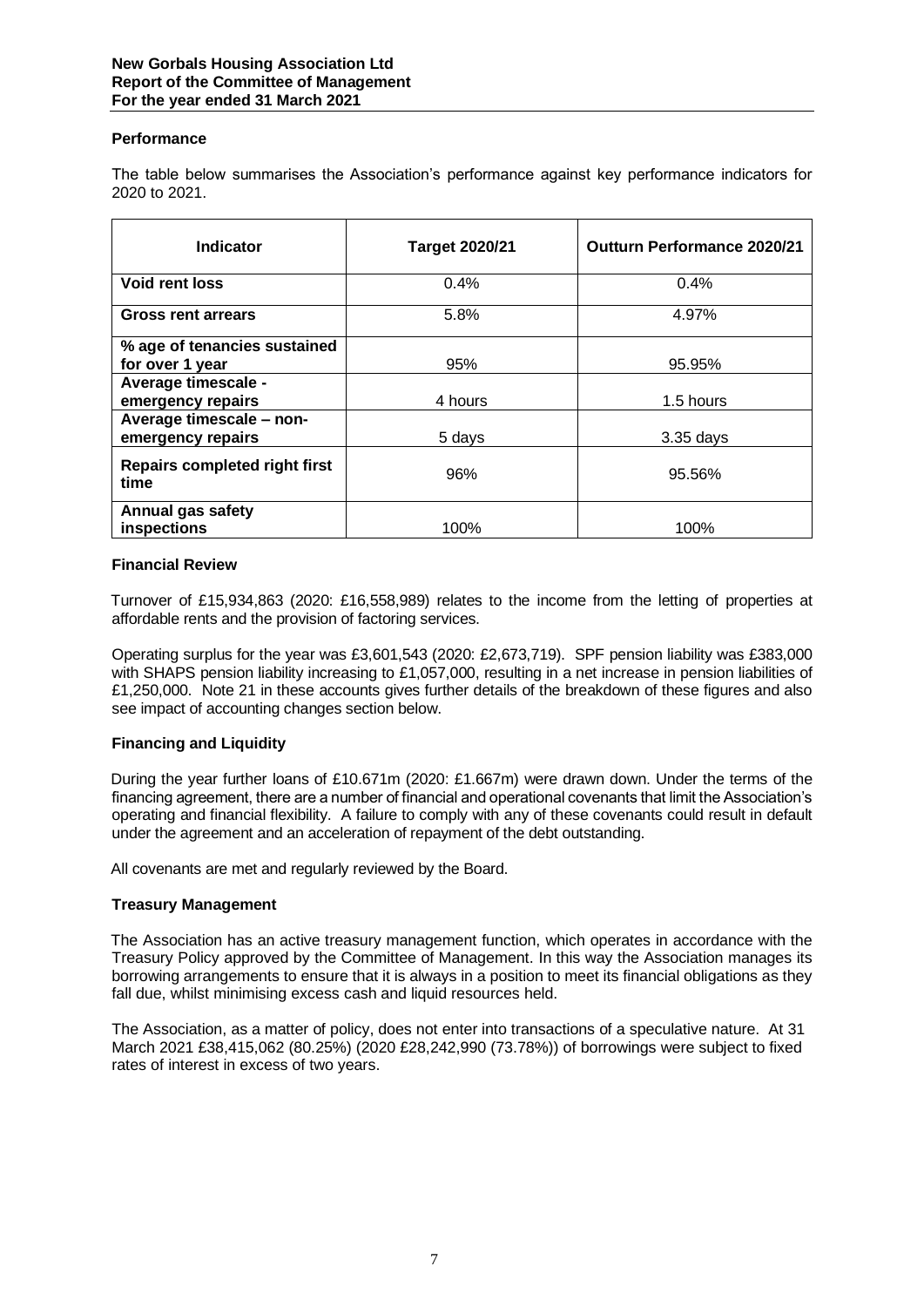# **Performance**

The table below summarises the Association's performance against key performance indicators for 2020 to 2021.

| Indicator                                       | <b>Target 2020/21</b> | <b>Outturn Performance 2020/21</b> |
|-------------------------------------------------|-----------------------|------------------------------------|
| <b>Void rent loss</b>                           | 0.4%                  | 0.4%                               |
| <b>Gross rent arrears</b>                       | 5.8%                  | 4.97%                              |
| % age of tenancies sustained<br>for over 1 year | 95%                   | 95.95%                             |
| Average timescale -<br>emergency repairs        | 4 hours               | 1.5 hours                          |
| Average timescale - non-<br>emergency repairs   | 5 days                | $3.35$ days                        |
| <b>Repairs completed right first</b><br>time    | 96%                   | 95.56%                             |
| <b>Annual gas safety</b><br>inspections         | 100%                  | 100%                               |

# **Financial Review**

Turnover of £15,934,863 (2020: £16,558,989) relates to the income from the letting of properties at affordable rents and the provision of factoring services.

Operating surplus for the year was £3,601,543 (2020: £2,673,719). SPF pension liability was £383,000 with SHAPS pension liability increasing to £1,057,000, resulting in a net increase in pension liabilities of £1,250,000. Note 21 in these accounts gives further details of the breakdown of these figures and also see impact of accounting changes section below.

# **Financing and Liquidity**

During the year further loans of £10.671m (2020: £1.667m) were drawn down. Under the terms of the financing agreement, there are a number of financial and operational covenants that limit the Association's operating and financial flexibility. A failure to comply with any of these covenants could result in default under the agreement and an acceleration of repayment of the debt outstanding.

All covenants are met and regularly reviewed by the Board.

# **Treasury Management**

The Association has an active treasury management function, which operates in accordance with the Treasury Policy approved by the Committee of Management. In this way the Association manages its borrowing arrangements to ensure that it is always in a position to meet its financial obligations as they fall due, whilst minimising excess cash and liquid resources held.

The Association, as a matter of policy, does not enter into transactions of a speculative nature. At 31 March 2021 £38,415,062 (80.25%) (2020 £28,242,990 (73.78%)) of borrowings were subject to fixed rates of interest in excess of two years.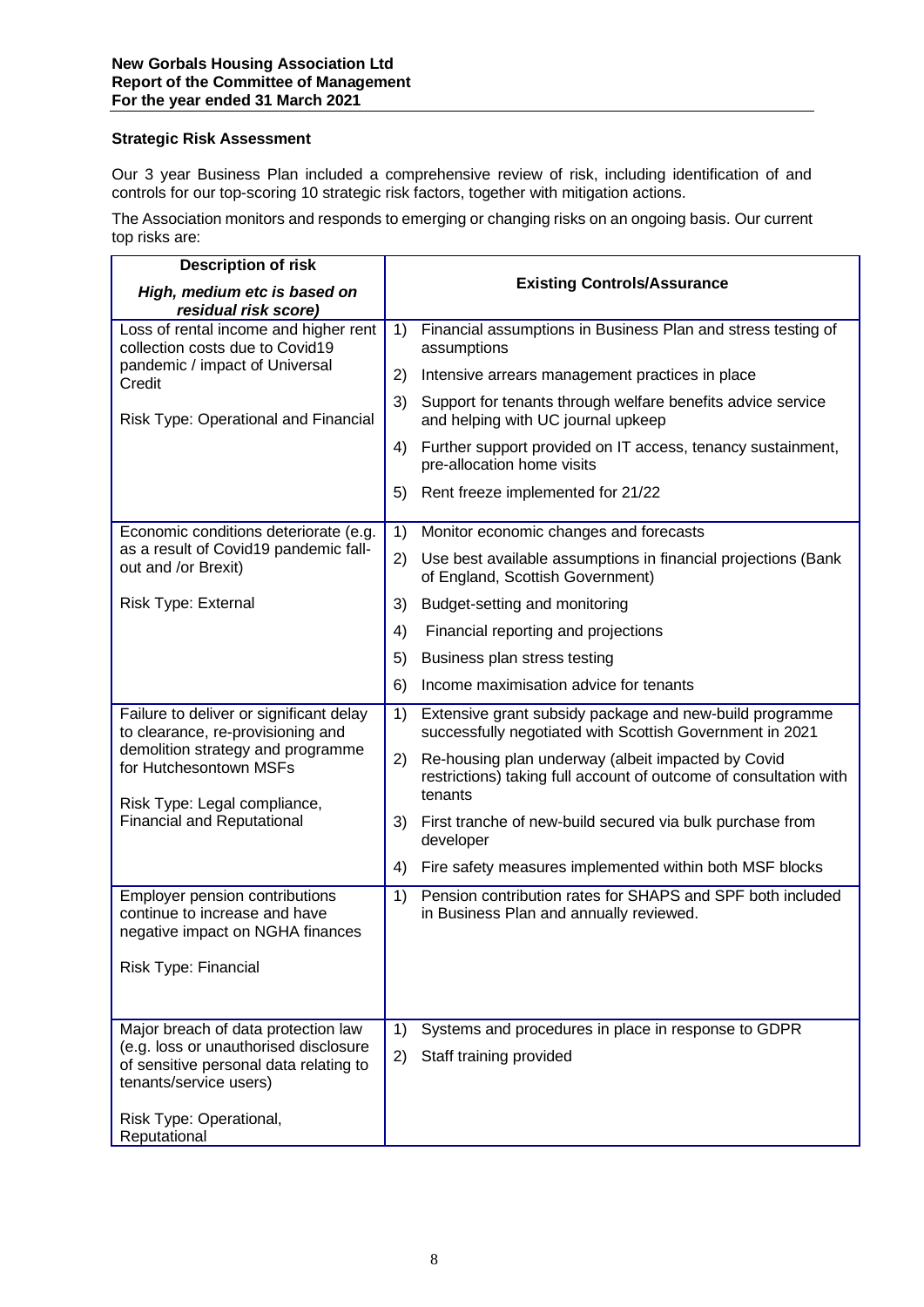# **Strategic Risk Assessment**

Our 3 year Business Plan included a comprehensive review of risk, including identification of and controls for our top-scoring 10 strategic risk factors, together with mitigation actions.

The Association monitors and responds to emerging or changing risks on an ongoing basis. Our current top risks are:

| <b>Description of risk</b>                                                                                |    |                                                                                                                         |
|-----------------------------------------------------------------------------------------------------------|----|-------------------------------------------------------------------------------------------------------------------------|
| High, medium etc is based on<br>residual risk score)                                                      |    | <b>Existing Controls/Assurance</b>                                                                                      |
| Loss of rental income and higher rent<br>collection costs due to Covid19                                  | 1) | Financial assumptions in Business Plan and stress testing of<br>assumptions                                             |
| pandemic / impact of Universal<br>Credit                                                                  | 2) | Intensive arrears management practices in place                                                                         |
| Risk Type: Operational and Financial                                                                      | 3) | Support for tenants through welfare benefits advice service<br>and helping with UC journal upkeep                       |
|                                                                                                           | 4) | Further support provided on IT access, tenancy sustainment,<br>pre-allocation home visits                               |
|                                                                                                           | 5) | Rent freeze implemented for 21/22                                                                                       |
| Economic conditions deteriorate (e.g.                                                                     | 1) | Monitor economic changes and forecasts                                                                                  |
| as a result of Covid19 pandemic fall-<br>out and /or Brexit)                                              | 2) | Use best available assumptions in financial projections (Bank<br>of England, Scottish Government)                       |
| Risk Type: External                                                                                       | 3) | Budget-setting and monitoring                                                                                           |
|                                                                                                           | 4) | Financial reporting and projections                                                                                     |
|                                                                                                           | 5) | Business plan stress testing                                                                                            |
|                                                                                                           | 6) | Income maximisation advice for tenants                                                                                  |
| Failure to deliver or significant delay<br>to clearance, re-provisioning and                              | 1) | Extensive grant subsidy package and new-build programme<br>successfully negotiated with Scottish Government in 2021     |
| demolition strategy and programme<br>for Hutchesontown MSFs                                               | 2) | Re-housing plan underway (albeit impacted by Covid<br>restrictions) taking full account of outcome of consultation with |
| Risk Type: Legal compliance,                                                                              |    | tenants                                                                                                                 |
| <b>Financial and Reputational</b>                                                                         | 3) | First tranche of new-build secured via bulk purchase from<br>developer                                                  |
|                                                                                                           | 4) | Fire safety measures implemented within both MSF blocks                                                                 |
| Employer pension contributions<br>continue to increase and have<br>negative impact on NGHA finances       | 1) | Pension contribution rates for SHAPS and SPF both included<br>in Business Plan and annually reviewed.                   |
| Risk Type: Financial                                                                                      |    |                                                                                                                         |
|                                                                                                           |    |                                                                                                                         |
| Major breach of data protection law                                                                       | 1) | Systems and procedures in place in response to GDPR                                                                     |
| (e.g. loss or unauthorised disclosure<br>of sensitive personal data relating to<br>tenants/service users) | 2) | Staff training provided                                                                                                 |
| Risk Type: Operational,<br>Reputational                                                                   |    |                                                                                                                         |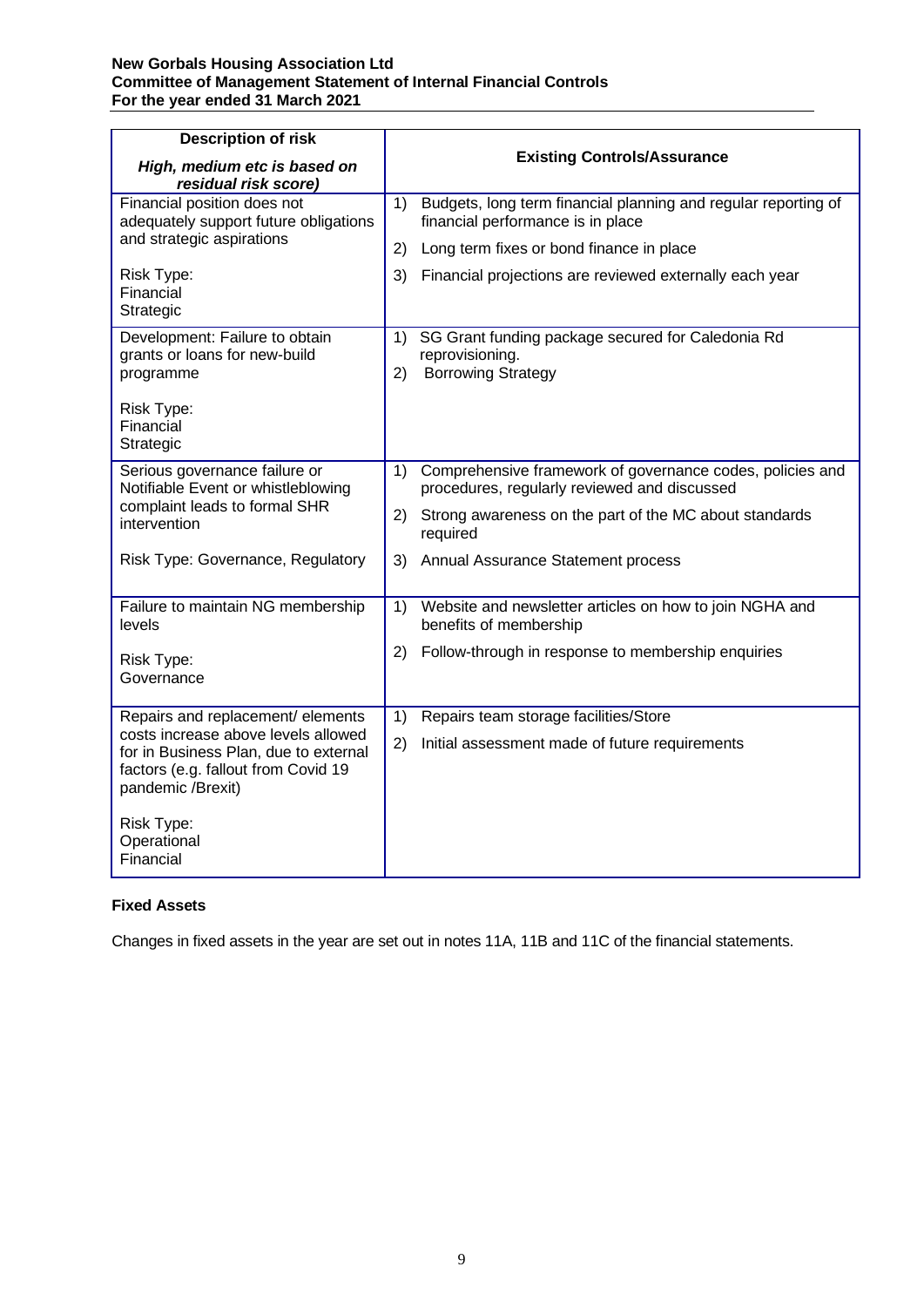# **New Gorbals Housing Association Ltd Committee of Management Statement of Internal Financial Controls For the year ended 31 March 2021**

| <b>Description of risk</b><br>High, medium etc is based on<br>residual risk score)                      | <b>Existing Controls/Assurance</b>                                                                              |
|---------------------------------------------------------------------------------------------------------|-----------------------------------------------------------------------------------------------------------------|
| Financial position does not<br>adequately support future obligations                                    | Budgets, long term financial planning and regular reporting of<br>1)<br>financial performance is in place       |
| and strategic aspirations                                                                               | Long term fixes or bond finance in place<br>(2)                                                                 |
| Risk Type:<br>Financial<br>Strategic                                                                    | 3)<br>Financial projections are reviewed externally each year                                                   |
| Development: Failure to obtain<br>grants or loans for new-build<br>programme<br>Risk Type:<br>Financial | 1)<br>SG Grant funding package secured for Caledonia Rd<br>reprovisioning.<br><b>Borrowing Strategy</b><br>2)   |
| Strategic                                                                                               |                                                                                                                 |
| Serious governance failure or<br>Notifiable Event or whistleblowing                                     | Comprehensive framework of governance codes, policies and<br>1)<br>procedures, regularly reviewed and discussed |
| complaint leads to formal SHR<br>intervention                                                           | 2) Strong awareness on the part of the MC about standards<br>required                                           |
| Risk Type: Governance, Regulatory                                                                       | 3) Annual Assurance Statement process                                                                           |
| Failure to maintain NG membership<br>levels                                                             | Website and newsletter articles on how to join NGHA and<br>1)<br>benefits of membership                         |
| Risk Type:<br>Governance                                                                                | Follow-through in response to membership enquiries<br>2)                                                        |
| Repairs and replacement/ elements<br>costs increase above levels allowed                                | 1)<br>Repairs team storage facilities/Store                                                                     |
| for in Business Plan, due to external<br>factors (e.g. fallout from Covid 19<br>pandemic /Brexit)       | 2)<br>Initial assessment made of future requirements                                                            |
| Risk Type:<br>Operational<br>Financial                                                                  |                                                                                                                 |

# **Fixed Assets**

Changes in fixed assets in the year are set out in notes 11A, 11B and 11C of the financial statements.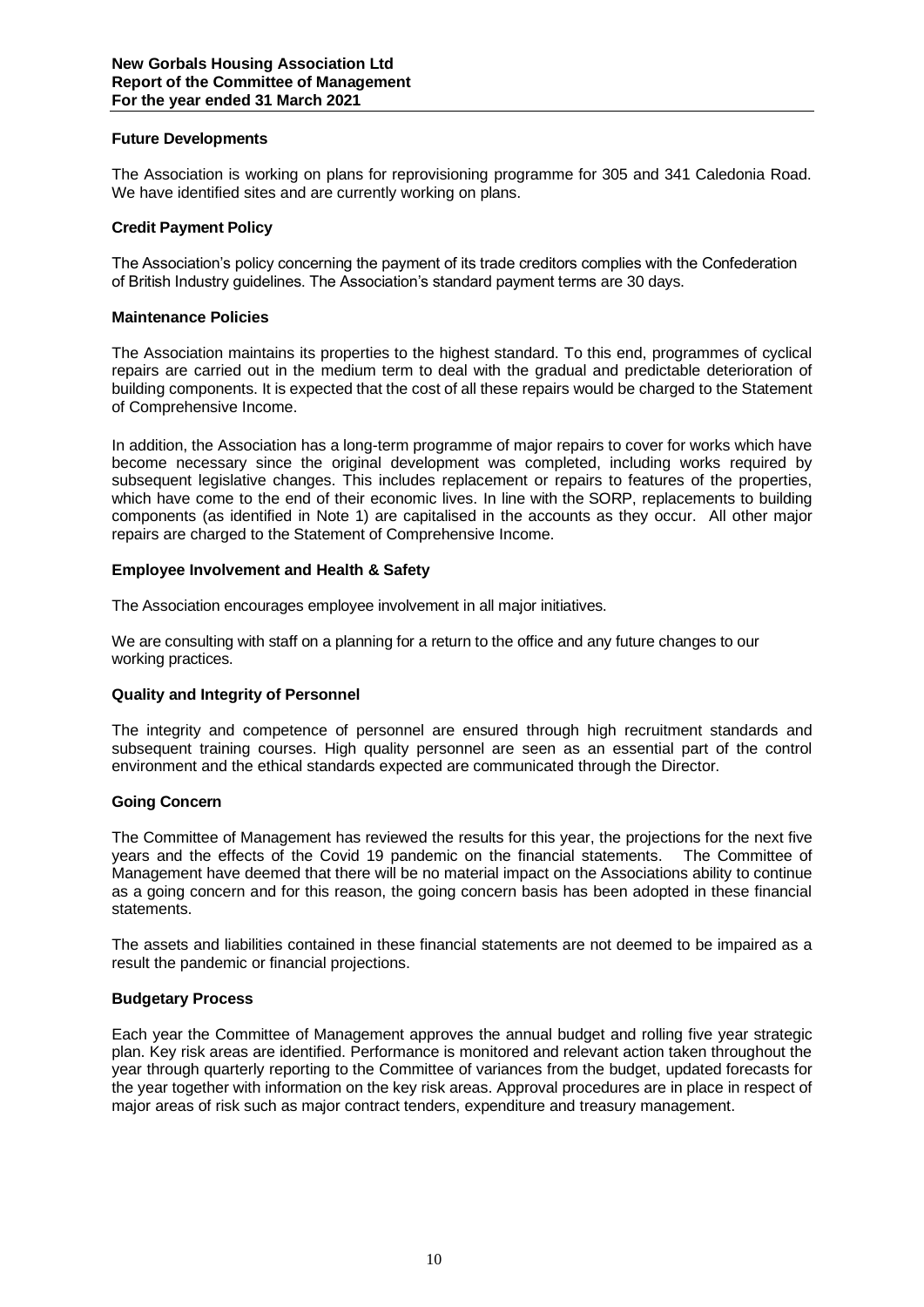# **Future Developments**

The Association is working on plans for reprovisioning programme for 305 and 341 Caledonia Road. We have identified sites and are currently working on plans.

# **Credit Payment Policy**

The Association's policy concerning the payment of its trade creditors complies with the Confederation of British Industry guidelines. The Association's standard payment terms are 30 days.

# **Maintenance Policies**

The Association maintains its properties to the highest standard. To this end, programmes of cyclical repairs are carried out in the medium term to deal with the gradual and predictable deterioration of building components. It is expected that the cost of all these repairs would be charged to the Statement of Comprehensive Income.

In addition, the Association has a long-term programme of major repairs to cover for works which have become necessary since the original development was completed, including works required by subsequent legislative changes. This includes replacement or repairs to features of the properties, which have come to the end of their economic lives. In line with the SORP, replacements to building components (as identified in Note 1) are capitalised in the accounts as they occur. All other major repairs are charged to the Statement of Comprehensive Income.

# **Employee Involvement and Health & Safety**

The Association encourages employee involvement in all major initiatives.

We are consulting with staff on a planning for a return to the office and any future changes to our working practices.

# **Quality and Integrity of Personnel**

The integrity and competence of personnel are ensured through high recruitment standards and subsequent training courses. High quality personnel are seen as an essential part of the control environment and the ethical standards expected are communicated through the Director.

# **Going Concern**

The Committee of Management has reviewed the results for this year, the projections for the next five years and the effects of the Covid 19 pandemic on the financial statements. The Committee of Management have deemed that there will be no material impact on the Associations ability to continue as a going concern and for this reason, the going concern basis has been adopted in these financial statements.

The assets and liabilities contained in these financial statements are not deemed to be impaired as a result the pandemic or financial projections.

# **Budgetary Process**

Each year the Committee of Management approves the annual budget and rolling five year strategic plan. Key risk areas are identified. Performance is monitored and relevant action taken throughout the year through quarterly reporting to the Committee of variances from the budget, updated forecasts for the year together with information on the key risk areas. Approval procedures are in place in respect of major areas of risk such as major contract tenders, expenditure and treasury management.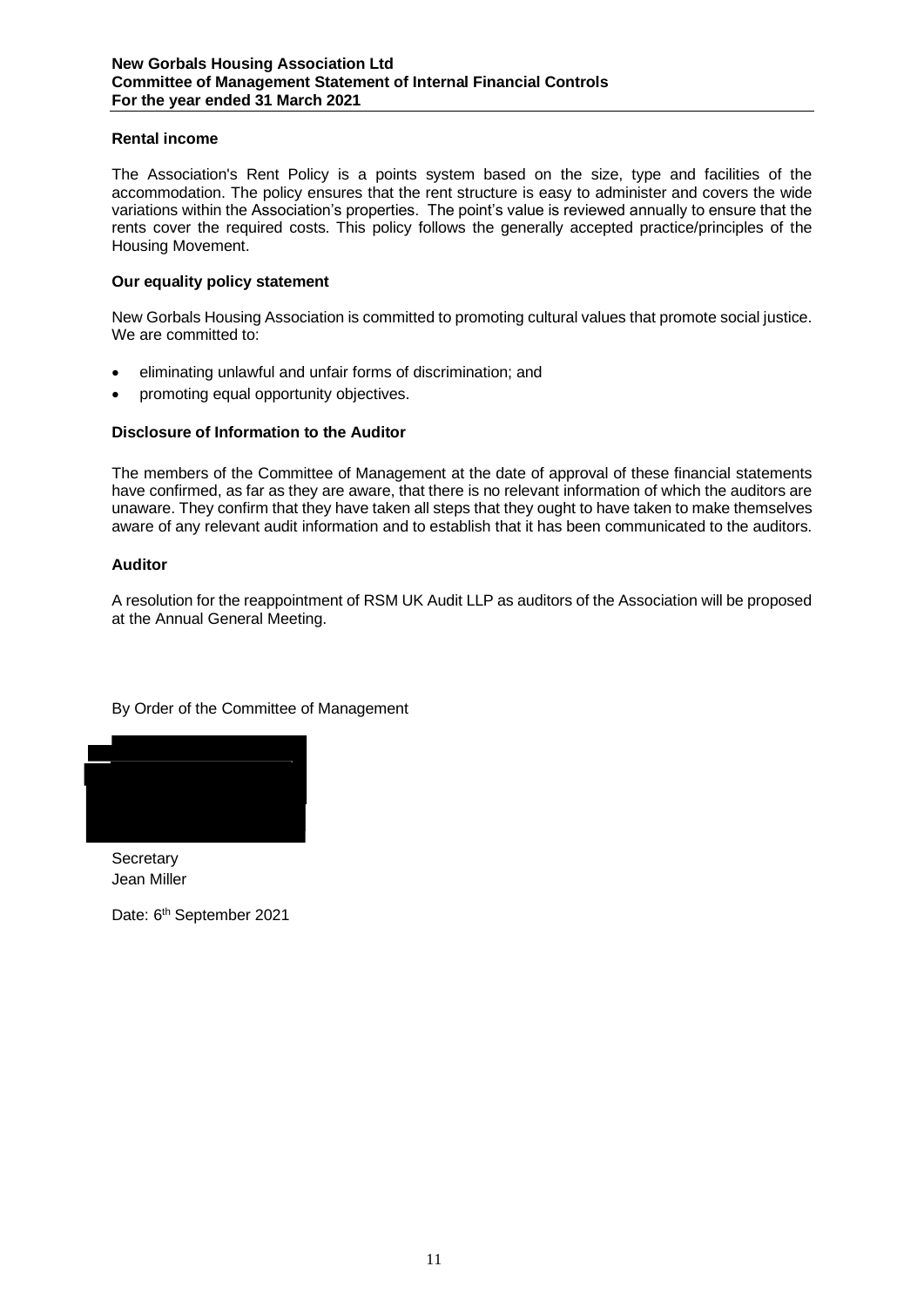# **Rental income**

The Association's Rent Policy is a points system based on the size, type and facilities of the accommodation. The policy ensures that the rent structure is easy to administer and covers the wide variations within the Association's properties. The point's value is reviewed annually to ensure that the rents cover the required costs. This policy follows the generally accepted practice/principles of the Housing Movement.

# **Our equality policy statement**

New Gorbals Housing Association is committed to promoting cultural values that promote social justice. We are committed to:

- eliminating unlawful and unfair forms of discrimination; and
- promoting equal opportunity objectives.

# **Disclosure of Information to the Auditor**

The members of the Committee of Management at the date of approval of these financial statements have confirmed, as far as they are aware, that there is no relevant information of which the auditors are unaware. They confirm that they have taken all steps that they ought to have taken to make themselves aware of any relevant audit information and to establish that it has been communicated to the auditors.

# **Auditor**

A resolution for the reappointment of RSM UK Audit LLP as auditors of the Association will be proposed at the Annual General Meeting.

By Order of the Committee of Management



**Secretary** Jean Miller

Date: 6<sup>th</sup> September 2021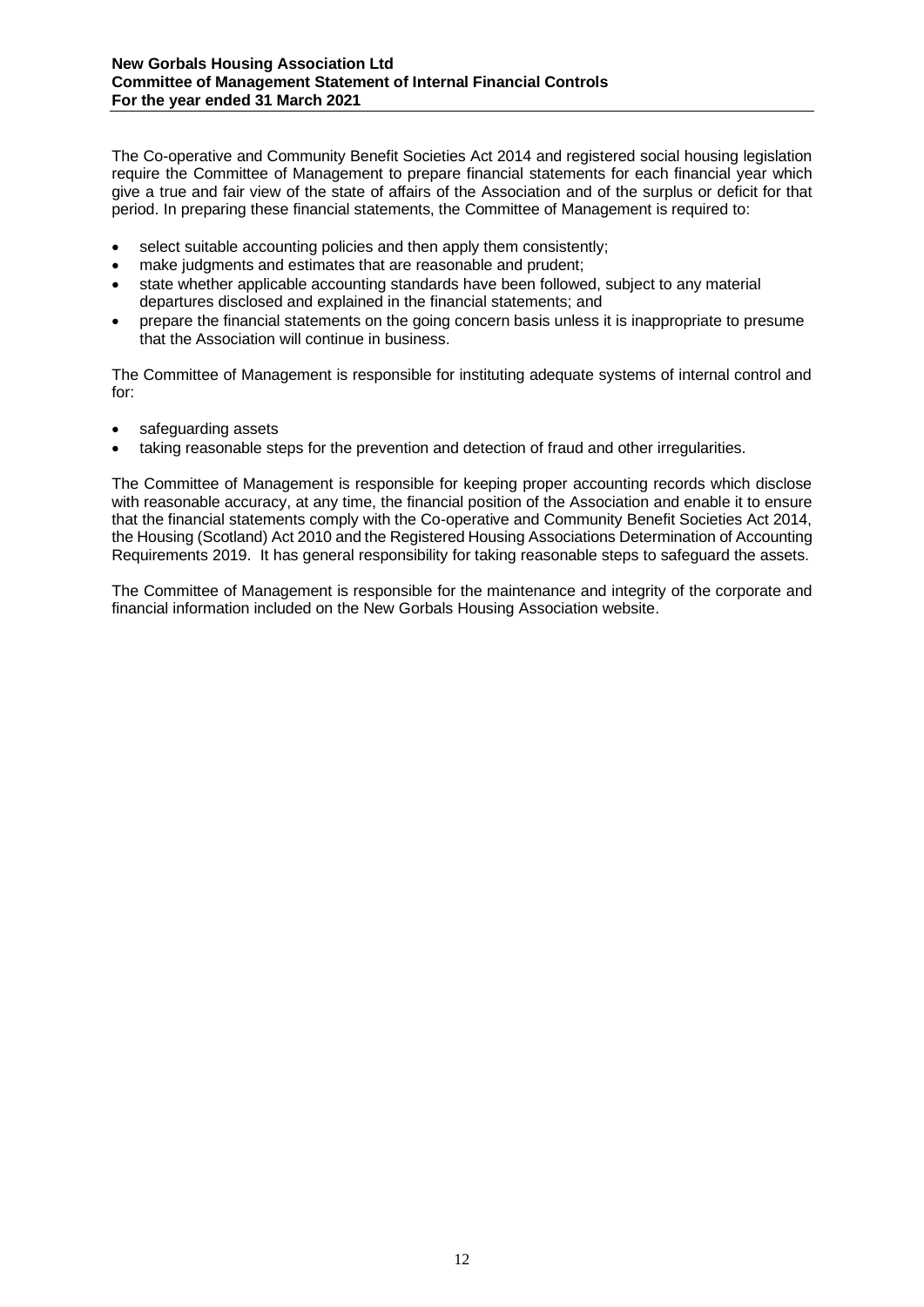The Co-operative and Community Benefit Societies Act 2014 and registered social housing legislation require the Committee of Management to prepare financial statements for each financial year which give a true and fair view of the state of affairs of the Association and of the surplus or deficit for that period. In preparing these financial statements, the Committee of Management is required to:

- select suitable accounting policies and then apply them consistently;
- make judgments and estimates that are reasonable and prudent:
- state whether applicable accounting standards have been followed, subject to any material departures disclosed and explained in the financial statements; and
- prepare the financial statements on the going concern basis unless it is inappropriate to presume that the Association will continue in business.

The Committee of Management is responsible for instituting adequate systems of internal control and for:

- safeguarding assets
- taking reasonable steps for the prevention and detection of fraud and other irregularities.

The Committee of Management is responsible for keeping proper accounting records which disclose with reasonable accuracy, at any time, the financial position of the Association and enable it to ensure that the financial statements comply with the Co-operative and Community Benefit Societies Act 2014, the Housing (Scotland) Act 2010 and the Registered Housing Associations Determination of Accounting Requirements 2019. It has general responsibility for taking reasonable steps to safeguard the assets.

The Committee of Management is responsible for the maintenance and integrity of the corporate and financial information included on the New Gorbals Housing Association website.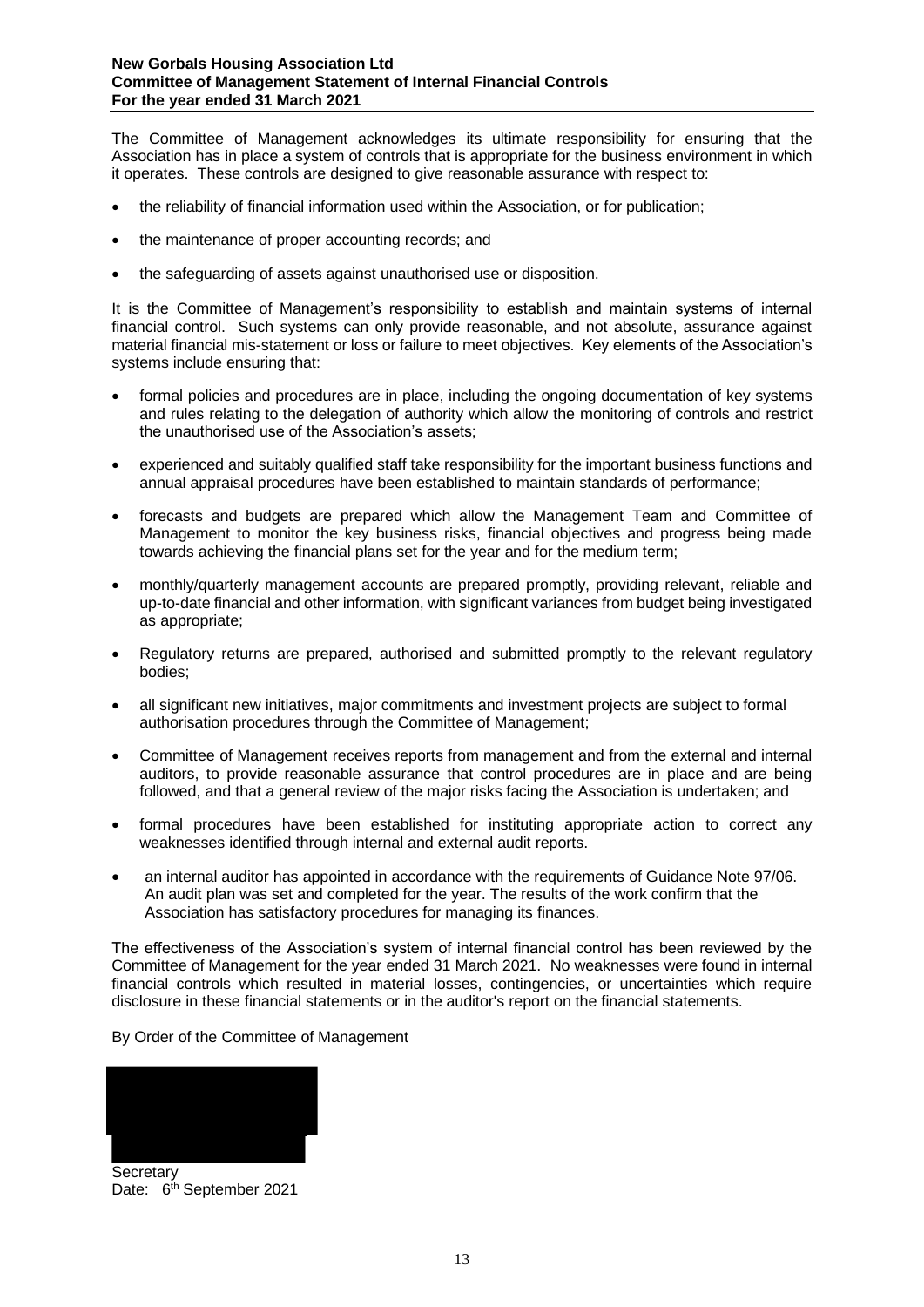The Committee of Management acknowledges its ultimate responsibility for ensuring that the Association has in place a system of controls that is appropriate for the business environment in which it operates. These controls are designed to give reasonable assurance with respect to:

- the reliability of financial information used within the Association, or for publication;
- the maintenance of proper accounting records; and
- the safeguarding of assets against unauthorised use or disposition.

It is the Committee of Management's responsibility to establish and maintain systems of internal financial control. Such systems can only provide reasonable, and not absolute, assurance against material financial mis-statement or loss or failure to meet objectives. Key elements of the Association's systems include ensuring that:

- formal policies and procedures are in place, including the ongoing documentation of key systems and rules relating to the delegation of authority which allow the monitoring of controls and restrict the unauthorised use of the Association's assets;
- experienced and suitably qualified staff take responsibility for the important business functions and annual appraisal procedures have been established to maintain standards of performance;
- forecasts and budgets are prepared which allow the Management Team and Committee of Management to monitor the key business risks, financial objectives and progress being made towards achieving the financial plans set for the year and for the medium term;
- monthly/quarterly management accounts are prepared promptly, providing relevant, reliable and up-to-date financial and other information, with significant variances from budget being investigated as appropriate;
- Regulatory returns are prepared, authorised and submitted promptly to the relevant regulatory bodies;
- all significant new initiatives, major commitments and investment projects are subject to formal authorisation procedures through the Committee of Management;
- Committee of Management receives reports from management and from the external and internal auditors, to provide reasonable assurance that control procedures are in place and are being followed, and that a general review of the major risks facing the Association is undertaken; and
- formal procedures have been established for instituting appropriate action to correct any weaknesses identified through internal and external audit reports.
- an internal auditor has appointed in accordance with the requirements of Guidance Note 97/06. An audit plan was set and completed for the year. The results of the work confirm that the Association has satisfactory procedures for managing its finances.

The effectiveness of the Association's system of internal financial control has been reviewed by the Committee of Management for the year ended 31 March 2021. No weaknesses were found in internal financial controls which resulted in material losses, contingencies, or uncertainties which require disclosure in these financial statements or in the auditor's report on the financial statements.

By Order of the Committee of Management



**Secretary** Date: 6<sup>th</sup> September 2021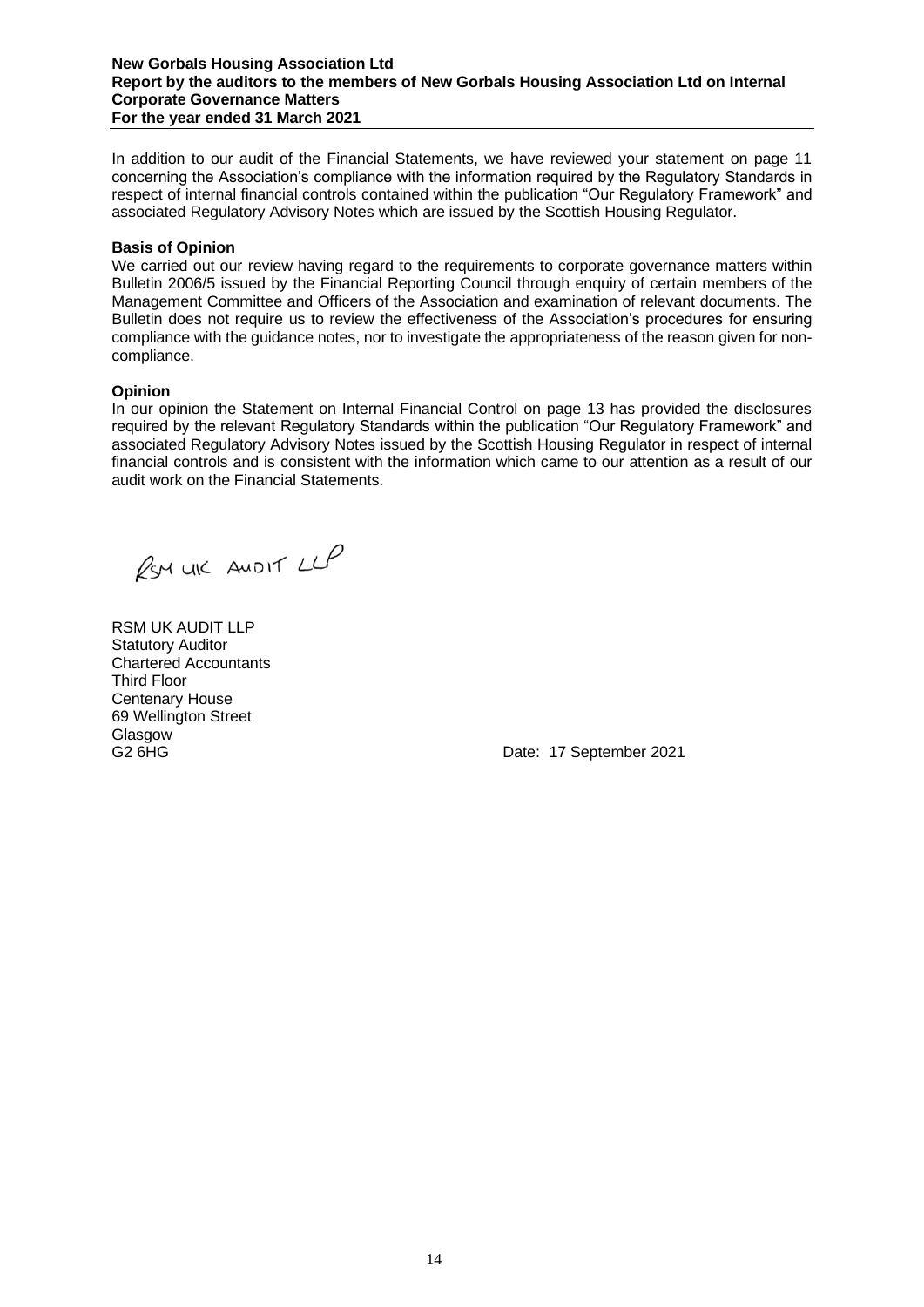#### **New Gorbals Housing Association Ltd Report by the auditors to the members of New Gorbals Housing Association Ltd on Internal Corporate Governance Matters For the year ended 31 March 2021**

In addition to our audit of the Financial Statements, we have reviewed your statement on page 11 concerning the Association's compliance with the information required by the Regulatory Standards in respect of internal financial controls contained within the publication "Our Regulatory Framework" and associated Regulatory Advisory Notes which are issued by the Scottish Housing Regulator.

# **Basis of Opinion**

We carried out our review having regard to the requirements to corporate governance matters within Bulletin 2006/5 issued by the Financial Reporting Council through enquiry of certain members of the Management Committee and Officers of the Association and examination of relevant documents. The Bulletin does not require us to review the effectiveness of the Association's procedures for ensuring compliance with the guidance notes, nor to investigate the appropriateness of the reason given for noncompliance.

# **Opinion**

In our opinion the Statement on Internal Financial Control on page 13 has provided the disclosures required by the relevant Regulatory Standards within the publication "Our Regulatory Framework" and associated Regulatory Advisory Notes issued by the Scottish Housing Regulator in respect of internal financial controls and is consistent with the information which came to our attention as a result of our audit work on the Financial Statements.

RSM UIC ANDIT LLP

RSM UK AUDIT LLP Statutory Auditor Chartered Accountants Third Floor Centenary House 69 Wellington Street Glasgow

G2 6HG Date: 17 September 2021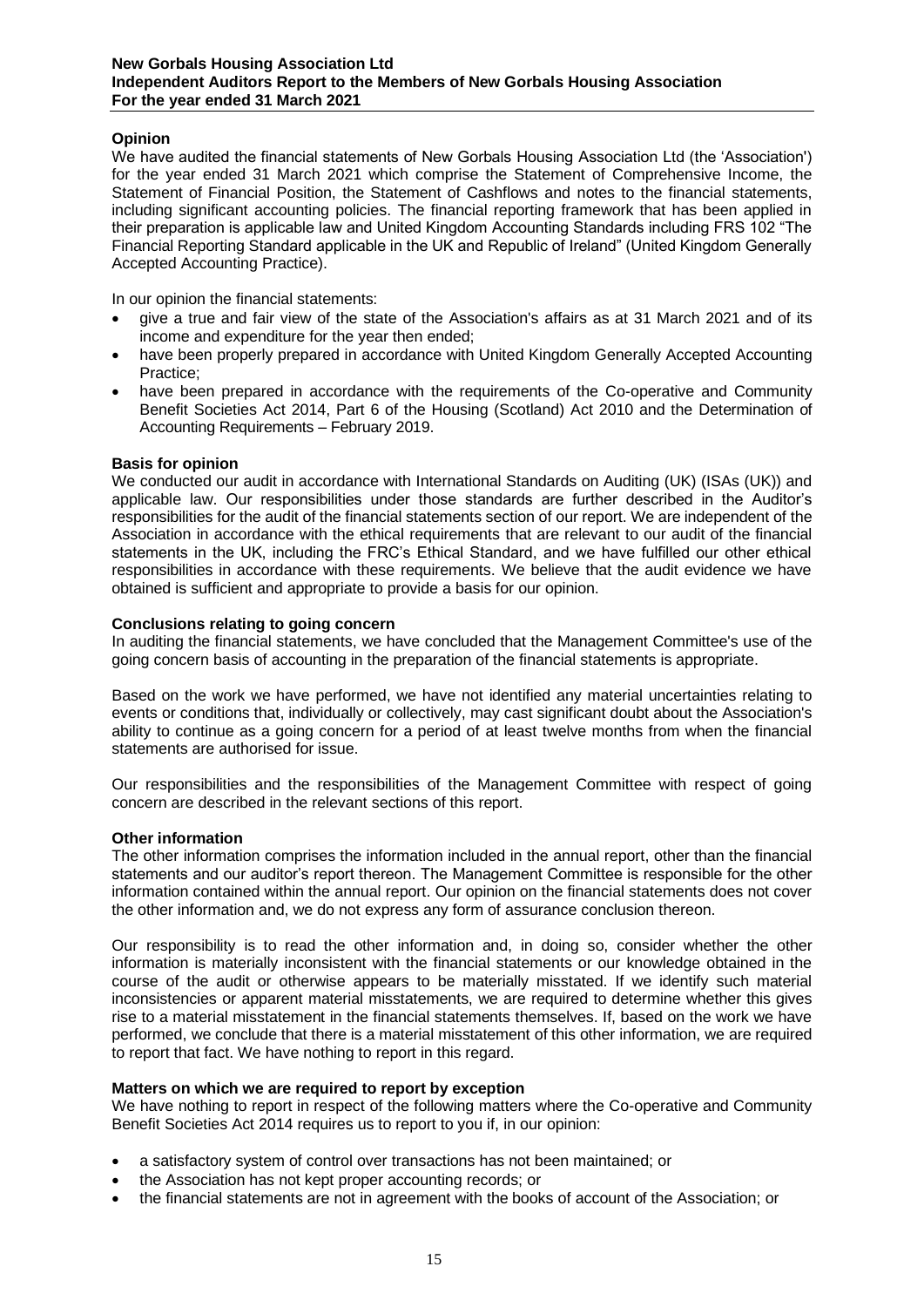# **Opinion**

We have audited the financial statements of New Gorbals Housing Association Ltd (the 'Association') for the year ended 31 March 2021 which comprise the Statement of Comprehensive Income, the Statement of Financial Position, the Statement of Cashflows and notes to the financial statements, including significant accounting policies. The financial reporting framework that has been applied in their preparation is applicable law and United Kingdom Accounting Standards including FRS 102 "The Financial Reporting Standard applicable in the UK and Republic of Ireland" (United Kingdom Generally Accepted Accounting Practice).

In our opinion the financial statements:

- give a true and fair view of the state of the Association's affairs as at 31 March 2021 and of its income and expenditure for the year then ended;
- have been properly prepared in accordance with United Kingdom Generally Accepted Accounting Practice;
- have been prepared in accordance with the requirements of the Co-operative and Community Benefit Societies Act 2014, Part 6 of the Housing (Scotland) Act 2010 and the Determination of Accounting Requirements – February 2019.

# **Basis for opinion**

We conducted our audit in accordance with International Standards on Auditing (UK) (ISAs (UK)) and applicable law. Our responsibilities under those standards are further described in the Auditor's responsibilities for the audit of the financial statements section of our report. We are independent of the Association in accordance with the ethical requirements that are relevant to our audit of the financial statements in the UK, including the FRC's Ethical Standard, and we have fulfilled our other ethical responsibilities in accordance with these requirements. We believe that the audit evidence we have obtained is sufficient and appropriate to provide a basis for our opinion.

# **Conclusions relating to going concern**

In auditing the financial statements, we have concluded that the Management Committee's use of the going concern basis of accounting in the preparation of the financial statements is appropriate.

Based on the work we have performed, we have not identified any material uncertainties relating to events or conditions that, individually or collectively, may cast significant doubt about the Association's ability to continue as a going concern for a period of at least twelve months from when the financial statements are authorised for issue.

Our responsibilities and the responsibilities of the Management Committee with respect of going concern are described in the relevant sections of this report.

# **Other information**

The other information comprises the information included in the annual report, other than the financial statements and our auditor's report thereon. The Management Committee is responsible for the other information contained within the annual report. Our opinion on the financial statements does not cover the other information and, we do not express any form of assurance conclusion thereon.

Our responsibility is to read the other information and, in doing so, consider whether the other information is materially inconsistent with the financial statements or our knowledge obtained in the course of the audit or otherwise appears to be materially misstated. If we identify such material inconsistencies or apparent material misstatements, we are required to determine whether this gives rise to a material misstatement in the financial statements themselves. If, based on the work we have performed, we conclude that there is a material misstatement of this other information, we are required to report that fact. We have nothing to report in this regard.

# **Matters on which we are required to report by exception**

We have nothing to report in respect of the following matters where the Co-operative and Community Benefit Societies Act 2014 requires us to report to you if, in our opinion:

- a satisfactory system of control over transactions has not been maintained; or
- the Association has not kept proper accounting records; or
- the financial statements are not in agreement with the books of account of the Association; or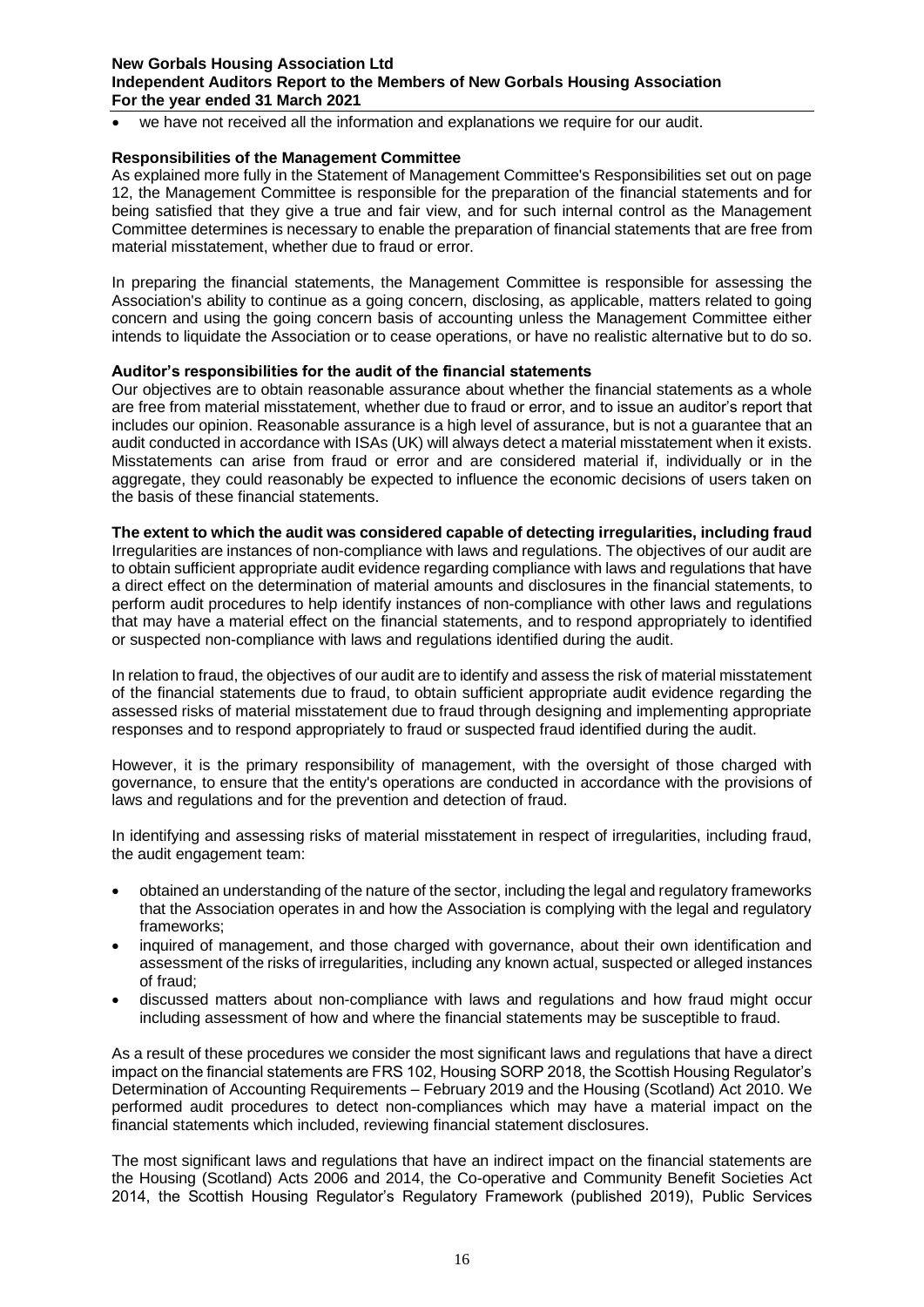# **New Gorbals Housing Association Ltd Independent Auditors Report to the Members of New Gorbals Housing Association For the year ended 31 March 2021**

we have not received all the information and explanations we require for our audit.

# **Responsibilities of the Management Committee**

As explained more fully in the Statement of Management Committee's Responsibilities set out on page 12, the Management Committee is responsible for the preparation of the financial statements and for being satisfied that they give a true and fair view, and for such internal control as the Management Committee determines is necessary to enable the preparation of financial statements that are free from material misstatement, whether due to fraud or error.

In preparing the financial statements, the Management Committee is responsible for assessing the Association's ability to continue as a going concern, disclosing, as applicable, matters related to going concern and using the going concern basis of accounting unless the Management Committee either intends to liquidate the Association or to cease operations, or have no realistic alternative but to do so.

# **Auditor's responsibilities for the audit of the financial statements**

Our objectives are to obtain reasonable assurance about whether the financial statements as a whole are free from material misstatement, whether due to fraud or error, and to issue an auditor's report that includes our opinion. Reasonable assurance is a high level of assurance, but is not a guarantee that an audit conducted in accordance with ISAs (UK) will always detect a material misstatement when it exists. Misstatements can arise from fraud or error and are considered material if, individually or in the aggregate, they could reasonably be expected to influence the economic decisions of users taken on the basis of these financial statements.

# **The extent to which the audit was considered capable of detecting irregularities, including fraud**

Irregularities are instances of non-compliance with laws and regulations. The objectives of our audit are to obtain sufficient appropriate audit evidence regarding compliance with laws and regulations that have a direct effect on the determination of material amounts and disclosures in the financial statements, to perform audit procedures to help identify instances of non-compliance with other laws and regulations that may have a material effect on the financial statements, and to respond appropriately to identified or suspected non-compliance with laws and regulations identified during the audit.

In relation to fraud, the objectives of our audit are to identify and assess the risk of material misstatement of the financial statements due to fraud, to obtain sufficient appropriate audit evidence regarding the assessed risks of material misstatement due to fraud through designing and implementing appropriate responses and to respond appropriately to fraud or suspected fraud identified during the audit.

However, it is the primary responsibility of management, with the oversight of those charged with governance, to ensure that the entity's operations are conducted in accordance with the provisions of laws and regulations and for the prevention and detection of fraud.

In identifying and assessing risks of material misstatement in respect of irregularities, including fraud, the audit engagement team:

- obtained an understanding of the nature of the sector, including the legal and regulatory frameworks that the Association operates in and how the Association is complying with the legal and regulatory frameworks;
- inquired of management, and those charged with governance, about their own identification and assessment of the risks of irregularities, including any known actual, suspected or alleged instances of fraud;
- discussed matters about non-compliance with laws and regulations and how fraud might occur including assessment of how and where the financial statements may be susceptible to fraud.

As a result of these procedures we consider the most significant laws and regulations that have a direct impact on the financial statements are FRS 102, Housing SORP 2018, the Scottish Housing Regulator's Determination of Accounting Requirements – February 2019 and the Housing (Scotland) Act 2010. We performed audit procedures to detect non-compliances which may have a material impact on the financial statements which included, reviewing financial statement disclosures.

The most significant laws and regulations that have an indirect impact on the financial statements are the Housing (Scotland) Acts 2006 and 2014, the Co-operative and Community Benefit Societies Act 2014, the Scottish Housing Regulator's Regulatory Framework (published 2019), Public Services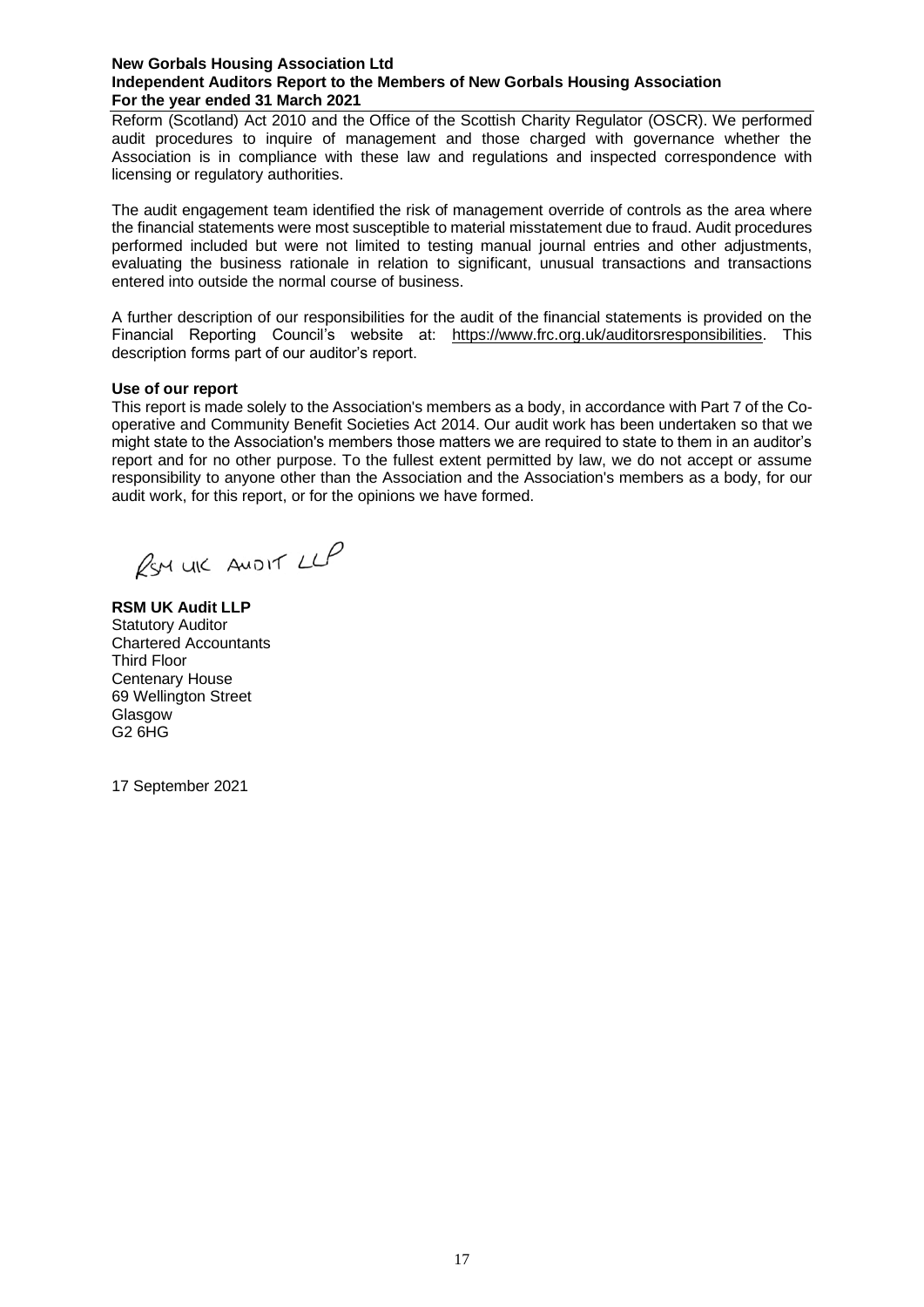# **New Gorbals Housing Association Ltd Independent Auditors Report to the Members of New Gorbals Housing Association For the year ended 31 March 2021**

Reform (Scotland) Act 2010 and the Office of the Scottish Charity Regulator (OSCR). We performed audit procedures to inquire of management and those charged with governance whether the Association is in compliance with these law and regulations and inspected correspondence with licensing or regulatory authorities.

The audit engagement team identified the risk of management override of controls as the area where the financial statements were most susceptible to material misstatement due to fraud. Audit procedures performed included but were not limited to testing manual journal entries and other adjustments, evaluating the business rationale in relation to significant, unusual transactions and transactions entered into outside the normal course of business.

A further description of our responsibilities for the audit of the financial statements is provided on the Financial Reporting Council's website at: [https://www.frc.org.uk/auditorsresponsibilities.](https://www.frc.org.uk/auditorsresponsibilities) This description forms part of our auditor's report.

# **Use of our report**

This report is made solely to the Association's members as a body, in accordance with Part 7 of the Cooperative and Community Benefit Societies Act 2014. Our audit work has been undertaken so that we might state to the Association's members those matters we are required to state to them in an auditor's report and for no other purpose. To the fullest extent permitted by law, we do not accept or assume responsibility to anyone other than the Association and the Association's members as a body, for our audit work, for this report, or for the opinions we have formed.

RSM UIC ANDIT LLP

**RSM UK Audit LLP** Statutory Auditor Chartered Accountants Third Floor Centenary House 69 Wellington Street **Glasgow** G2 6HG

17 September 2021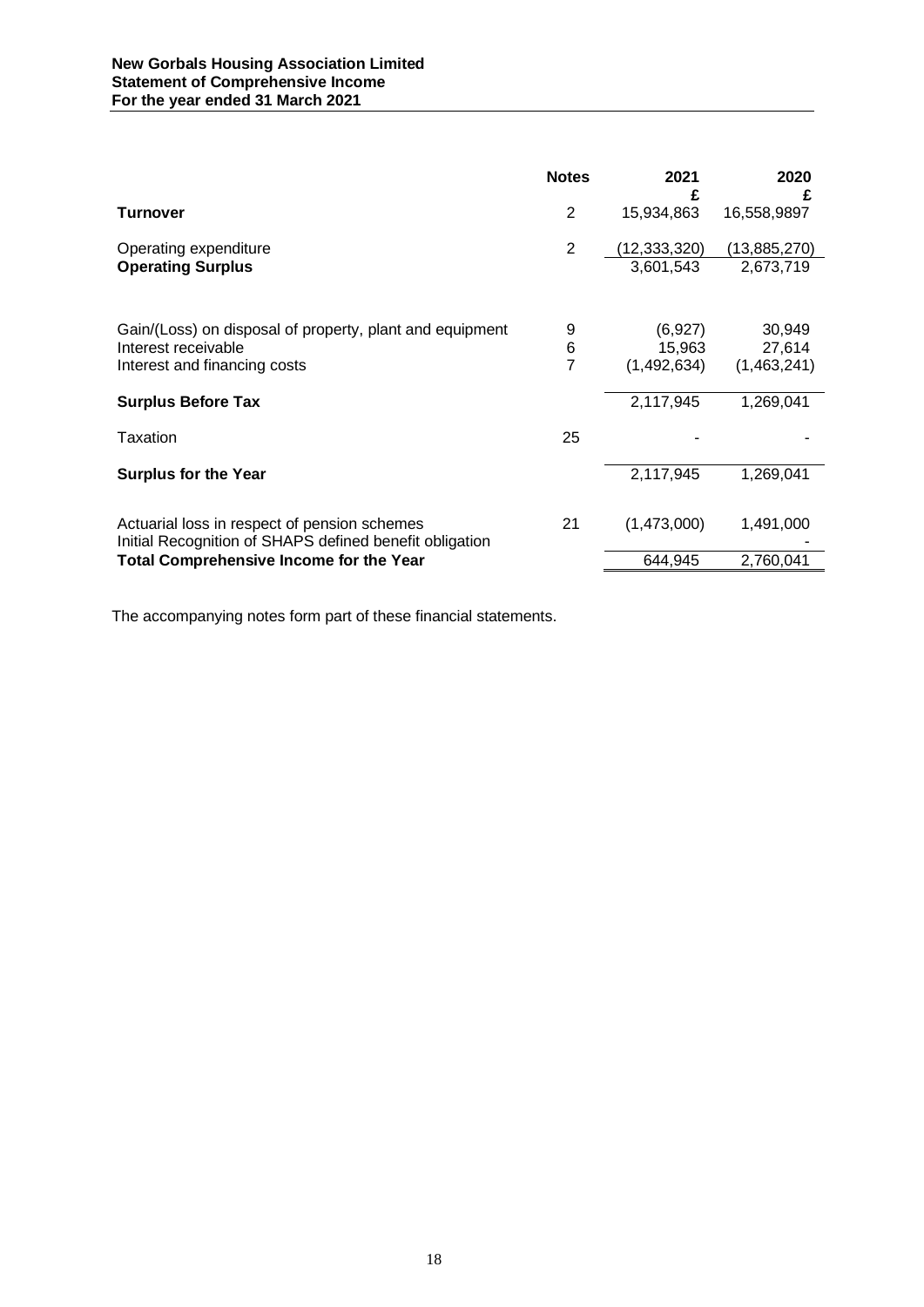|                                                                                                         | <b>Notes</b>   | 2021<br>£                 | 2020<br>£                 |
|---------------------------------------------------------------------------------------------------------|----------------|---------------------------|---------------------------|
| <b>Turnover</b>                                                                                         | 2              | 15,934,863                | 16,558,9897               |
| Operating expenditure<br><b>Operating Surplus</b>                                                       | $\overline{2}$ | (12,333,320)<br>3,601,543 | (13,885,270)<br>2,673,719 |
|                                                                                                         |                |                           |                           |
| Gain/(Loss) on disposal of property, plant and equipment                                                | 9              | (6,927)                   | 30,949                    |
| Interest receivable<br>Interest and financing costs                                                     | 6<br>7         | 15,963<br>(1,492,634)     | 27,614<br>(1,463,241)     |
| <b>Surplus Before Tax</b>                                                                               |                | 2,117,945                 | 1,269,041                 |
| Taxation                                                                                                | 25             |                           |                           |
| <b>Surplus for the Year</b>                                                                             |                | 2,117,945                 | 1,269,041                 |
|                                                                                                         |                |                           |                           |
| Actuarial loss in respect of pension schemes<br>Initial Recognition of SHAPS defined benefit obligation | 21             | (1,473,000)               | 1,491,000                 |
| <b>Total Comprehensive Income for the Year</b>                                                          |                | 644,945                   | 2,760,041                 |

The accompanying notes form part of these financial statements.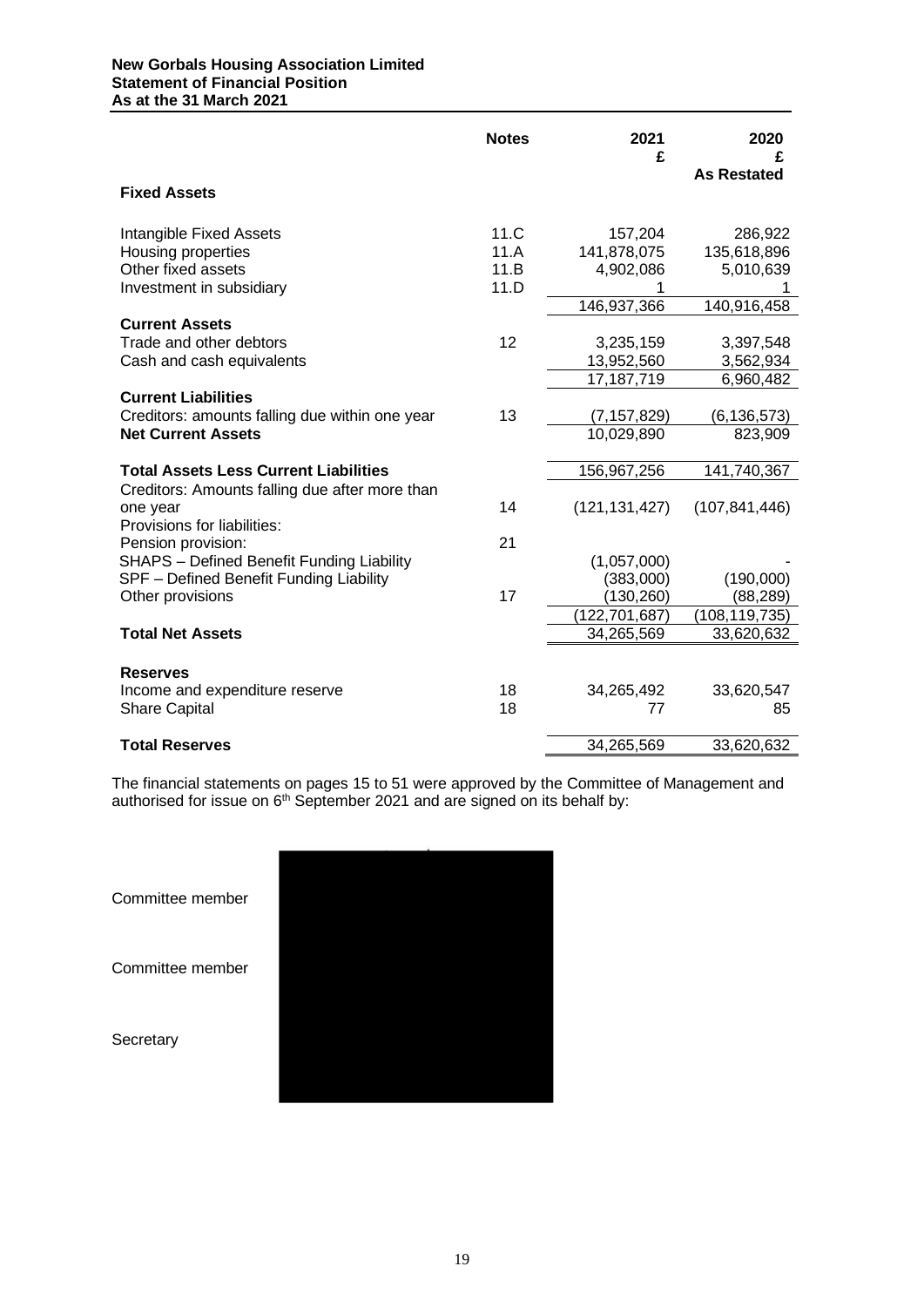# **New Gorbals Housing Association Limited Statement of Financial Position As at the 31 March 2021**

|                                                                                                                   | <b>Notes</b>                 | 2021<br>£                                          | 2020<br><b>As Restated</b>                         |
|-------------------------------------------------------------------------------------------------------------------|------------------------------|----------------------------------------------------|----------------------------------------------------|
| <b>Fixed Assets</b>                                                                                               |                              |                                                    |                                                    |
| <b>Intangible Fixed Assets</b><br>Housing properties<br>Other fixed assets<br>Investment in subsidiary            | 11.C<br>11.A<br>11.B<br>11.D | 157,204<br>141,878,075<br>4,902,086<br>146,937,366 | 286,922<br>135,618,896<br>5,010,639<br>140,916,458 |
| <b>Current Assets</b><br>Trade and other debtors<br>Cash and cash equivalents                                     | 12                           | 3,235,159<br>13,952,560<br>17,187,719              | 3,397,548<br>3,562,934<br>6,960,482                |
| <b>Current Liabilities</b><br>Creditors: amounts falling due within one year<br><b>Net Current Assets</b>         | 13                           | (7, 157, 829)<br>10,029,890                        | (6, 136, 573)<br>823,909                           |
| <b>Total Assets Less Current Liabilities</b>                                                                      |                              | 156,967,256                                        | 141,740,367                                        |
| Creditors: Amounts falling due after more than<br>one year<br>Provisions for liabilities:                         | 14                           | (121, 131, 427)                                    | (107, 841, 446)                                    |
| Pension provision:<br><b>SHAPS</b> - Defined Benefit Funding Liability<br>SPF - Defined Benefit Funding Liability | 21                           | (1,057,000)<br>(383,000)                           | (190,000)                                          |
| Other provisions<br><b>Total Net Assets</b>                                                                       | 17                           | (130, 260)<br>(122, 701, 687)<br>34,265,569        | (88, 289)<br>(108, 119, 735)<br>33,620,632         |
| <b>Reserves</b><br>Income and expenditure reserve<br><b>Share Capital</b>                                         | 18<br>18                     | 34,265,492<br>77                                   | 33,620,547<br>85                                   |
| <b>Total Reserves</b>                                                                                             |                              | 34,265,569                                         | 33,620,632                                         |

The financial statements on pages 15 to 51 were approved by the Committee of Management and authorised for issue on  $6<sup>th</sup>$  September 2021 and are signed on its behalf by:

| Committee member |  |
|------------------|--|
| Committee member |  |
| Secretary        |  |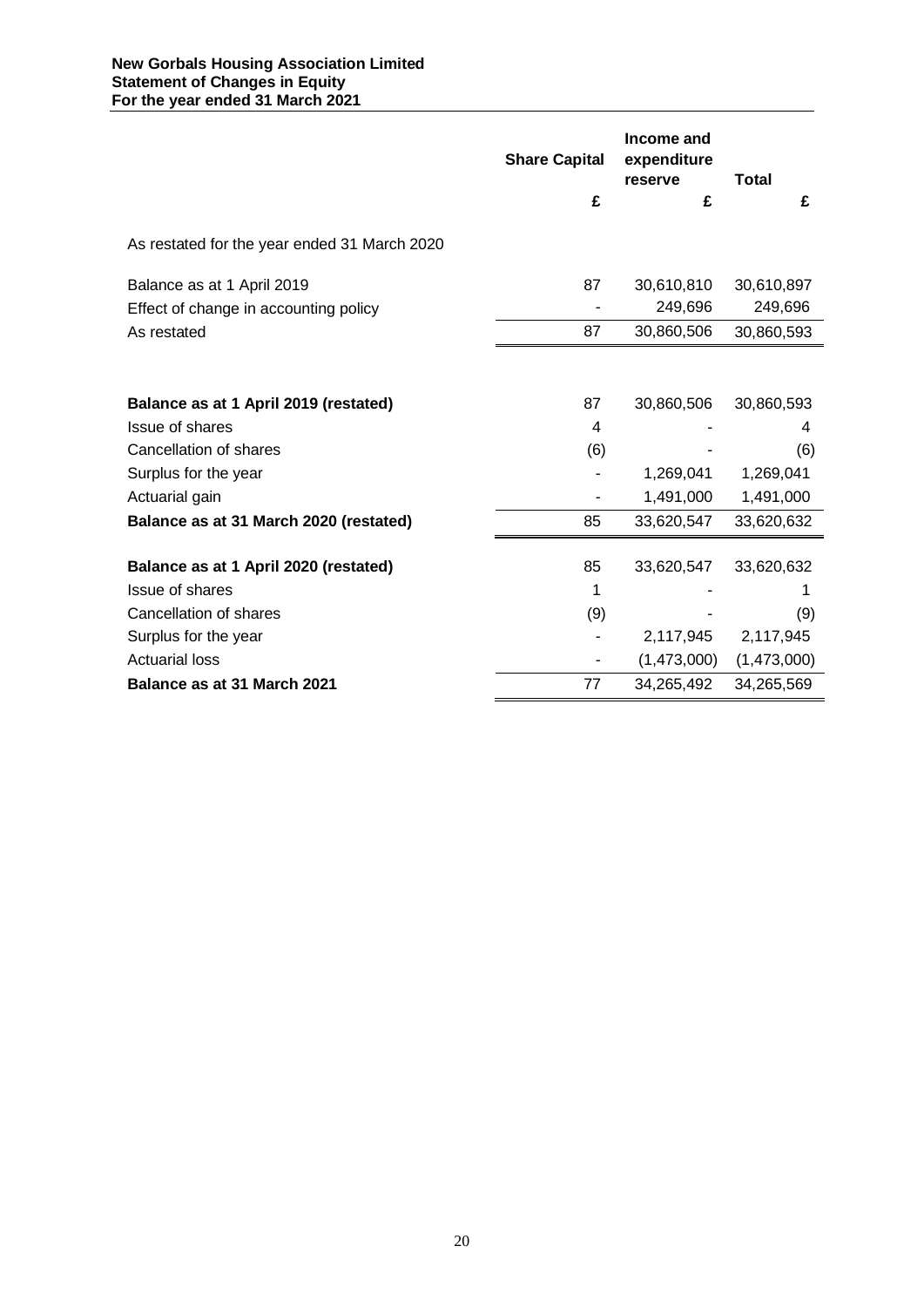|                                              | <b>Share Capital</b> | Income and<br>expenditure<br>reserve | <b>Total</b> |
|----------------------------------------------|----------------------|--------------------------------------|--------------|
|                                              | £                    | £                                    | £            |
| As restated for the year ended 31 March 2020 |                      |                                      |              |
| Balance as at 1 April 2019                   | 87                   | 30,610,810                           | 30,610,897   |
| Effect of change in accounting policy        |                      | 249,696                              | 249,696      |
| As restated                                  | 87                   | 30,860,506                           | 30,860,593   |
|                                              |                      |                                      |              |
| Balance as at 1 April 2019 (restated)        | 87                   | 30,860,506                           | 30,860,593   |
| <b>Issue of shares</b>                       | 4                    |                                      | 4            |
| Cancellation of shares                       | (6)                  |                                      | (6)          |
| Surplus for the year                         |                      | 1,269,041                            | 1,269,041    |
| Actuarial gain                               |                      | 1,491,000                            | 1,491,000    |
| Balance as at 31 March 2020 (restated)       | 85                   | 33,620,547                           | 33,620,632   |
| Balance as at 1 April 2020 (restated)        | 85                   | 33,620,547                           | 33,620,632   |
| <b>Issue of shares</b>                       | 1                    |                                      |              |
| Cancellation of shares                       | (9)                  |                                      | (9)          |
| Surplus for the year                         |                      | 2,117,945                            | 2,117,945    |
| <b>Actuarial loss</b>                        | ۰                    | (1,473,000)                          | (1,473,000)  |
| Balance as at 31 March 2021                  | 77                   | 34,265,492                           | 34,265,569   |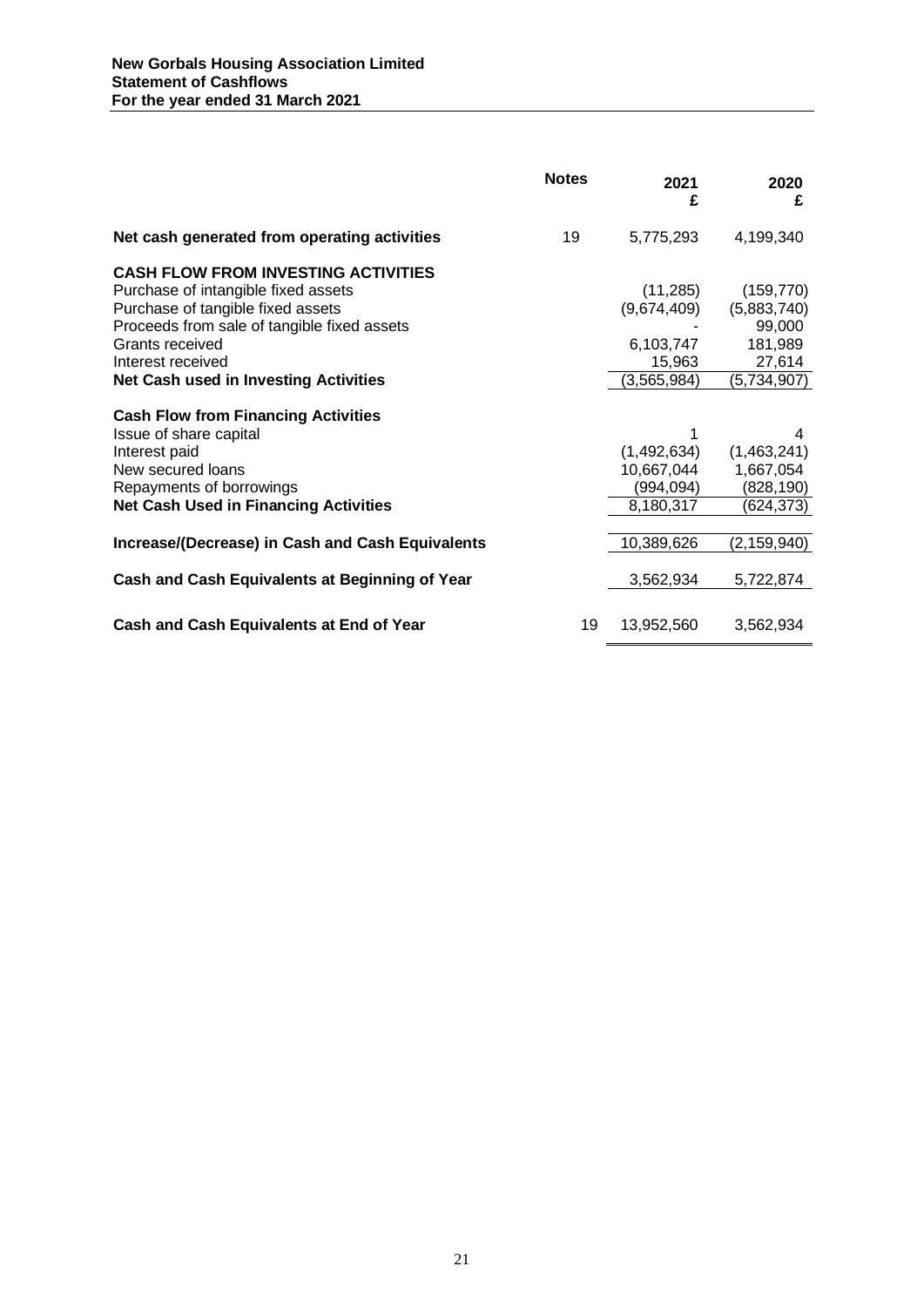|                                                                      | <b>Notes</b> | 2021<br>£     | 2020<br>£     |
|----------------------------------------------------------------------|--------------|---------------|---------------|
| Net cash generated from operating activities                         | 19           | 5,775,293     | 4,199,340     |
| <b>CASH FLOW FROM INVESTING ACTIVITIES</b>                           |              |               |               |
| Purchase of intangible fixed assets                                  |              | (11, 285)     | (159, 770)    |
| Purchase of tangible fixed assets                                    |              | (9,674,409)   | (5,883,740)   |
| Proceeds from sale of tangible fixed assets                          |              |               | 99,000        |
| Grants received                                                      |              | 6,103,747     | 181,989       |
| Interest received                                                    |              | 15,963        | 27,614        |
| <b>Net Cash used in Investing Activities</b>                         |              | (3, 565, 984) | (5,734,907)   |
| <b>Cash Flow from Financing Activities</b><br>Issue of share capital |              |               | 4             |
| Interest paid                                                        |              | (1,492,634)   | (1,463,241)   |
| New secured loans                                                    |              | 10,667,044    | 1,667,054     |
| Repayments of borrowings                                             |              | (994, 094)    | (828,190)     |
| <b>Net Cash Used in Financing Activities</b>                         |              | 8,180,317     | (624,373)     |
|                                                                      |              |               |               |
| Increase/(Decrease) in Cash and Cash Equivalents                     |              | 10,389,626    | (2, 159, 940) |
| Cash and Cash Equivalents at Beginning of Year                       |              | 3,562,934     | 5,722,874     |
|                                                                      |              |               |               |
| Cash and Cash Equivalents at End of Year                             | 19           | 13,952,560    | 3,562,934     |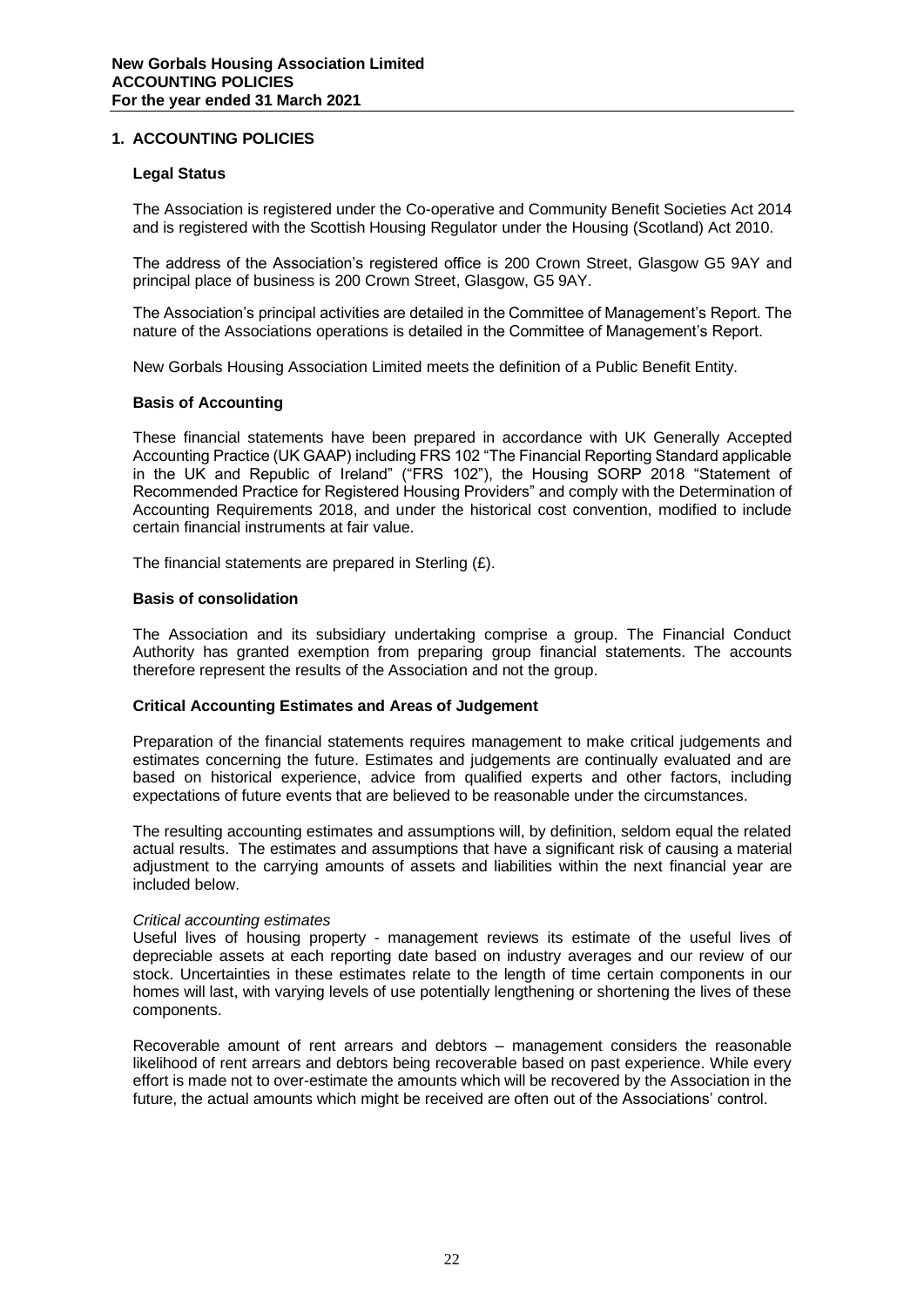# **1. ACCOUNTING POLICIES**

# **Legal Status**

The Association is registered under the Co-operative and Community Benefit Societies Act 2014 and is registered with the Scottish Housing Regulator under the Housing (Scotland) Act 2010.

The address of the Association's registered office is 200 Crown Street, Glasgow G5 9AY and principal place of business is 200 Crown Street, Glasgow, G5 9AY.

The Association's principal activities are detailed in the Committee of Management's Report. The nature of the Associations operations is detailed in the Committee of Management's Report.

New Gorbals Housing Association Limited meets the definition of a Public Benefit Entity.

# **Basis of Accounting**

These financial statements have been prepared in accordance with UK Generally Accepted Accounting Practice (UK GAAP) including FRS 102 "The Financial Reporting Standard applicable in the UK and Republic of Ireland" ("FRS 102"), the Housing SORP 2018 "Statement of Recommended Practice for Registered Housing Providers" and comply with the Determination of Accounting Requirements 2018, and under the historical cost convention, modified to include certain financial instruments at fair value.

The financial statements are prepared in Sterling  $(E)$ .

# **Basis of consolidation**

The Association and its subsidiary undertaking comprise a group. The Financial Conduct Authority has granted exemption from preparing group financial statements. The accounts therefore represent the results of the Association and not the group.

# **Critical Accounting Estimates and Areas of Judgement**

Preparation of the financial statements requires management to make critical judgements and estimates concerning the future. Estimates and judgements are continually evaluated and are based on historical experience, advice from qualified experts and other factors, including expectations of future events that are believed to be reasonable under the circumstances.

The resulting accounting estimates and assumptions will, by definition, seldom equal the related actual results. The estimates and assumptions that have a significant risk of causing a material adjustment to the carrying amounts of assets and liabilities within the next financial year are included below.

# *Critical accounting estimates*

Useful lives of housing property - management reviews its estimate of the useful lives of depreciable assets at each reporting date based on industry averages and our review of our stock. Uncertainties in these estimates relate to the length of time certain components in our homes will last, with varying levels of use potentially lengthening or shortening the lives of these components.

Recoverable amount of rent arrears and debtors – management considers the reasonable likelihood of rent arrears and debtors being recoverable based on past experience. While every effort is made not to over-estimate the amounts which will be recovered by the Association in the future, the actual amounts which might be received are often out of the Associations' control.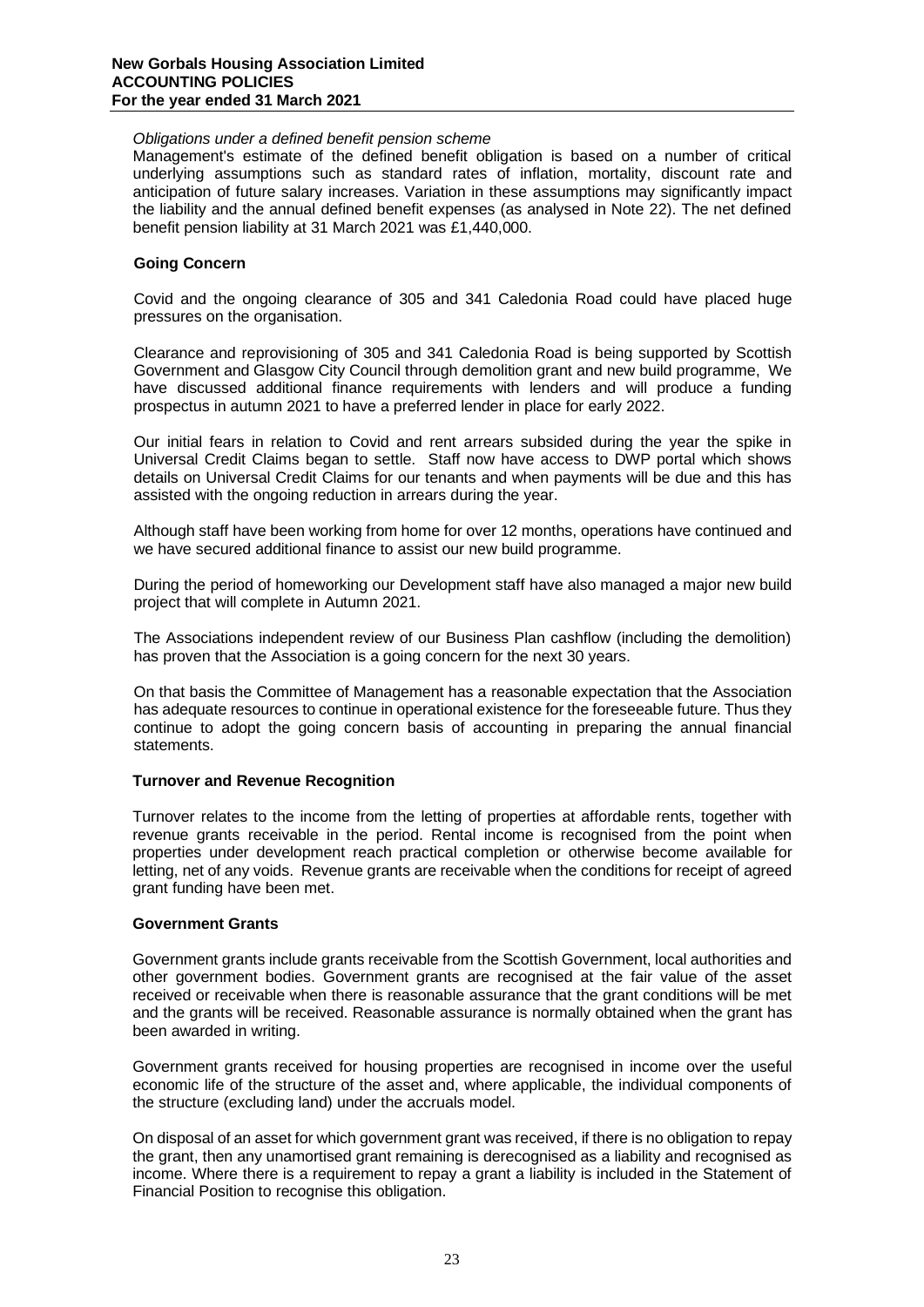#### **New Gorbals Housing Association Limited ACCOUNTING POLICIES For the year ended 31 March 2021**

# *Obligations under a defined benefit pension scheme*

Management's estimate of the defined benefit obligation is based on a number of critical underlying assumptions such as standard rates of inflation, mortality, discount rate and anticipation of future salary increases. Variation in these assumptions may significantly impact the liability and the annual defined benefit expenses (as analysed in Note 22). The net defined benefit pension liability at 31 March 2021 was £1,440,000.

# **Going Concern**

Covid and the ongoing clearance of 305 and 341 Caledonia Road could have placed huge pressures on the organisation.

Clearance and reprovisioning of 305 and 341 Caledonia Road is being supported by Scottish Government and Glasgow City Council through demolition grant and new build programme, We have discussed additional finance requirements with lenders and will produce a funding prospectus in autumn 2021 to have a preferred lender in place for early 2022.

Our initial fears in relation to Covid and rent arrears subsided during the year the spike in Universal Credit Claims began to settle. Staff now have access to DWP portal which shows details on Universal Credit Claims for our tenants and when payments will be due and this has assisted with the ongoing reduction in arrears during the year.

Although staff have been working from home for over 12 months, operations have continued and we have secured additional finance to assist our new build programme.

During the period of homeworking our Development staff have also managed a major new build project that will complete in Autumn 2021.

The Associations independent review of our Business Plan cashflow (including the demolition) has proven that the Association is a going concern for the next 30 years.

On that basis the Committee of Management has a reasonable expectation that the Association has adequate resources to continue in operational existence for the foreseeable future. Thus they continue to adopt the going concern basis of accounting in preparing the annual financial statements.

# **Turnover and Revenue Recognition**

Turnover relates to the income from the letting of properties at affordable rents, together with revenue grants receivable in the period. Rental income is recognised from the point when properties under development reach practical completion or otherwise become available for letting, net of any voids. Revenue grants are receivable when the conditions for receipt of agreed grant funding have been met.

# **Government Grants**

Government grants include grants receivable from the Scottish Government, local authorities and other government bodies. Government grants are recognised at the fair value of the asset received or receivable when there is reasonable assurance that the grant conditions will be met and the grants will be received. Reasonable assurance is normally obtained when the grant has been awarded in writing.

Government grants received for housing properties are recognised in income over the useful economic life of the structure of the asset and, where applicable, the individual components of the structure (excluding land) under the accruals model.

On disposal of an asset for which government grant was received, if there is no obligation to repay the grant, then any unamortised grant remaining is derecognised as a liability and recognised as income. Where there is a requirement to repay a grant a liability is included in the Statement of Financial Position to recognise this obligation.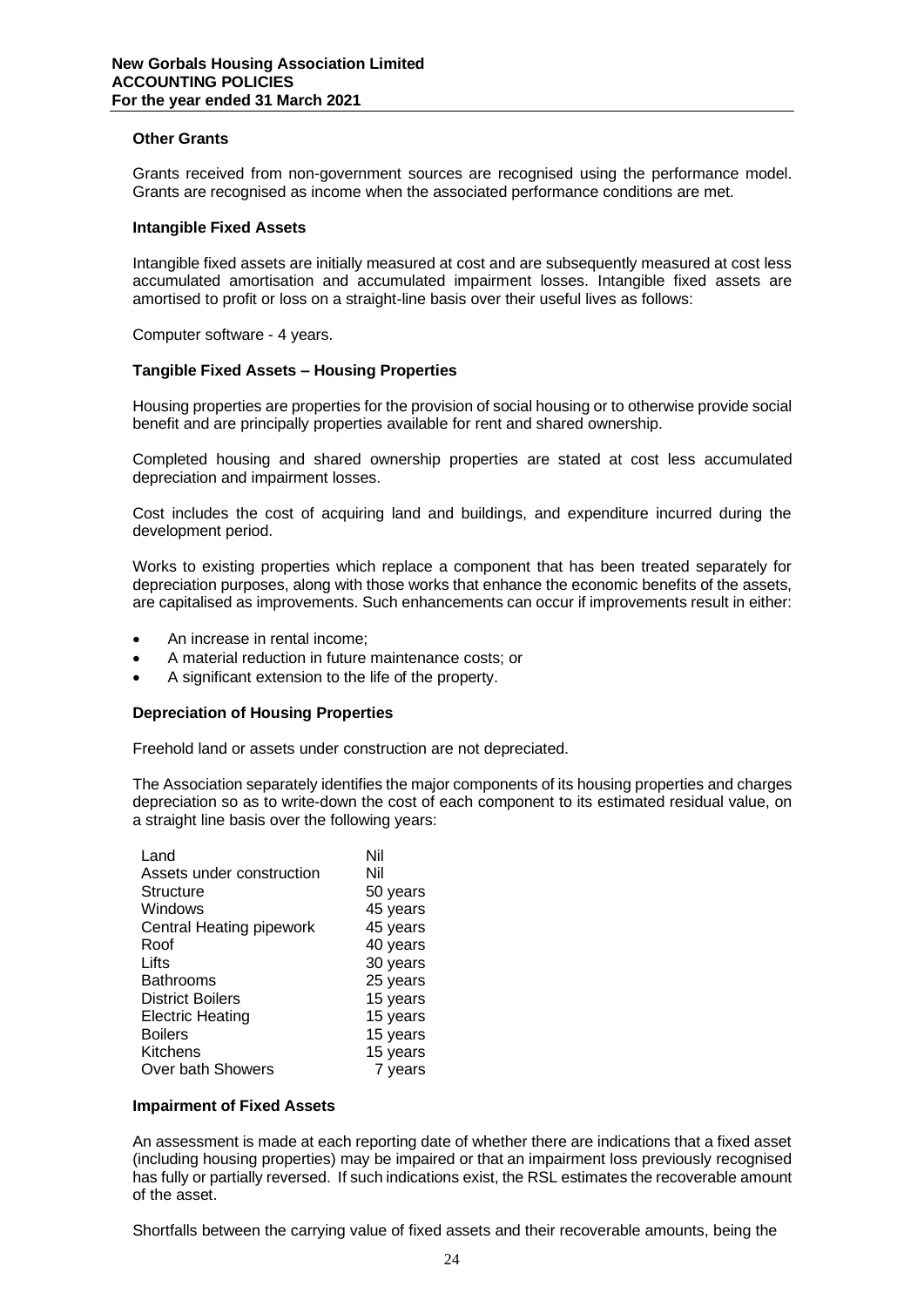# **Other Grants**

Grants received from non-government sources are recognised using the performance model. Grants are recognised as income when the associated performance conditions are met.

#### **Intangible Fixed Assets**

Intangible fixed assets are initially measured at cost and are subsequently measured at cost less accumulated amortisation and accumulated impairment losses. Intangible fixed assets are amortised to profit or loss on a straight-line basis over their useful lives as follows:

Computer software - 4 years.

# **Tangible Fixed Assets – Housing Properties**

Housing properties are properties for the provision of social housing or to otherwise provide social benefit and are principally properties available for rent and shared ownership.

Completed housing and shared ownership properties are stated at cost less accumulated depreciation and impairment losses.

Cost includes the cost of acquiring land and buildings, and expenditure incurred during the development period.

Works to existing properties which replace a component that has been treated separately for depreciation purposes, along with those works that enhance the economic benefits of the assets, are capitalised as improvements. Such enhancements can occur if improvements result in either:

- An increase in rental income;
- A material reduction in future maintenance costs; or
- A significant extension to the life of the property.

# **Depreciation of Housing Properties**

Freehold land or assets under construction are not depreciated.

The Association separately identifies the major components of its housing properties and charges depreciation so as to write-down the cost of each component to its estimated residual value, on a straight line basis over the following years:

| Land                      | Nil      |
|---------------------------|----------|
| Assets under construction | Nil      |
| Structure                 | 50 years |
| Windows                   | 45 years |
| Central Heating pipework  | 45 years |
| Roof                      | 40 years |
| Lifts                     | 30 years |
| <b>Bathrooms</b>          | 25 years |
| <b>District Boilers</b>   | 15 years |
| <b>Electric Heating</b>   | 15 years |
| <b>Boilers</b>            | 15 years |
| Kitchens                  | 15 years |
| Over bath Showers         | 7 years  |

#### **Impairment of Fixed Assets**

An assessment is made at each reporting date of whether there are indications that a fixed asset (including housing properties) may be impaired or that an impairment loss previously recognised has fully or partially reversed. If such indications exist, the RSL estimates the recoverable amount of the asset.

Shortfalls between the carrying value of fixed assets and their recoverable amounts, being the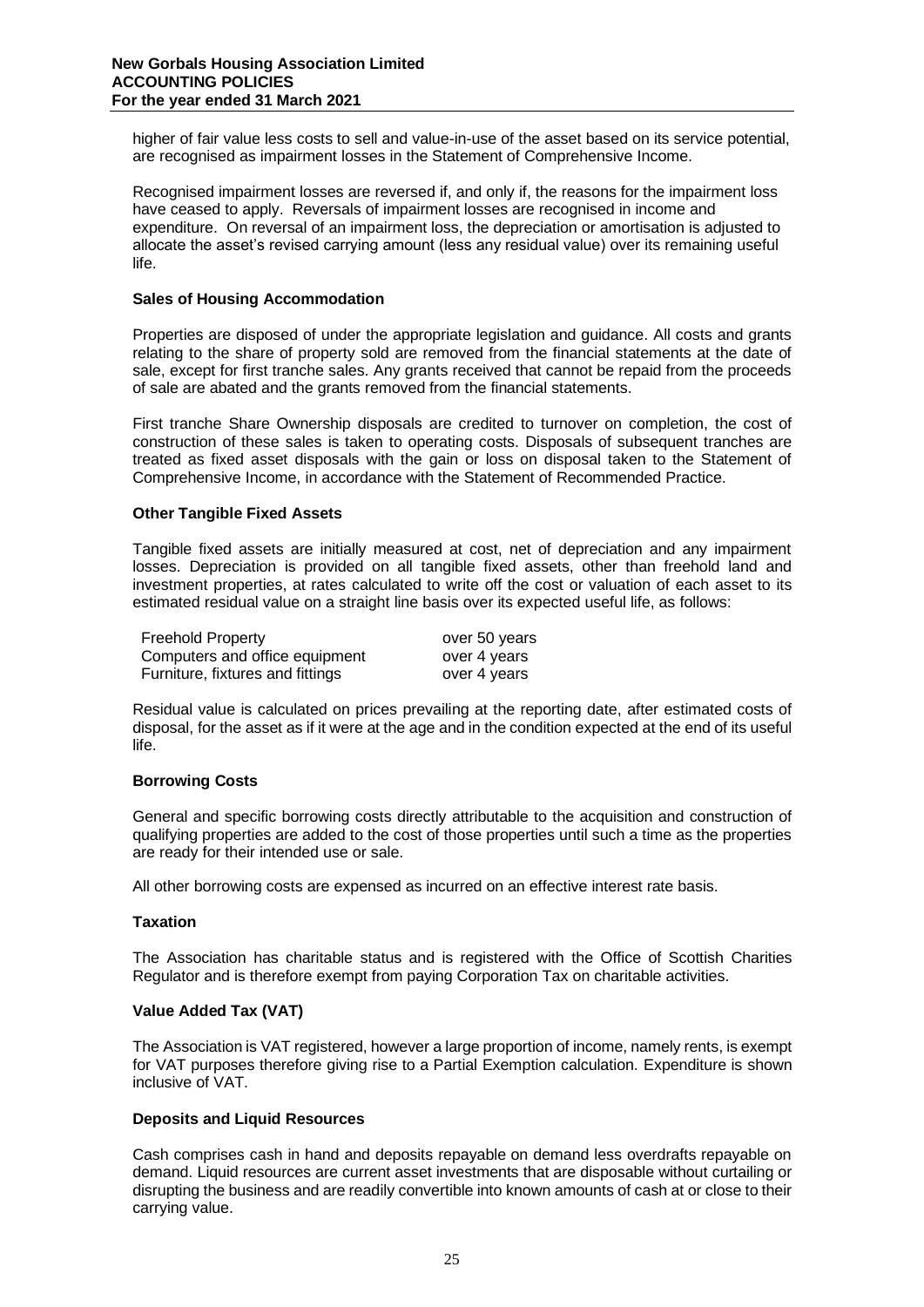higher of fair value less costs to sell and value-in-use of the asset based on its service potential, are recognised as impairment losses in the Statement of Comprehensive Income.

Recognised impairment losses are reversed if, and only if, the reasons for the impairment loss have ceased to apply. Reversals of impairment losses are recognised in income and expenditure. On reversal of an impairment loss, the depreciation or amortisation is adjusted to allocate the asset's revised carrying amount (less any residual value) over its remaining useful life.

# **Sales of Housing Accommodation**

Properties are disposed of under the appropriate legislation and guidance. All costs and grants relating to the share of property sold are removed from the financial statements at the date of sale, except for first tranche sales. Any grants received that cannot be repaid from the proceeds of sale are abated and the grants removed from the financial statements.

First tranche Share Ownership disposals are credited to turnover on completion, the cost of construction of these sales is taken to operating costs. Disposals of subsequent tranches are treated as fixed asset disposals with the gain or loss on disposal taken to the Statement of Comprehensive Income, in accordance with the Statement of Recommended Practice.

# **Other Tangible Fixed Assets**

Tangible fixed assets are initially measured at cost, net of depreciation and any impairment losses. Depreciation is provided on all tangible fixed assets, other than freehold land and investment properties, at rates calculated to write off the cost or valuation of each asset to its estimated residual value on a straight line basis over its expected useful life, as follows:

| <b>Freehold Property</b>         | over 50 years |
|----------------------------------|---------------|
| Computers and office equipment   | over 4 years  |
| Furniture, fixtures and fittings | over 4 years  |

Residual value is calculated on prices prevailing at the reporting date, after estimated costs of disposal, for the asset as if it were at the age and in the condition expected at the end of its useful life.

# **Borrowing Costs**

General and specific borrowing costs directly attributable to the acquisition and construction of qualifying properties are added to the cost of those properties until such a time as the properties are ready for their intended use or sale.

All other borrowing costs are expensed as incurred on an effective interest rate basis.

# **Taxation**

The Association has charitable status and is registered with the Office of Scottish Charities Regulator and is therefore exempt from paying Corporation Tax on charitable activities.

# **Value Added Tax (VAT)**

The Association is VAT registered, however a large proportion of income, namely rents, is exempt for VAT purposes therefore giving rise to a Partial Exemption calculation. Expenditure is shown inclusive of VAT.

# **Deposits and Liquid Resources**

Cash comprises cash in hand and deposits repayable on demand less overdrafts repayable on demand. Liquid resources are current asset investments that are disposable without curtailing or disrupting the business and are readily convertible into known amounts of cash at or close to their carrying value.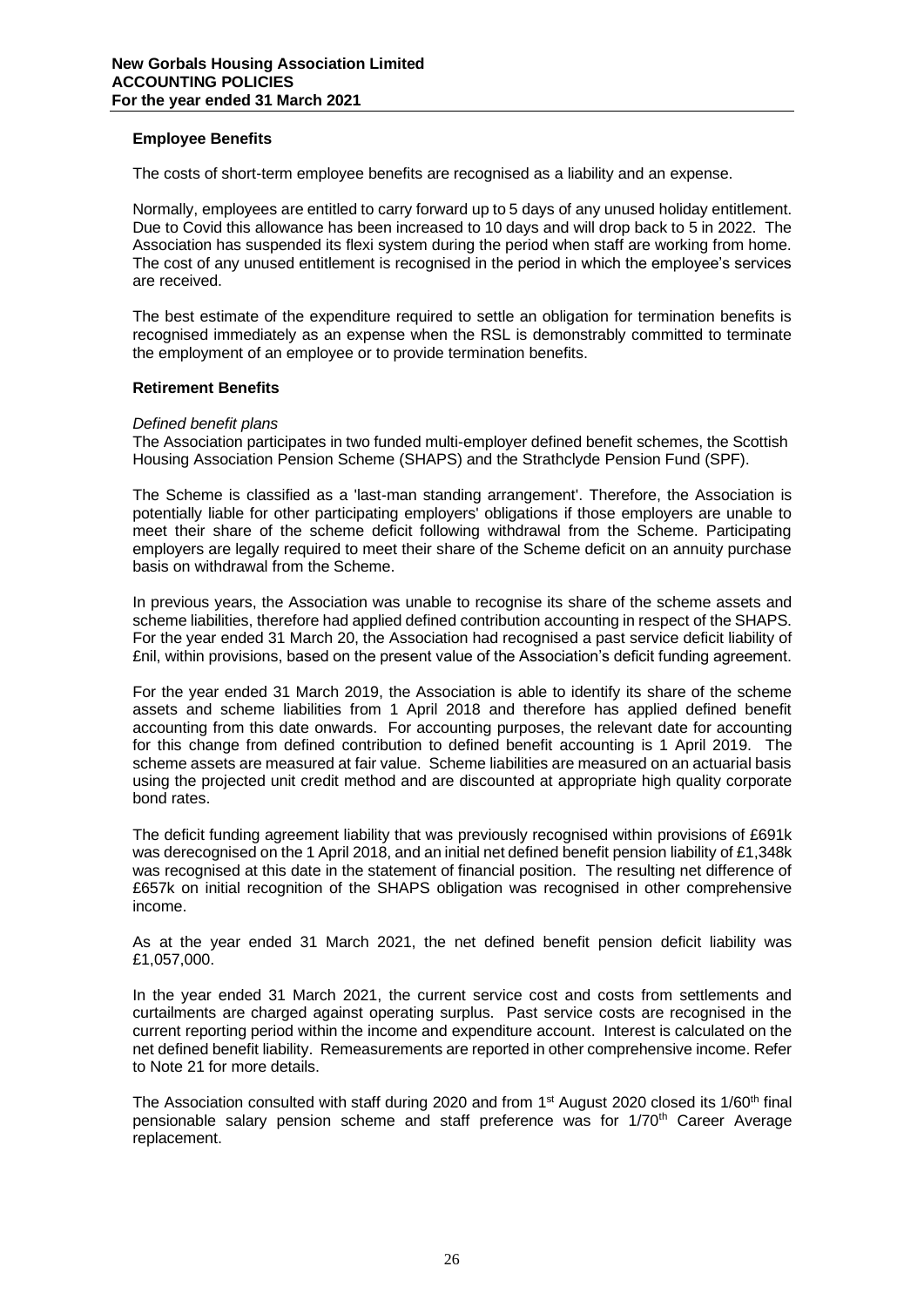# **Employee Benefits**

The costs of short-term employee benefits are recognised as a liability and an expense.

Normally, employees are entitled to carry forward up to 5 days of any unused holiday entitlement. Due to Covid this allowance has been increased to 10 days and will drop back to 5 in 2022. The Association has suspended its flexi system during the period when staff are working from home. The cost of any unused entitlement is recognised in the period in which the employee's services are received.

The best estimate of the expenditure required to settle an obligation for termination benefits is recognised immediately as an expense when the RSL is demonstrably committed to terminate the employment of an employee or to provide termination benefits.

#### **Retirement Benefits**

#### *Defined benefit plans*

The Association participates in two funded multi-employer defined benefit schemes, the Scottish Housing Association Pension Scheme (SHAPS) and the Strathclyde Pension Fund (SPF).

The Scheme is classified as a 'last-man standing arrangement'. Therefore, the Association is potentially liable for other participating employers' obligations if those employers are unable to meet their share of the scheme deficit following withdrawal from the Scheme. Participating employers are legally required to meet their share of the Scheme deficit on an annuity purchase basis on withdrawal from the Scheme.

In previous years, the Association was unable to recognise its share of the scheme assets and scheme liabilities, therefore had applied defined contribution accounting in respect of the SHAPS. For the year ended 31 March 20, the Association had recognised a past service deficit liability of £nil, within provisions, based on the present value of the Association's deficit funding agreement.

For the year ended 31 March 2019, the Association is able to identify its share of the scheme assets and scheme liabilities from 1 April 2018 and therefore has applied defined benefit accounting from this date onwards. For accounting purposes, the relevant date for accounting for this change from defined contribution to defined benefit accounting is 1 April 2019. The scheme assets are measured at fair value. Scheme liabilities are measured on an actuarial basis using the projected unit credit method and are discounted at appropriate high quality corporate bond rates.

The deficit funding agreement liability that was previously recognised within provisions of £691k was derecognised on the 1 April 2018, and an initial net defined benefit pension liability of £1,348k was recognised at this date in the statement of financial position. The resulting net difference of £657k on initial recognition of the SHAPS obligation was recognised in other comprehensive income.

As at the year ended 31 March 2021, the net defined benefit pension deficit liability was £1,057,000.

In the year ended 31 March 2021, the current service cost and costs from settlements and curtailments are charged against operating surplus. Past service costs are recognised in the current reporting period within the income and expenditure account. Interest is calculated on the net defined benefit liability. Remeasurements are reported in other comprehensive income. Refer to Note 21 for more details.

The Association consulted with staff during 2020 and from 1<sup>st</sup> August 2020 closed its 1/60<sup>th</sup> final pensionable salary pension scheme and staff preference was for 1/70th Career Average replacement.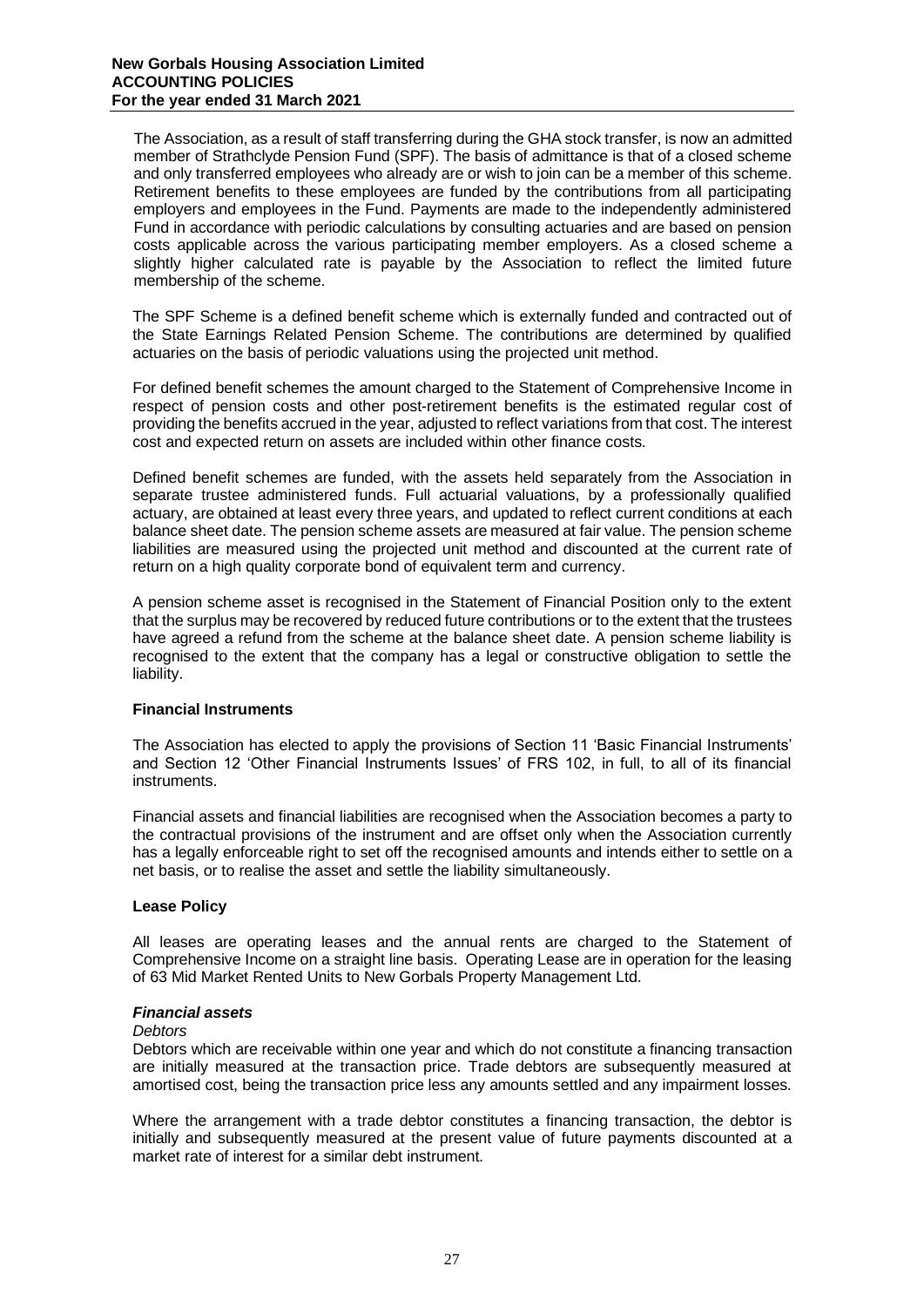The Association, as a result of staff transferring during the GHA stock transfer, is now an admitted member of Strathclyde Pension Fund (SPF). The basis of admittance is that of a closed scheme and only transferred employees who already are or wish to join can be a member of this scheme. Retirement benefits to these employees are funded by the contributions from all participating employers and employees in the Fund. Payments are made to the independently administered Fund in accordance with periodic calculations by consulting actuaries and are based on pension costs applicable across the various participating member employers. As a closed scheme a slightly higher calculated rate is payable by the Association to reflect the limited future membership of the scheme.

The SPF Scheme is a defined benefit scheme which is externally funded and contracted out of the State Earnings Related Pension Scheme. The contributions are determined by qualified actuaries on the basis of periodic valuations using the projected unit method.

For defined benefit schemes the amount charged to the Statement of Comprehensive Income in respect of pension costs and other post-retirement benefits is the estimated regular cost of providing the benefits accrued in the year, adjusted to reflect variations from that cost. The interest cost and expected return on assets are included within other finance costs.

Defined benefit schemes are funded, with the assets held separately from the Association in separate trustee administered funds. Full actuarial valuations, by a professionally qualified actuary, are obtained at least every three years, and updated to reflect current conditions at each balance sheet date. The pension scheme assets are measured at fair value. The pension scheme liabilities are measured using the projected unit method and discounted at the current rate of return on a high quality corporate bond of equivalent term and currency.

A pension scheme asset is recognised in the Statement of Financial Position only to the extent that the surplus may be recovered by reduced future contributions or to the extent that the trustees have agreed a refund from the scheme at the balance sheet date. A pension scheme liability is recognised to the extent that the company has a legal or constructive obligation to settle the liability.

# **Financial Instruments**

The Association has elected to apply the provisions of Section 11 'Basic Financial Instruments' and Section 12 'Other Financial Instruments Issues' of FRS 102, in full, to all of its financial instruments.

Financial assets and financial liabilities are recognised when the Association becomes a party to the contractual provisions of the instrument and are offset only when the Association currently has a legally enforceable right to set off the recognised amounts and intends either to settle on a net basis, or to realise the asset and settle the liability simultaneously.

# **Lease Policy**

All leases are operating leases and the annual rents are charged to the Statement of Comprehensive Income on a straight line basis. Operating Lease are in operation for the leasing of 63 Mid Market Rented Units to New Gorbals Property Management Ltd.

# *Financial assets*

# *Debtors*

Debtors which are receivable within one year and which do not constitute a financing transaction are initially measured at the transaction price. Trade debtors are subsequently measured at amortised cost, being the transaction price less any amounts settled and any impairment losses.

Where the arrangement with a trade debtor constitutes a financing transaction, the debtor is initially and subsequently measured at the present value of future payments discounted at a market rate of interest for a similar debt instrument.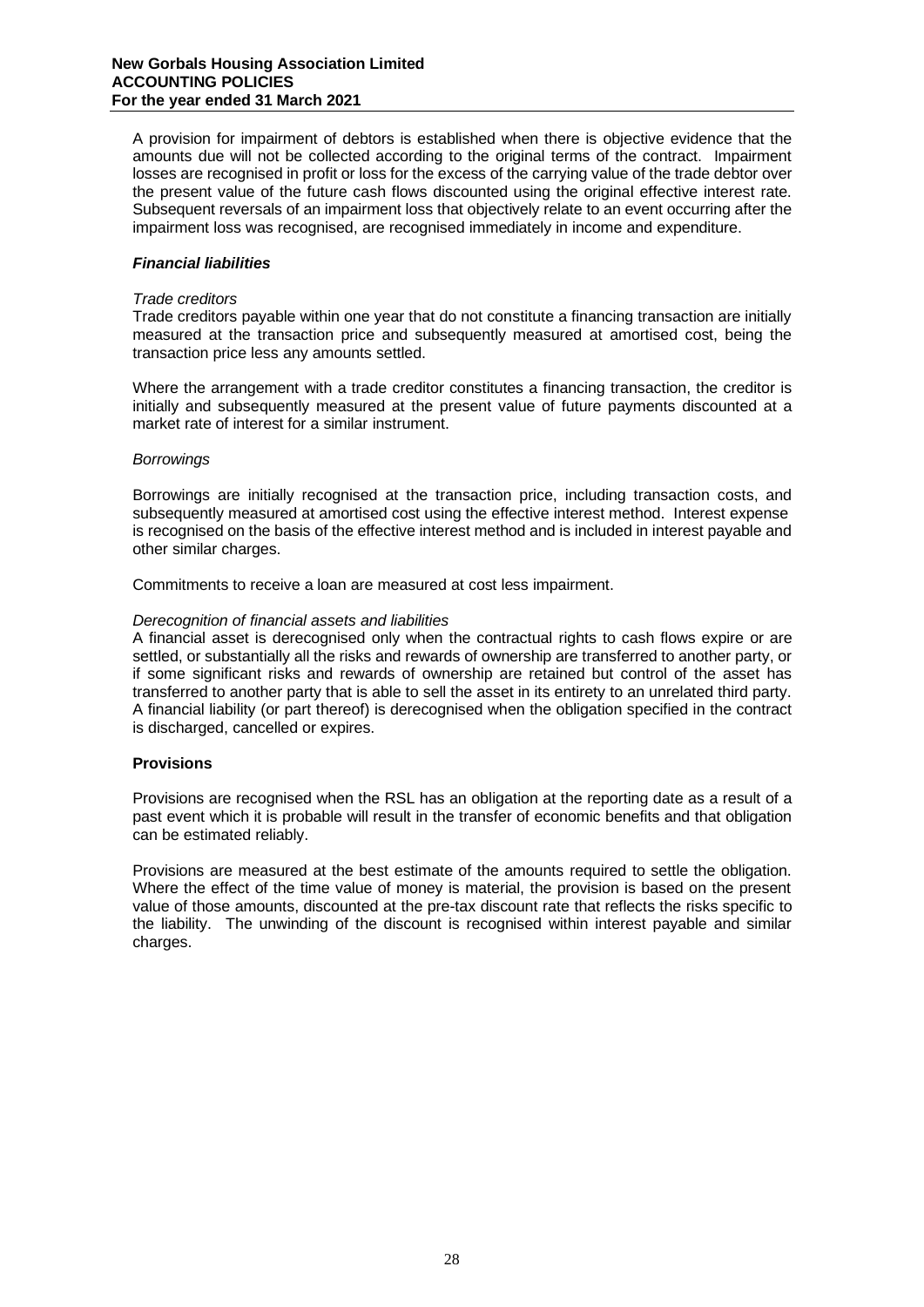A provision for impairment of debtors is established when there is objective evidence that the amounts due will not be collected according to the original terms of the contract. Impairment losses are recognised in profit or loss for the excess of the carrying value of the trade debtor over the present value of the future cash flows discounted using the original effective interest rate. Subsequent reversals of an impairment loss that objectively relate to an event occurring after the impairment loss was recognised, are recognised immediately in income and expenditure.

# *Financial liabilities*

# *Trade creditors*

Trade creditors payable within one year that do not constitute a financing transaction are initially measured at the transaction price and subsequently measured at amortised cost, being the transaction price less any amounts settled.

Where the arrangement with a trade creditor constitutes a financing transaction, the creditor is initially and subsequently measured at the present value of future payments discounted at a market rate of interest for a similar instrument.

# *Borrowings*

Borrowings are initially recognised at the transaction price, including transaction costs, and subsequently measured at amortised cost using the effective interest method. Interest expense is recognised on the basis of the effective interest method and is included in interest payable and other similar charges.

Commitments to receive a loan are measured at cost less impairment.

# *Derecognition of financial assets and liabilities*

A financial asset is derecognised only when the contractual rights to cash flows expire or are settled, or substantially all the risks and rewards of ownership are transferred to another party, or if some significant risks and rewards of ownership are retained but control of the asset has transferred to another party that is able to sell the asset in its entirety to an unrelated third party. A financial liability (or part thereof) is derecognised when the obligation specified in the contract is discharged, cancelled or expires.

# **Provisions**

Provisions are recognised when the RSL has an obligation at the reporting date as a result of a past event which it is probable will result in the transfer of economic benefits and that obligation can be estimated reliably.

Provisions are measured at the best estimate of the amounts required to settle the obligation. Where the effect of the time value of money is material, the provision is based on the present value of those amounts, discounted at the pre-tax discount rate that reflects the risks specific to the liability. The unwinding of the discount is recognised within interest payable and similar charges.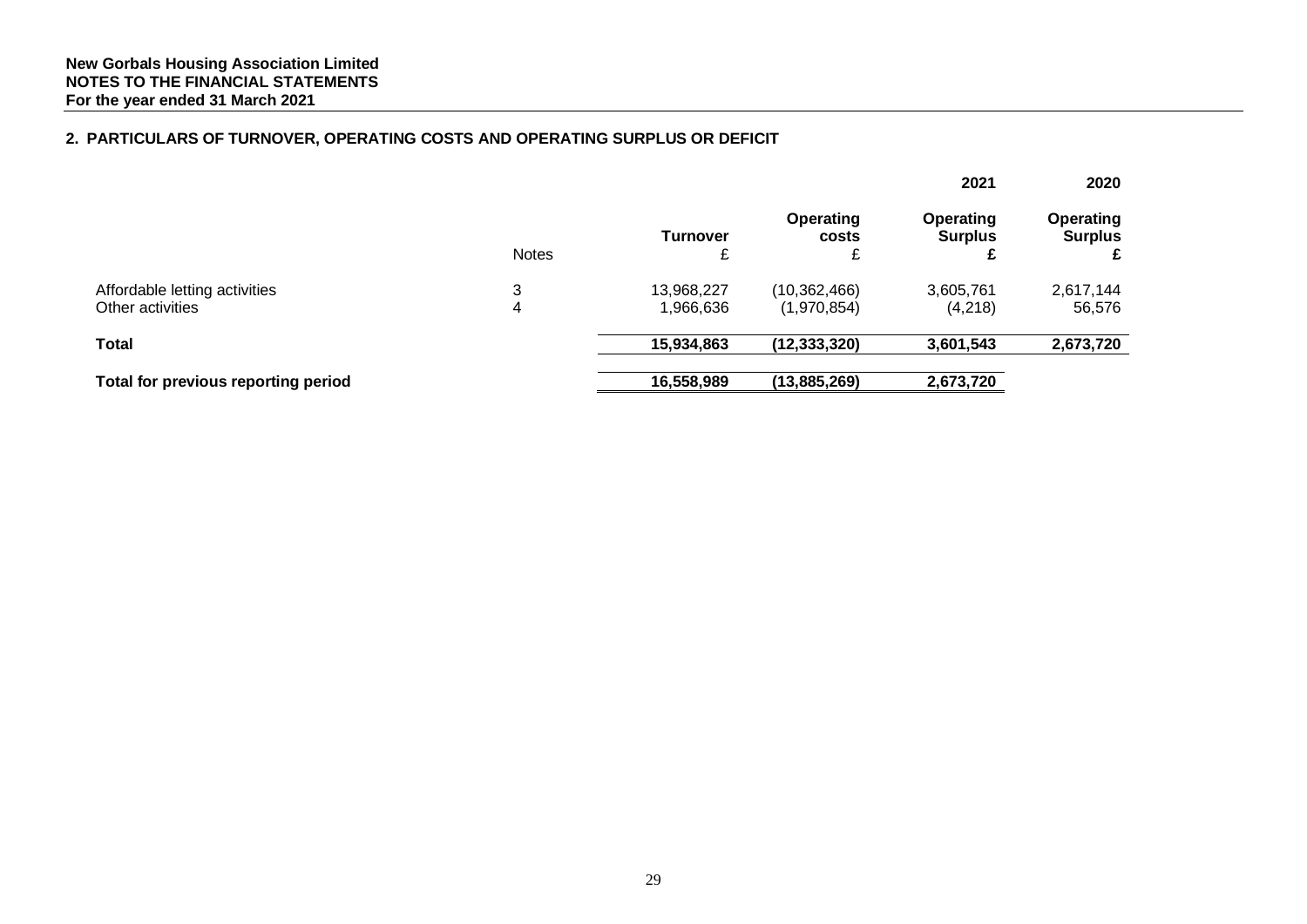# **2. PARTICULARS OF TURNOVER, OPERATING COSTS AND OPERATING SURPLUS OR DEFICIT**

|                                                   |              |                         |                                | 2021                               | 2020                               |
|---------------------------------------------------|--------------|-------------------------|--------------------------------|------------------------------------|------------------------------------|
|                                                   | <b>Notes</b> | <b>Turnover</b>         | <b>Operating</b><br>costs<br>⌒ | <b>Operating</b><br><b>Surplus</b> | <b>Operating</b><br><b>Surplus</b> |
| Affordable letting activities<br>Other activities | 3<br>4       | 13,968,227<br>1,966,636 | (10, 362, 466)<br>(1,970,854)  | 3,605,761<br>(4,218)               | 2,617,144<br>56,576                |
| Total                                             |              | 15,934,863              | (12, 333, 320)                 | 3,601,543                          | 2,673,720                          |
| Total for previous reporting period               |              | 16,558,989              | (13,885,269)                   | 2,673,720                          |                                    |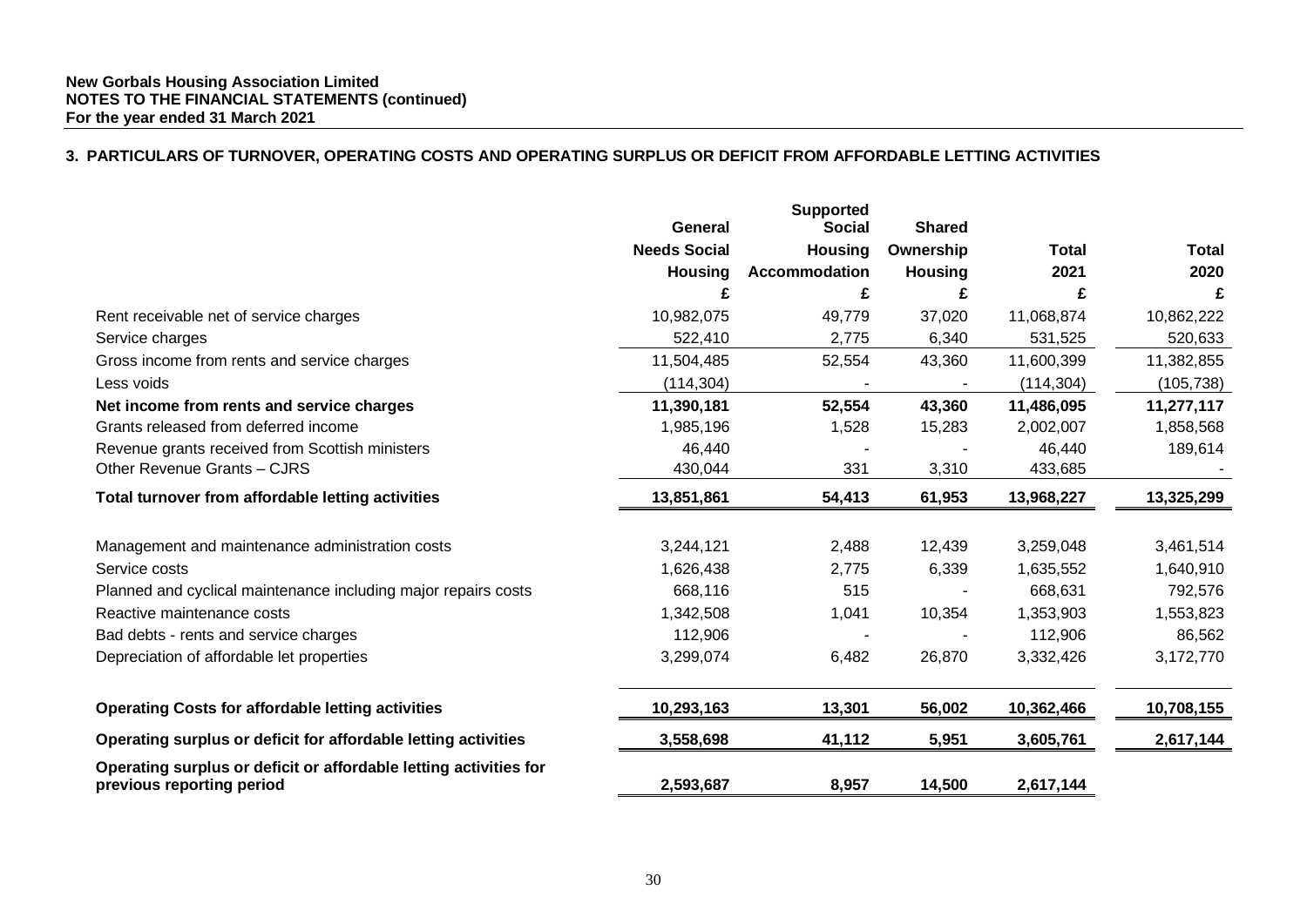# **3. PARTICULARS OF TURNOVER, OPERATING COSTS AND OPERATING SURPLUS OR DEFICIT FROM AFFORDABLE LETTING ACTIVITIES**

|                                                                                                | <b>General</b>      | <b>Supported</b><br><b>Social</b> | <b>Shared</b>  |              |              |
|------------------------------------------------------------------------------------------------|---------------------|-----------------------------------|----------------|--------------|--------------|
|                                                                                                | <b>Needs Social</b> | <b>Housing</b>                    | Ownership      | <b>Total</b> | <b>Total</b> |
|                                                                                                | <b>Housing</b>      | <b>Accommodation</b>              | <b>Housing</b> | 2021         | 2020         |
|                                                                                                | £                   | £                                 | £              | £            | £            |
| Rent receivable net of service charges                                                         | 10,982,075          | 49,779                            | 37,020         | 11,068,874   | 10,862,222   |
| Service charges                                                                                | 522,410             | 2,775                             | 6,340          | 531,525      | 520,633      |
| Gross income from rents and service charges                                                    | 11,504,485          | 52,554                            | 43,360         | 11,600,399   | 11,382,855   |
| Less voids                                                                                     | (114, 304)          |                                   |                | (114, 304)   | (105, 738)   |
| Net income from rents and service charges                                                      | 11,390,181          | 52,554                            | 43,360         | 11,486,095   | 11,277,117   |
| Grants released from deferred income                                                           | 1,985,196           | 1,528                             | 15,283         | 2,002,007    | 1,858,568    |
| Revenue grants received from Scottish ministers                                                | 46,440              |                                   |                | 46,440       | 189,614      |
| Other Revenue Grants - CJRS                                                                    | 430,044             | 331                               | 3,310          | 433,685      |              |
| Total turnover from affordable letting activities                                              | 13,851,861          | 54,413                            | 61,953         | 13,968,227   | 13,325,299   |
|                                                                                                |                     |                                   |                |              |              |
| Management and maintenance administration costs                                                | 3,244,121           | 2,488                             | 12,439         | 3,259,048    | 3,461,514    |
| Service costs                                                                                  | 1,626,438           | 2,775                             | 6,339          | 1,635,552    | 1,640,910    |
| Planned and cyclical maintenance including major repairs costs                                 | 668,116             | 515                               |                | 668,631      | 792,576      |
| Reactive maintenance costs                                                                     | 1,342,508           | 1,041                             | 10,354         | 1,353,903    | 1,553,823    |
| Bad debts - rents and service charges                                                          | 112,906             |                                   |                | 112,906      | 86,562       |
| Depreciation of affordable let properties                                                      | 3,299,074           | 6,482                             | 26,870         | 3,332,426    | 3,172,770    |
| <b>Operating Costs for affordable letting activities</b>                                       | 10,293,163          | 13,301                            | 56,002         | 10,362,466   | 10,708,155   |
| Operating surplus or deficit for affordable letting activities                                 | 3,558,698           | 41,112                            | 5,951          | 3,605,761    | 2,617,144    |
| Operating surplus or deficit or affordable letting activities for<br>previous reporting period | 2,593,687           | 8,957                             | 14,500         | 2,617,144    |              |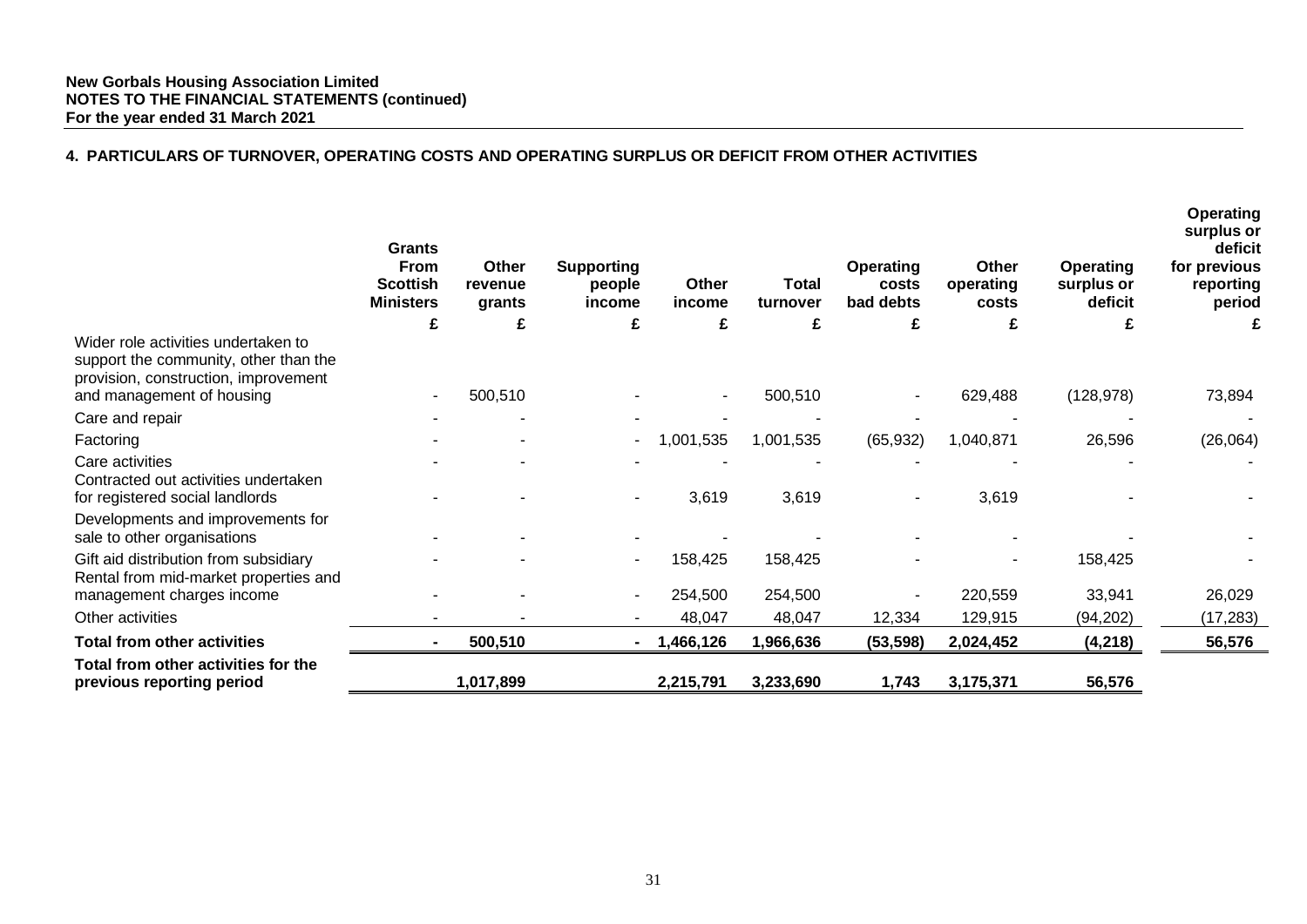# **4. PARTICULARS OF TURNOVER, OPERATING COSTS AND OPERATING SURPLUS OR DEFICIT FROM OTHER ACTIVITIES**

| <b>Grants</b><br><b>From</b><br><b>Scottish</b><br><b>Ministers</b> | Other<br>revenue<br>grants | <b>Supporting</b><br>people<br>income | Other<br>income | <b>Total</b><br>turnover | <b>Operating</b><br>costs<br>bad debts | Other<br>operating<br>costs | <b>Operating</b><br>surplus or<br>deficit | <b>Operating</b><br>surplus or<br>deficit<br>for previous<br>reporting<br>period |
|---------------------------------------------------------------------|----------------------------|---------------------------------------|-----------------|--------------------------|----------------------------------------|-----------------------------|-------------------------------------------|----------------------------------------------------------------------------------|
| £                                                                   | £                          | £                                     | £               | £                        | £                                      | £                           |                                           |                                                                                  |
|                                                                     |                            |                                       |                 |                          |                                        |                             |                                           | 73,894                                                                           |
|                                                                     |                            |                                       |                 |                          |                                        |                             |                                           |                                                                                  |
|                                                                     |                            |                                       |                 |                          |                                        |                             |                                           | (26,064)                                                                         |
|                                                                     |                            |                                       |                 |                          |                                        |                             |                                           |                                                                                  |
|                                                                     |                            |                                       |                 |                          |                                        |                             |                                           |                                                                                  |
|                                                                     |                            |                                       | 3,619           | 3,619                    |                                        | 3,619                       |                                           |                                                                                  |
|                                                                     |                            |                                       |                 |                          |                                        |                             |                                           |                                                                                  |
|                                                                     |                            |                                       |                 |                          |                                        |                             |                                           |                                                                                  |
|                                                                     |                            |                                       | 158,425         | 158,425                  |                                        |                             | 158,425                                   |                                                                                  |
|                                                                     |                            |                                       |                 |                          |                                        |                             |                                           |                                                                                  |
|                                                                     |                            | $\blacksquare$                        |                 |                          |                                        |                             |                                           | 26,029                                                                           |
|                                                                     |                            |                                       | 48,047          | 48,047                   | 12,334                                 | 129,915                     | (94, 202)                                 | (17, 283)                                                                        |
|                                                                     | 500,510                    | $\sim$                                | 1,466,126       | 1,966,636                | (53, 598)                              | 2,024,452                   | (4, 218)                                  | 56,576                                                                           |
|                                                                     | 1,017,899                  |                                       | 2,215,791       | 3,233,690                | 1,743                                  | 3,175,371                   | 56,576                                    |                                                                                  |
|                                                                     |                            | 500,510                               | $\sim$          | 1,001,535<br>254,500     | 500,510<br>1,001,535<br>254,500        | (65, 932)                   | 629,488<br>1,040,871<br>220,559           | (128, 978)<br>26,596<br>33,941                                                   |

**Operating**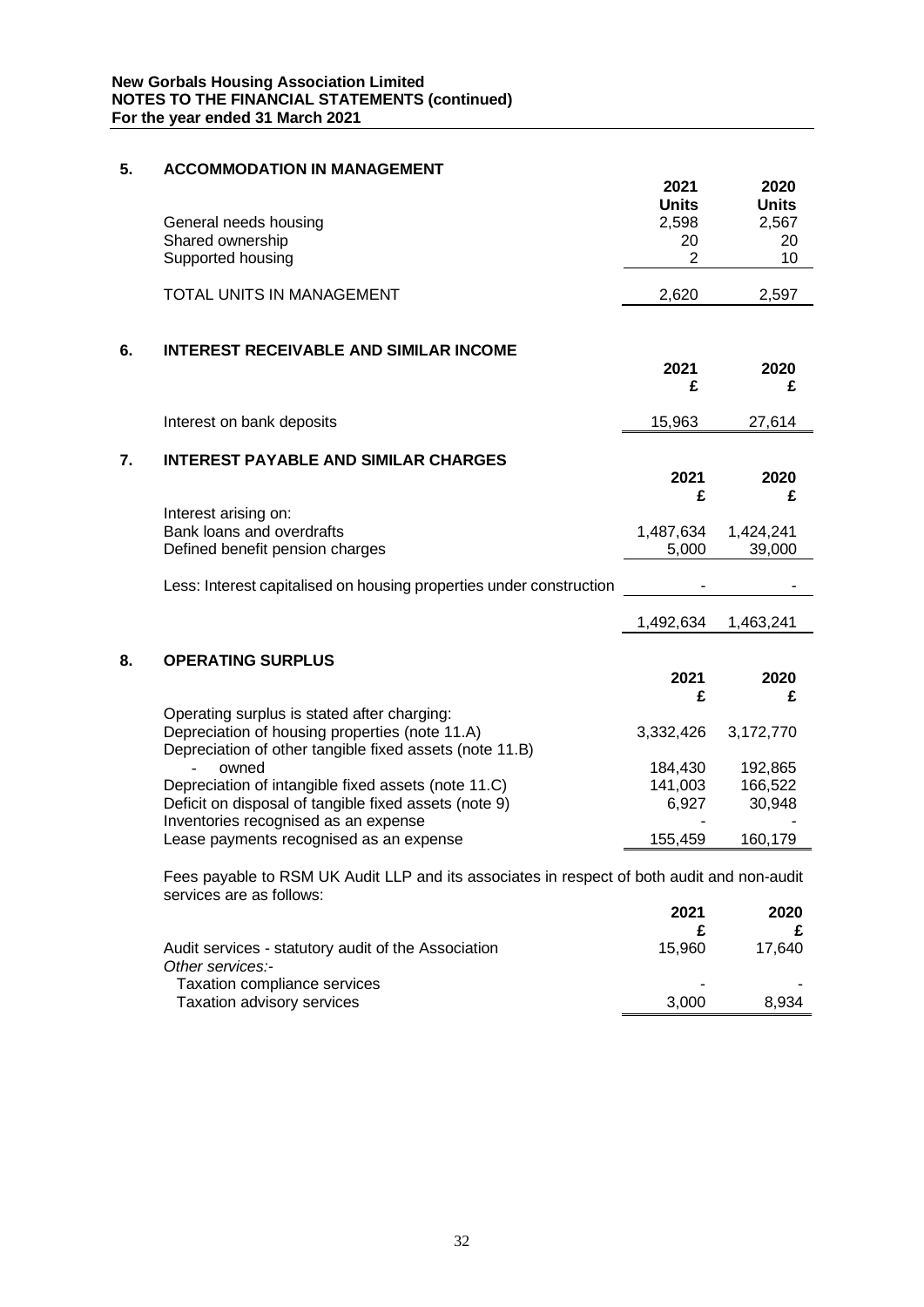# **5. ACCOMMODATION IN MANAGEMENT**

|    | General needs housing                                                                                                  | 2021<br><b>Units</b><br>2,598 | 2020<br><b>Units</b><br>2,567 |
|----|------------------------------------------------------------------------------------------------------------------------|-------------------------------|-------------------------------|
|    | Shared ownership<br>Supported housing                                                                                  | 20<br>$\overline{2}$          | 20<br>10                      |
|    | TOTAL UNITS IN MANAGEMENT                                                                                              | 2,620                         | 2,597                         |
|    |                                                                                                                        |                               |                               |
| 6. | <b>INTEREST RECEIVABLE AND SIMILAR INCOME</b>                                                                          | 2021                          | 2020                          |
|    |                                                                                                                        | £                             | £                             |
|    | Interest on bank deposits                                                                                              | 15,963                        | 27,614                        |
| 7. | <b>INTEREST PAYABLE AND SIMILAR CHARGES</b>                                                                            |                               |                               |
|    |                                                                                                                        | 2021<br>£                     | 2020<br>£                     |
|    | Interest arising on:<br>Bank loans and overdrafts                                                                      | 1,487,634                     | 1,424,241                     |
|    | Defined benefit pension charges                                                                                        | 5,000                         | 39,000                        |
|    | Less: Interest capitalised on housing properties under construction                                                    |                               |                               |
|    |                                                                                                                        | 1,492,634                     | 1,463,241                     |
| 8. | <b>OPERATING SURPLUS</b>                                                                                               |                               |                               |
|    |                                                                                                                        | 2021<br>£                     | 2020<br>£                     |
|    | Operating surplus is stated after charging:                                                                            |                               |                               |
|    | Depreciation of housing properties (note 11.A)<br>Depreciation of other tangible fixed assets (note 11.B)              | 3,332,426                     | 3,172,770                     |
|    | owned                                                                                                                  | 184,430                       | 192,865                       |
|    | Depreciation of intangible fixed assets (note 11.C)                                                                    | 141,003                       | 166,522                       |
|    | Deficit on disposal of tangible fixed assets (note 9)<br>Inventories recognised as an expense                          | 6,927                         | 30,948                        |
|    | Lease payments recognised as an expense                                                                                | 155,459                       | 160,179                       |
|    | Fees payable to RSM UK Audit LLP and its associates in respect of both audit and non-audit<br>services are as follows: |                               |                               |

|                                                                         | 2021   | 2020   |
|-------------------------------------------------------------------------|--------|--------|
| Audit services - statutory audit of the Association<br>Other services:- | 15.960 | 17.640 |
| <b>Taxation compliance services</b><br>Taxation advisory services       | 3.000  | 8.934  |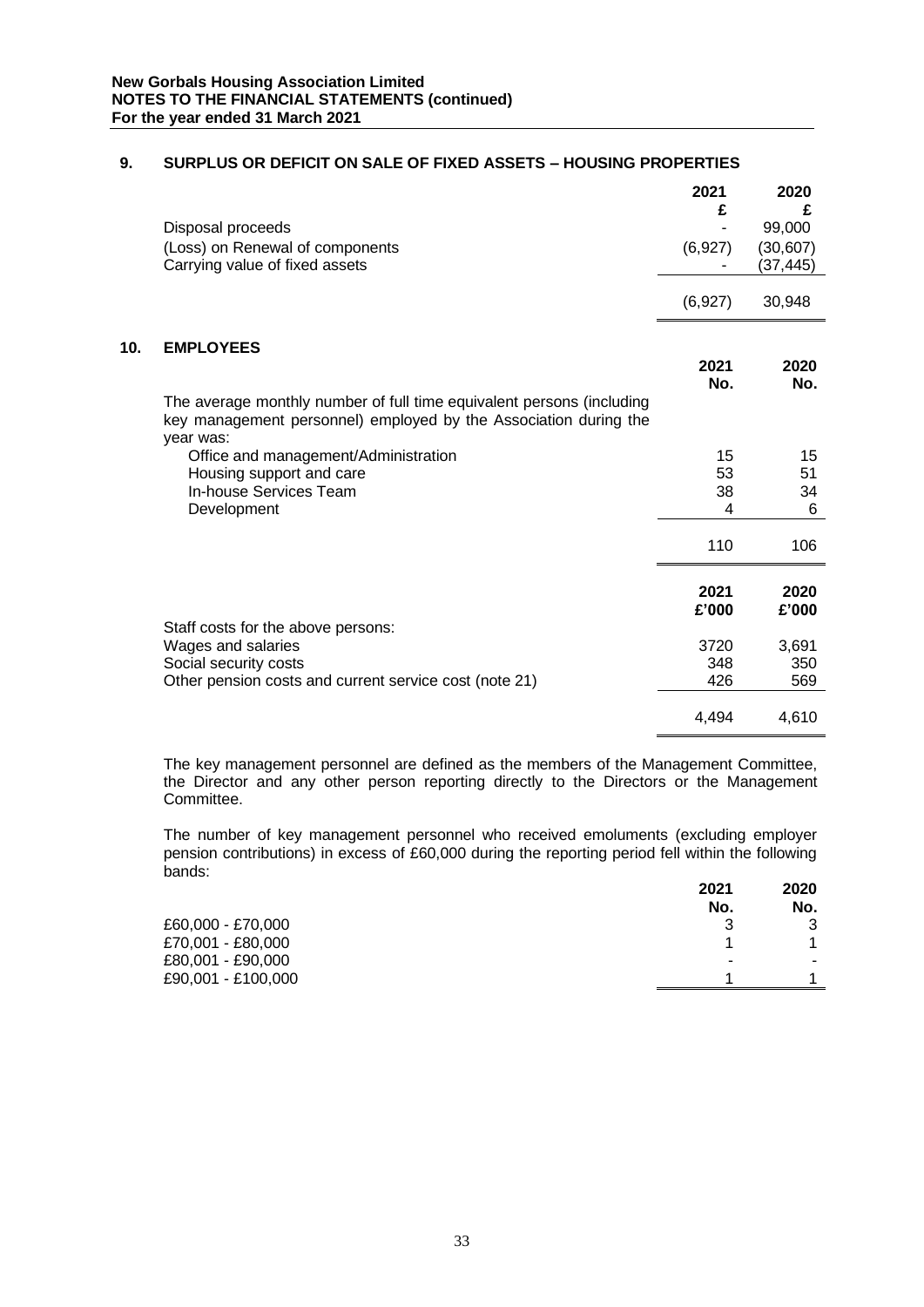|     | Disposal proceeds<br>(Loss) on Renewal of components<br>Carrying value of fixed assets                                                                        | 2021<br>£<br>(6,927) | 2020<br>£<br>99,000<br>(30, 607)<br>(37,445) |
|-----|---------------------------------------------------------------------------------------------------------------------------------------------------------------|----------------------|----------------------------------------------|
|     |                                                                                                                                                               | (6,927)              | 30,948                                       |
| 10. | <b>EMPLOYEES</b><br>The average monthly number of full time equivalent persons (including<br>key management personnel) employed by the Association during the | 2021<br>No.          | 2020<br>No.                                  |
|     | year was:<br>Office and management/Administration<br>Housing support and care<br>In-house Services Team<br>Development                                        | 15<br>53<br>38<br>4  | 15<br>51<br>34<br>6                          |
|     |                                                                                                                                                               | 110                  | 106                                          |
|     |                                                                                                                                                               | 2021<br>£'000        | 2020<br>£'000                                |
|     | Staff costs for the above persons:<br>Wages and salaries<br>Social security costs<br>Other pension costs and current service cost (note 21)                   | 3720<br>348<br>426   | 3,691<br>350<br>569                          |
|     |                                                                                                                                                               | 4,494                | 4,610                                        |

# **9. SURPLUS OR DEFICIT ON SALE OF FIXED ASSETS – HOUSING PROPERTIES**

The key management personnel are defined as the members of the Management Committee, the Director and any other person reporting directly to the Directors or the Management Committee.

The number of key management personnel who received emoluments (excluding employer pension contributions) in excess of £60,000 during the reporting period fell within the following bands:

|                    | 2021 | 2020 |
|--------------------|------|------|
|                    | No.  | No.  |
| £60,000 - £70,000  | 3    | າ    |
| £70,001 - £80,000  |      |      |
| £80,001 - £90,000  | -    | -    |
| £90,001 - £100,000 |      |      |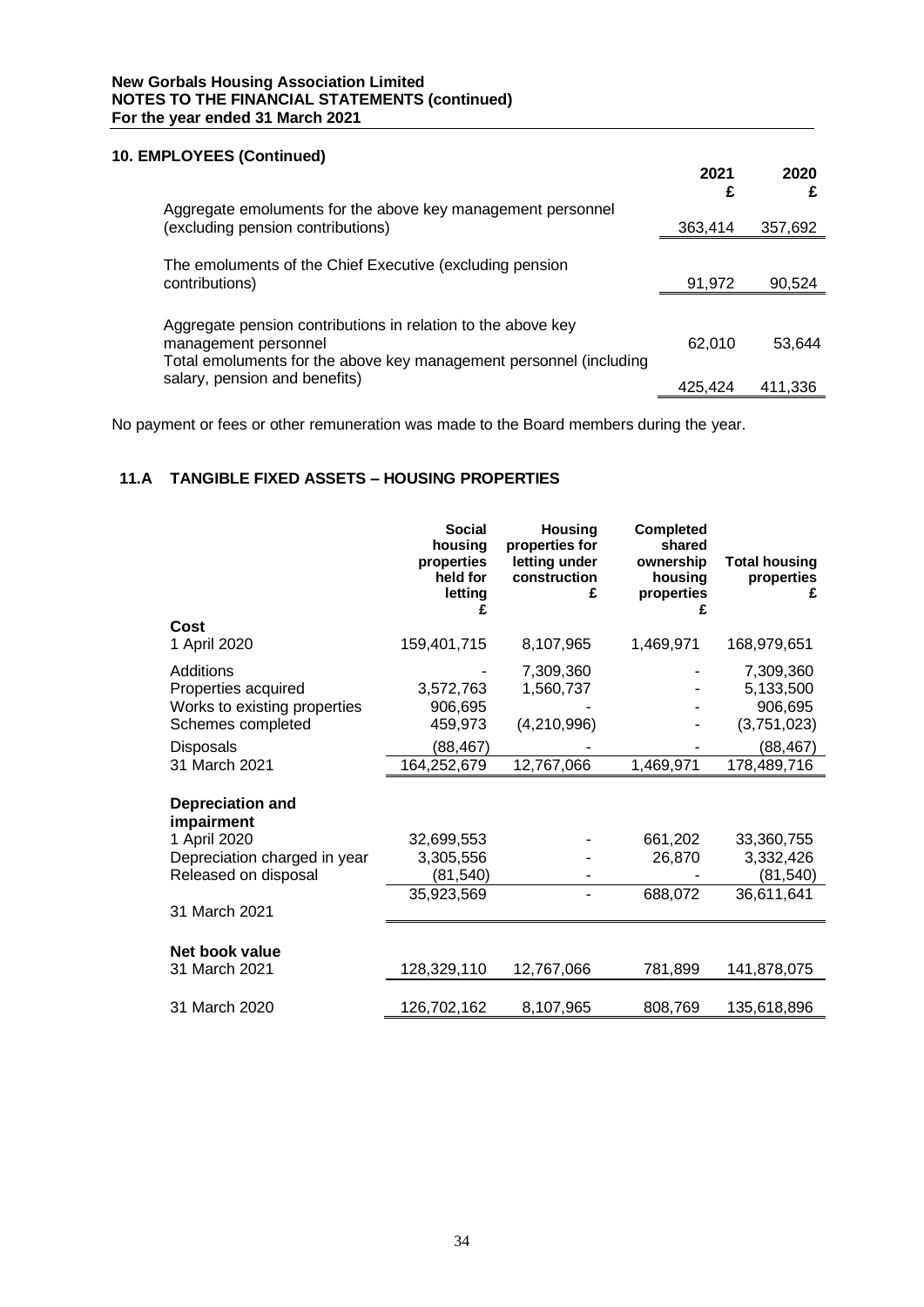# **10. EMPLOYEES (Continued)**

|                                                                                                                                                            | 2021<br>£ | 2020    |
|------------------------------------------------------------------------------------------------------------------------------------------------------------|-----------|---------|
| Aggregate emoluments for the above key management personnel<br>(excluding pension contributions)                                                           | 363,414   | 357,692 |
| The emoluments of the Chief Executive (excluding pension<br>contributions)                                                                                 | 91,972    | 90,524  |
| Aggregate pension contributions in relation to the above key<br>management personnel<br>Total emoluments for the above key management personnel (including | 62,010    | 53.644  |
| salary, pension and benefits)                                                                                                                              | 425.424   | 411.336 |

No payment or fees or other remuneration was made to the Board members during the year.

# **11.A TANGIBLE FIXED ASSETS – HOUSING PROPERTIES**

|                                       | <b>Social</b><br>housing<br>properties<br>held for<br>letting | <b>Housing</b><br>properties for<br>letting under<br>construction<br>£ | <b>Completed</b><br>shared<br>ownership<br>housing<br>properties | <b>Total housing</b><br>properties<br>£ |
|---------------------------------------|---------------------------------------------------------------|------------------------------------------------------------------------|------------------------------------------------------------------|-----------------------------------------|
| Cost                                  |                                                               |                                                                        |                                                                  |                                         |
| 1 April 2020                          | 159,401,715                                                   | 8,107,965                                                              | 1,469,971                                                        | 168,979,651                             |
| <b>Additions</b>                      |                                                               | 7,309,360                                                              |                                                                  | 7,309,360                               |
| Properties acquired                   | 3,572,763                                                     | 1,560,737                                                              |                                                                  | 5,133,500                               |
| Works to existing properties          | 906,695                                                       |                                                                        |                                                                  | 906,695                                 |
| Schemes completed                     | 459,973                                                       | (4,210,996)                                                            |                                                                  | (3,751,023)                             |
| <b>Disposals</b>                      | (88,467)                                                      |                                                                        |                                                                  | (88, 467)                               |
| 31 March 2021                         | 164,252,679                                                   | 12,767,066                                                             | 1,469,971                                                        | 178,489,716                             |
| <b>Depreciation and</b><br>impairment |                                                               |                                                                        |                                                                  |                                         |
| 1 April 2020                          | 32,699,553                                                    |                                                                        | 661,202                                                          | 33,360,755                              |
| Depreciation charged in year          | 3,305,556                                                     |                                                                        | 26,870                                                           | 3,332,426                               |
| Released on disposal                  | (81, 540)                                                     |                                                                        |                                                                  | (81, 540)                               |
|                                       | 35,923,569                                                    |                                                                        | 688,072                                                          | 36,611,641                              |
| 31 March 2021                         |                                                               |                                                                        |                                                                  |                                         |
| Net book value<br>31 March 2021       | 128,329,110                                                   | 12,767,066                                                             | 781,899                                                          | 141,878,075                             |
| 31 March 2020                         | 126,702,162                                                   | 8,107,965                                                              | 808,769                                                          | 135,618,896                             |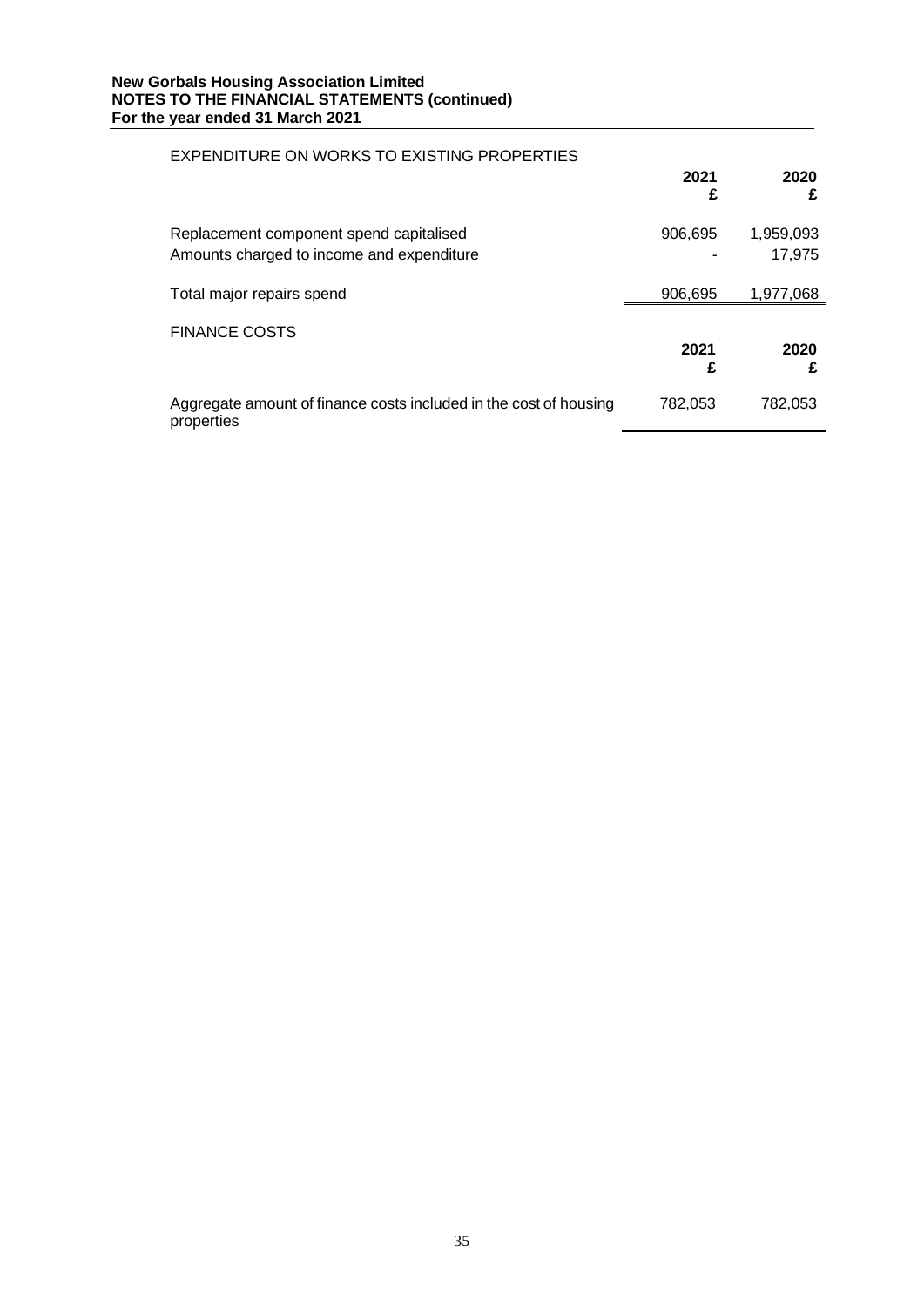| EXPENDITURE ON WORKS TO EXISTING PROPERTIES                                          |           |                     |
|--------------------------------------------------------------------------------------|-----------|---------------------|
|                                                                                      | 2021<br>£ | 2020<br>£           |
| Replacement component spend capitalised<br>Amounts charged to income and expenditure | 906,695   | 1,959,093<br>17,975 |
| Total major repairs spend                                                            | 906,695   | 1,977,068           |
| <b>FINANCE COSTS</b>                                                                 | 2021<br>£ | 2020<br>£           |
| Aggregate amount of finance costs included in the cost of housing<br>properties      | 782,053   | 782,053             |

# 35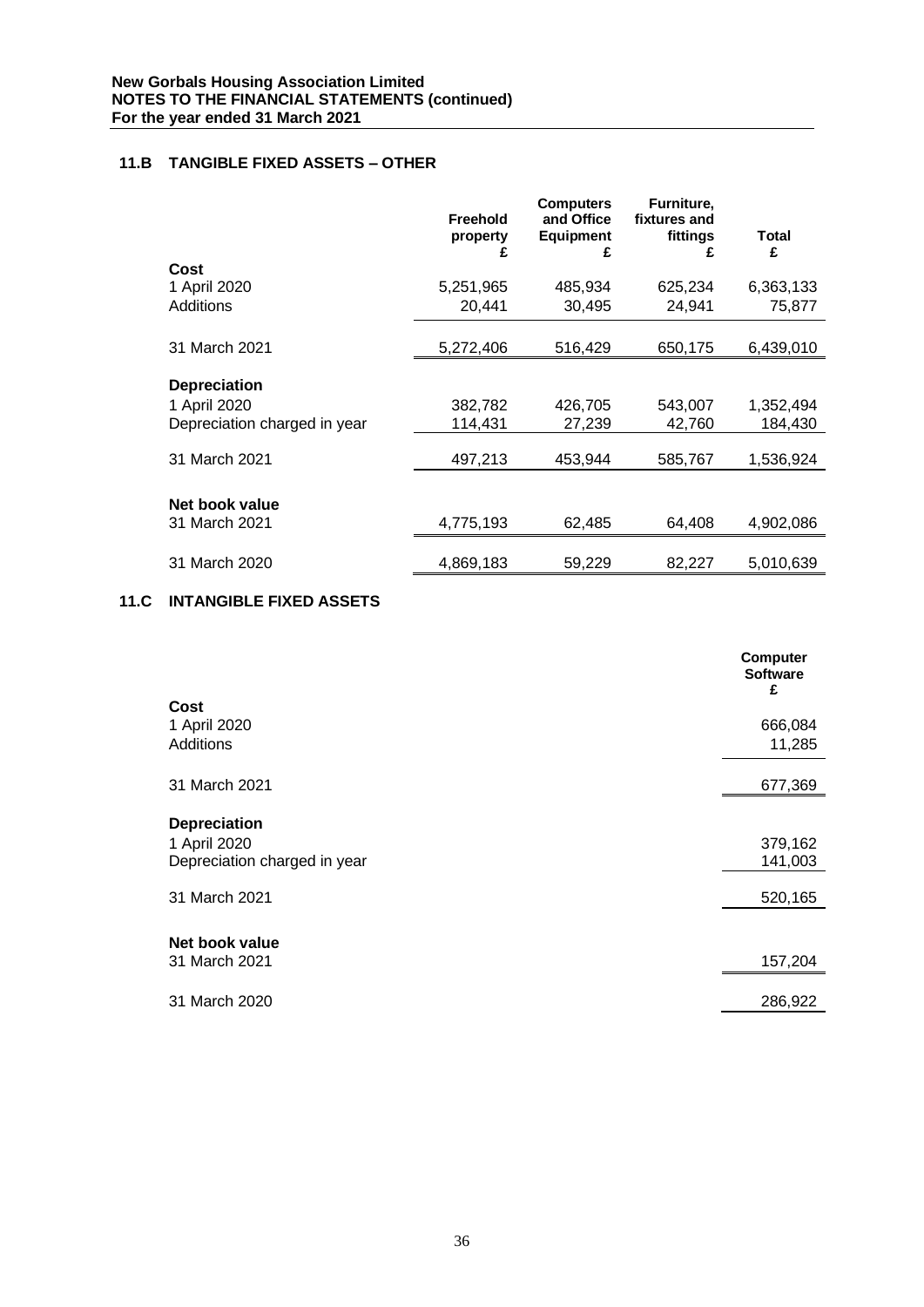# **11.B TANGIBLE FIXED ASSETS – OTHER**

|                              | <b>Freehold</b><br>property<br>£ | <b>Computers</b><br>and Office<br><b>Equipment</b><br>£ | Furniture,<br>fixtures and<br>fittings<br>£ | Total<br>£ |
|------------------------------|----------------------------------|---------------------------------------------------------|---------------------------------------------|------------|
| Cost                         |                                  |                                                         |                                             |            |
| 1 April 2020                 | 5,251,965                        | 485,934                                                 | 625,234                                     | 6,363,133  |
| <b>Additions</b>             | 20,441                           | 30,495                                                  | 24,941                                      | 75,877     |
|                              |                                  |                                                         |                                             |            |
| 31 March 2021                | 5,272,406                        | 516,429                                                 | 650,175                                     | 6,439,010  |
| <b>Depreciation</b>          |                                  |                                                         |                                             |            |
| 1 April 2020                 | 382,782                          | 426,705                                                 | 543,007                                     | 1,352,494  |
| Depreciation charged in year | 114,431                          | 27,239                                                  | 42,760                                      | 184,430    |
| 31 March 2021                | 497,213                          | 453.944                                                 | 585,767                                     | 1,536,924  |
| Net book value               |                                  |                                                         |                                             |            |
| 31 March 2021                | 4,775,193                        | 62,485                                                  | 64,408                                      | 4,902,086  |
| 31 March 2020                | 4,869,183                        | 59,229                                                  | 82,227                                      | 5,010,639  |

# **11.C INTANGIBLE FIXED ASSETS**

|                                                                     | <b>Computer</b><br><b>Software</b><br>£ |
|---------------------------------------------------------------------|-----------------------------------------|
| Cost                                                                |                                         |
| 1 April 2020<br><b>Additions</b>                                    | 666,084<br>11,285                       |
|                                                                     |                                         |
| 31 March 2021                                                       | 677,369                                 |
| <b>Depreciation</b><br>1 April 2020<br>Depreciation charged in year | 379,162<br>141,003                      |
| 31 March 2021                                                       | 520,165                                 |
| Net book value<br>31 March 2021                                     | 157,204                                 |
| 31 March 2020                                                       | 286,922                                 |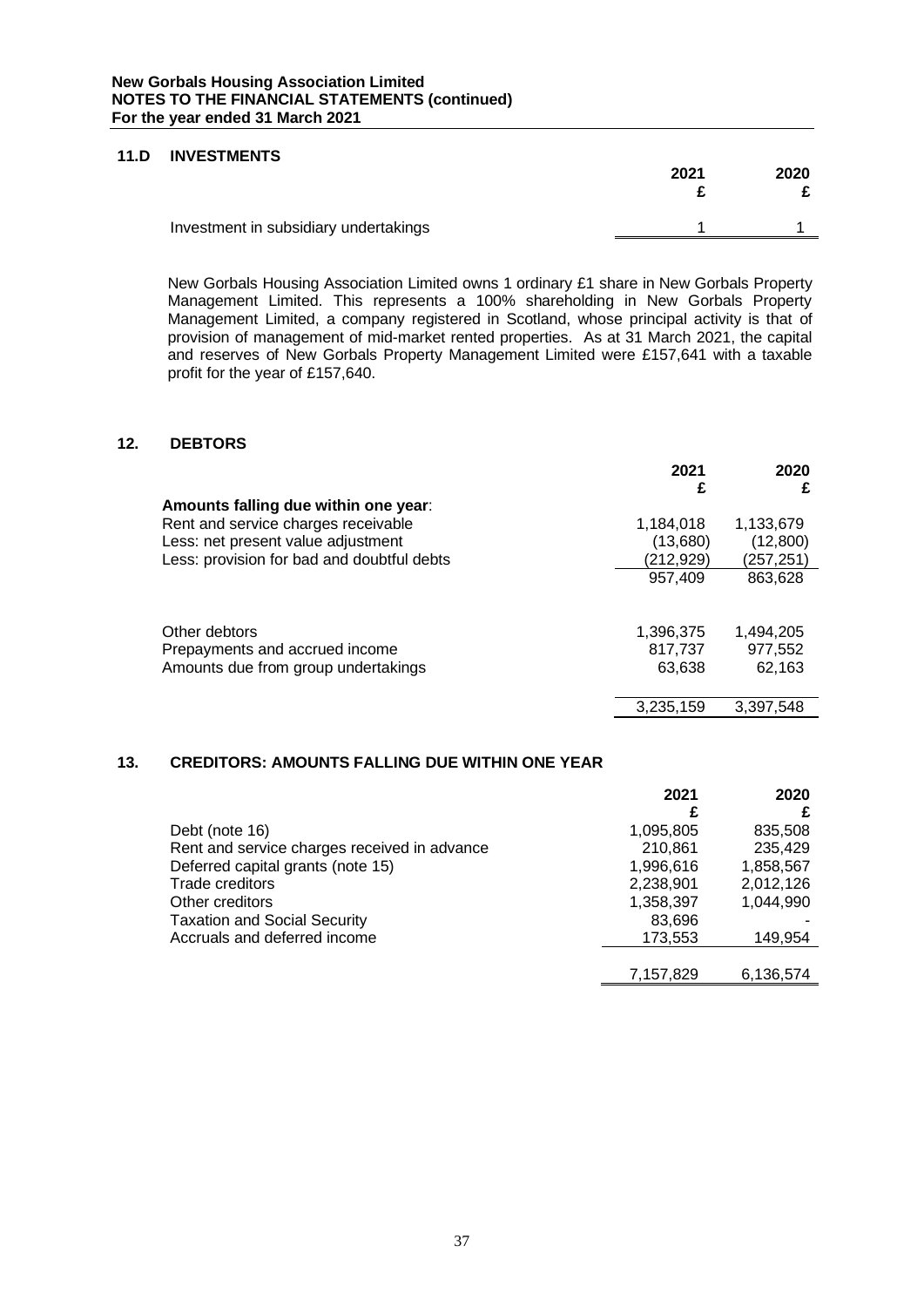# **11.D INVESTMENTS**

|                                       | 2021 | 2020 |
|---------------------------------------|------|------|
| Investment in subsidiary undertakings |      |      |

New Gorbals Housing Association Limited owns 1 ordinary £1 share in New Gorbals Property Management Limited. This represents a 100% shareholding in New Gorbals Property Management Limited, a company registered in Scotland, whose principal activity is that of provision of management of mid-market rented properties. As at 31 March 2021, the capital and reserves of New Gorbals Property Management Limited were £157,641 with a taxable profit for the year of £157,640.

# **12. DEBTORS**

|                                            | 2021<br>£ | 2020<br>£  |
|--------------------------------------------|-----------|------------|
| Amounts falling due within one year:       |           |            |
| Rent and service charges receivable        | 1,184,018 | 1,133,679  |
| Less: net present value adjustment         | (13,680)  | (12,800)   |
| Less: provision for bad and doubtful debts | (212,929) | (257, 251) |
|                                            | 957,409   | 863,628    |
|                                            |           |            |
| Other debtors                              | 1,396,375 | 1,494,205  |
| Prepayments and accrued income             | 817,737   | 977,552    |
| Amounts due from group undertakings        | 63,638    | 62,163     |
|                                            | 3,235,159 | 3,397,548  |

# **13. CREDITORS: AMOUNTS FALLING DUE WITHIN ONE YEAR**

|                                              | 2021      | 2020      |
|----------------------------------------------|-----------|-----------|
|                                              | £         |           |
| Debt (note 16)                               | 1,095,805 | 835,508   |
| Rent and service charges received in advance | 210,861   | 235,429   |
| Deferred capital grants (note 15)            | 1,996,616 | 1,858,567 |
| <b>Trade creditors</b>                       | 2,238,901 | 2,012,126 |
| Other creditors                              | 1,358,397 | 1,044,990 |
| <b>Taxation and Social Security</b>          | 83,696    |           |
| Accruals and deferred income                 | 173,553   | 149,954   |
|                                              |           |           |
|                                              | 7,157,829 | 6,136,574 |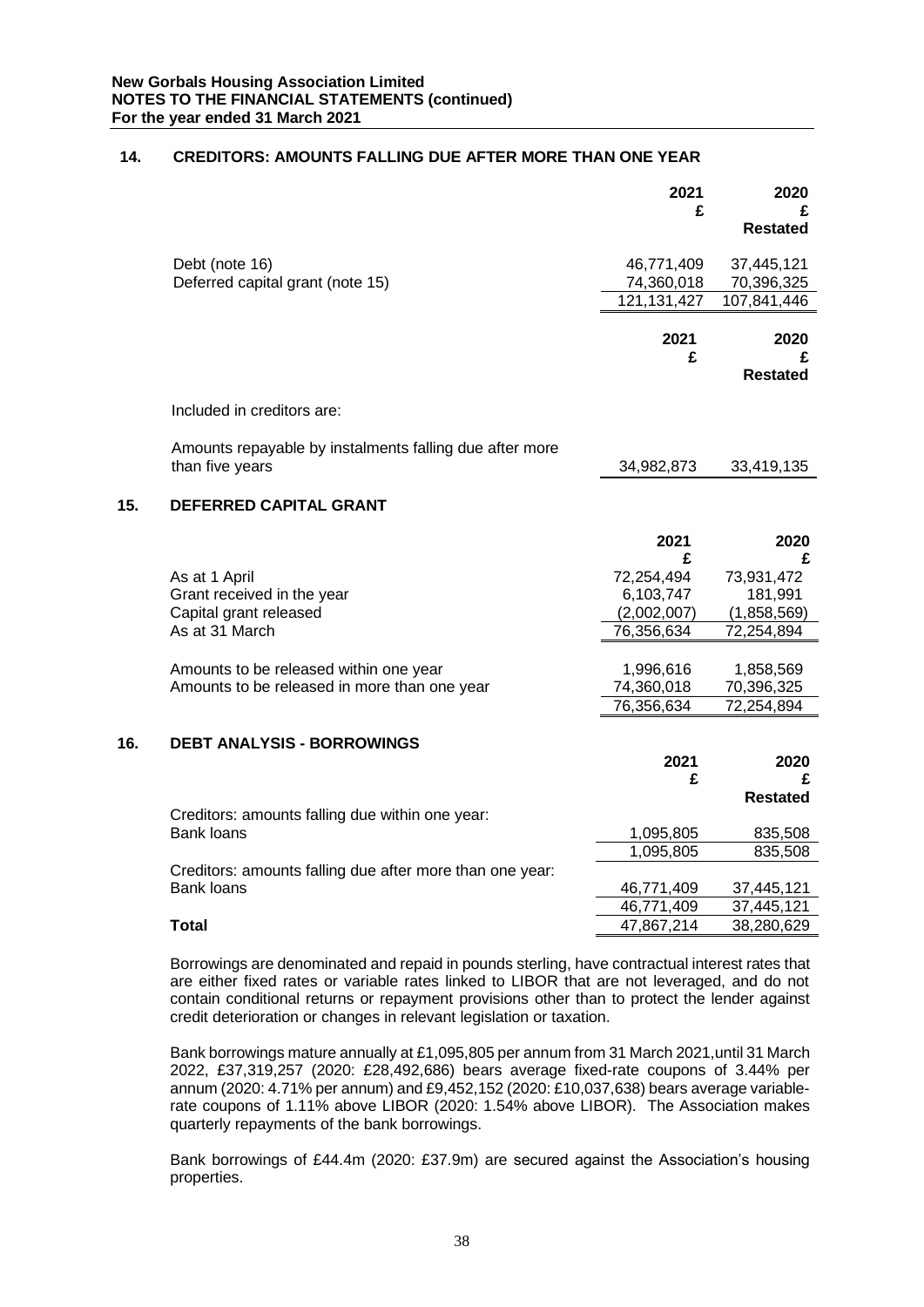# **14. CREDITORS: AMOUNTS FALLING DUE AFTER MORE THAN ONE YEAR**

|     |                                                          | 2021                        | 2020                      |
|-----|----------------------------------------------------------|-----------------------------|---------------------------|
|     |                                                          | £                           | £<br><b>Restated</b>      |
|     |                                                          |                             |                           |
|     | Debt (note 16)                                           | 46,771,409                  | 37,445,121                |
|     | Deferred capital grant (note 15)                         | 74,360,018<br>121, 131, 427 | 70,396,325<br>107,841,446 |
|     |                                                          |                             |                           |
|     |                                                          | 2021                        | 2020                      |
|     |                                                          | £                           | £                         |
|     |                                                          |                             | <b>Restated</b>           |
|     | Included in creditors are:                               |                             |                           |
|     | Amounts repayable by instalments falling due after more  |                             |                           |
|     | than five years                                          | 34,982,873                  | 33,419,135                |
| 15. | <b>DEFERRED CAPITAL GRANT</b>                            |                             |                           |
|     |                                                          | 2021                        | 2020                      |
|     |                                                          | £                           | £                         |
|     | As at 1 April                                            | 72,254,494                  | 73,931,472                |
|     | Grant received in the year<br>Capital grant released     | 6,103,747<br>(2,002,007)    | 181,991<br>(1,858,569)    |
|     | As at 31 March                                           | 76,356,634                  | 72,254,894                |
|     |                                                          |                             |                           |
|     | Amounts to be released within one year                   | 1,996,616                   | 1,858,569                 |
|     | Amounts to be released in more than one year             | 74,360,018<br>76,356,634    | 70,396,325<br>72,254,894  |
|     |                                                          |                             |                           |
| 16. | <b>DEBT ANALYSIS - BORROWINGS</b>                        |                             |                           |
|     |                                                          | 2021                        | 2020                      |
|     |                                                          | £                           | £<br><b>Restated</b>      |
|     | Creditors: amounts falling due within one year:          |                             |                           |
|     | <b>Bank loans</b>                                        | 1,095,805                   | 835,508                   |
|     |                                                          | 1,095,805                   | 835,508                   |
|     | Creditors: amounts falling due after more than one year: |                             |                           |
|     | Bank loans                                               | 46,771,409<br>46,771,409    | 37,445,121<br>37,445,121  |
|     | <b>Total</b>                                             | 47,867,214                  | 38,280,629                |
|     |                                                          |                             |                           |

Borrowings are denominated and repaid in pounds sterling, have contractual interest rates that are either fixed rates or variable rates linked to LIBOR that are not leveraged, and do not contain conditional returns or repayment provisions other than to protect the lender against credit deterioration or changes in relevant legislation or taxation.

Bank borrowings mature annually at £1,095,805 per annum from 31 March 2021,until 31 March 2022, £37,319,257 (2020: £28,492,686) bears average fixed-rate coupons of 3.44% per annum (2020: 4.71% per annum) and £9,452,152 (2020: £10,037,638) bears average variablerate coupons of 1.11% above LIBOR (2020: 1.54% above LIBOR). The Association makes quarterly repayments of the bank borrowings.

Bank borrowings of £44.4m (2020: £37.9m) are secured against the Association's housing properties.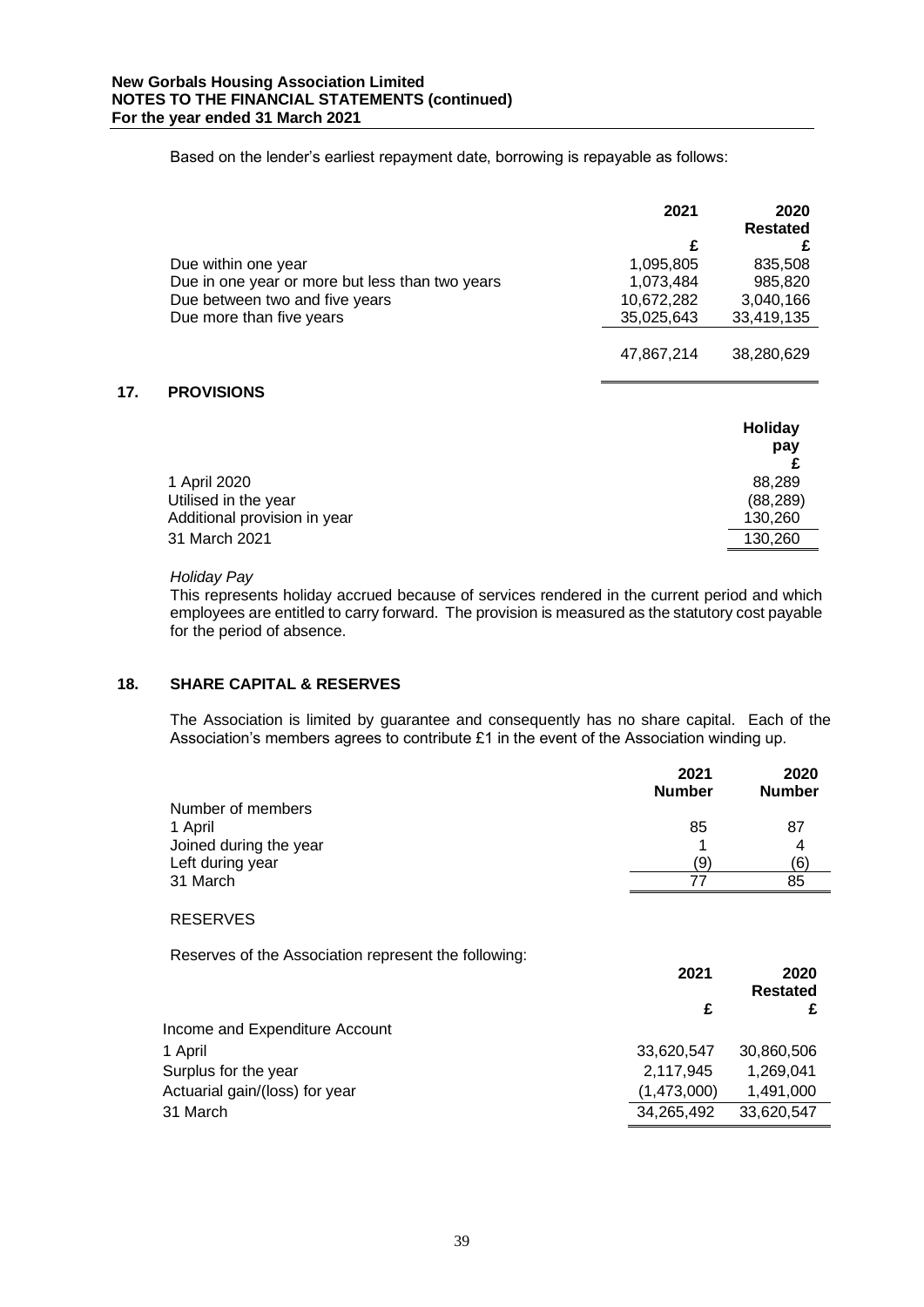Based on the lender's earliest repayment date, borrowing is repayable as follows:

|                                                 | 2021       | 2020<br><b>Restated</b> |
|-------------------------------------------------|------------|-------------------------|
|                                                 | £          |                         |
| Due within one year                             | 1,095,805  | 835,508                 |
| Due in one year or more but less than two years | 1,073,484  | 985,820                 |
| Due between two and five years                  | 10,672,282 | 3,040,166               |
| Due more than five years                        | 35,025,643 | 33,419,135              |
|                                                 |            |                         |
|                                                 | 47,867,214 | 38,280,629              |

# **17. PROVISIONS**

|                              | Holiday   |
|------------------------------|-----------|
|                              | pay       |
|                              |           |
| 1 April 2020                 | 88,289    |
| Utilised in the year         | (88, 289) |
| Additional provision in year | 130,260   |
| 31 March 2021                | 130,260   |

# *Holiday Pay*

This represents holiday accrued because of services rendered in the current period and which employees are entitled to carry forward. The provision is measured as the statutory cost payable for the period of absence.

# **18. SHARE CAPITAL & RESERVES**

The Association is limited by guarantee and consequently has no share capital. Each of the Association's members agrees to contribute £1 in the event of the Association winding up.

|                                                      | 2021<br><b>Number</b> | 2020<br><b>Number</b>   |
|------------------------------------------------------|-----------------------|-------------------------|
| Number of members                                    |                       |                         |
| 1 April                                              | 85                    | 87                      |
| Joined during the year                               |                       | 4                       |
| Left during year                                     | (9)                   | (6)                     |
| 31 March                                             | 77                    | 85                      |
| <b>RESERVES</b>                                      |                       |                         |
| Reserves of the Association represent the following: |                       |                         |
|                                                      | 2021                  | 2020<br><b>Restated</b> |
|                                                      | £                     | £                       |
| Income and Expenditure Account                       |                       |                         |
| 1 April                                              | 33.620.547            | 30.860.506              |

| 1 April                        | 33.620.547  | 30.860.506 |
|--------------------------------|-------------|------------|
| Surplus for the year           | 2.117.945   | 1.269.041  |
| Actuarial gain/(loss) for year | (1,473,000) | 1,491,000  |
| 31 March                       | 34.265.492  | 33.620.547 |
|                                |             |            |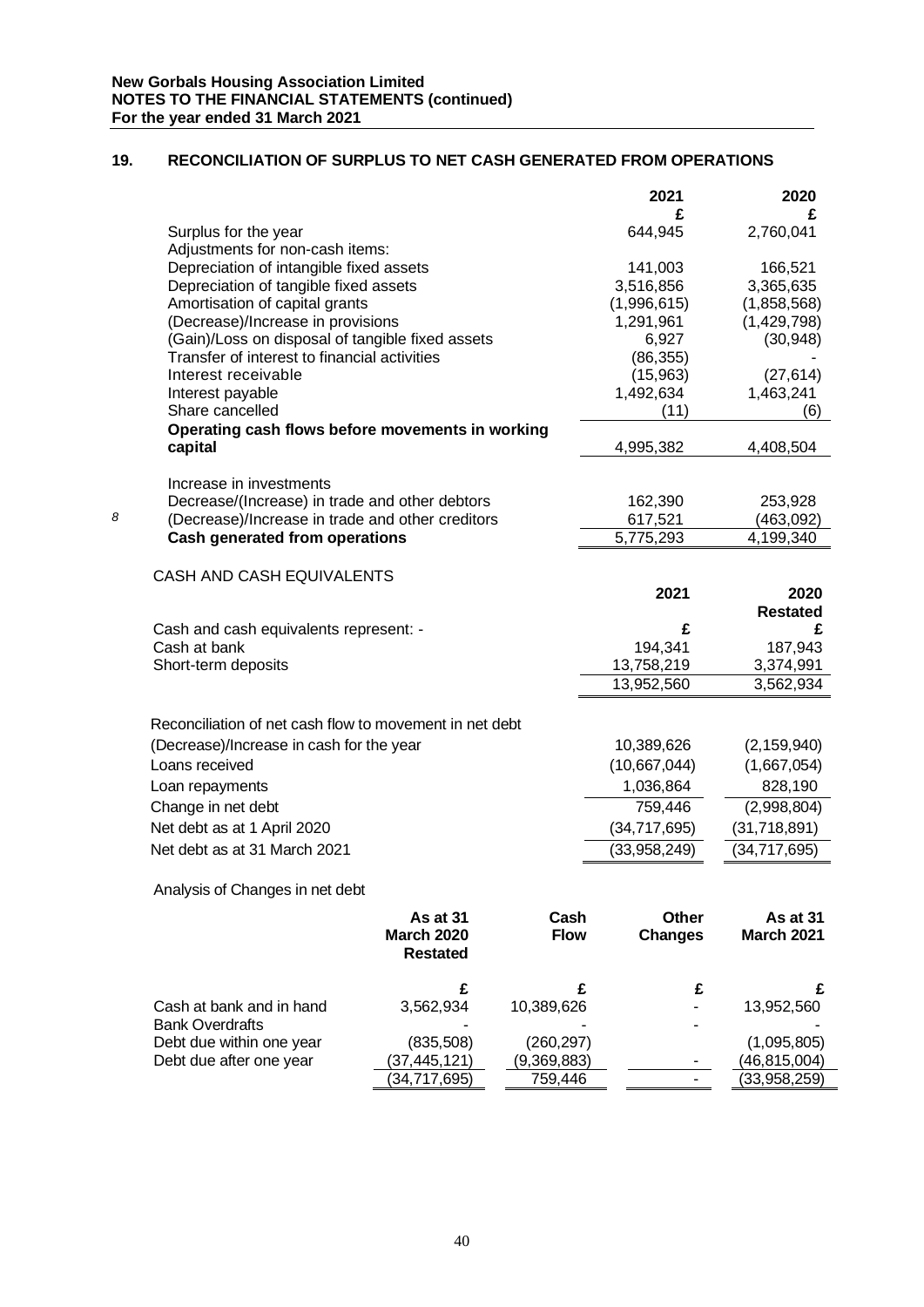# **19. RECONCILIATION OF SURPLUS TO NET CASH GENERATED FROM OPERATIONS**

|   |                                                         |                   |             | 2021           | 2020                 |
|---|---------------------------------------------------------|-------------------|-------------|----------------|----------------------|
|   |                                                         |                   |             | £              | £                    |
|   | Surplus for the year                                    |                   |             | 644,945        | 2,760,041            |
|   | Adjustments for non-cash items:                         |                   |             |                |                      |
|   | Depreciation of intangible fixed assets                 |                   |             | 141,003        | 166,521              |
|   | Depreciation of tangible fixed assets                   |                   |             | 3,516,856      | 3,365,635            |
|   | Amortisation of capital grants                          |                   |             | (1,996,615)    | (1,858,568)          |
|   | (Decrease)/Increase in provisions                       |                   |             | 1,291,961      | (1,429,798)          |
|   | (Gain)/Loss on disposal of tangible fixed assets        |                   |             | 6,927          | (30, 948)            |
|   | Transfer of interest to financial activities            |                   |             | (86, 355)      |                      |
|   | Interest receivable                                     |                   |             | (15,963)       | (27, 614)            |
|   | Interest payable                                        |                   |             | 1,492,634      | 1,463,241            |
|   | Share cancelled                                         |                   |             | (11)           | (6)                  |
|   | Operating cash flows before movements in working        |                   |             |                |                      |
|   | capital                                                 |                   |             | 4,995,382      | 4,408,504            |
|   |                                                         |                   |             |                |                      |
|   | Increase in investments                                 |                   |             |                |                      |
|   | Decrease/(Increase) in trade and other debtors          |                   |             | 162,390        | 253,928              |
| 8 | (Decrease)/Increase in trade and other creditors        |                   |             | 617,521        | (463,092)            |
|   | <b>Cash generated from operations</b>                   |                   |             | 5,775,293      | 4,199,340            |
|   |                                                         |                   |             |                |                      |
|   | CASH AND CASH EQUIVALENTS                               |                   |             |                |                      |
|   |                                                         |                   |             | 2021           | 2020                 |
|   | Cash and cash equivalents represent: -                  |                   |             | £              | <b>Restated</b><br>£ |
|   | Cash at bank                                            |                   |             | 194,341        | 187,943              |
|   | Short-term deposits                                     |                   |             | 13,758,219     | 3,374,991            |
|   |                                                         |                   |             | 13,952,560     | 3,562,934            |
|   |                                                         |                   |             |                |                      |
|   | Reconciliation of net cash flow to movement in net debt |                   |             |                |                      |
|   |                                                         |                   |             |                |                      |
|   | (Decrease)/Increase in cash for the year                |                   |             | 10,389,626     | (2, 159, 940)        |
|   | Loans received                                          |                   |             | (10,667,044)   | (1,667,054)          |
|   | Loan repayments                                         |                   |             | 1,036,864      | 828,190              |
|   | Change in net debt                                      |                   |             | 759,446        | (2,998,804)          |
|   | Net debt as at 1 April 2020                             |                   |             | (34, 717, 695) | (31, 718, 891)       |
|   | Net debt as at 31 March 2021                            |                   |             | (33,958,249)   | (34, 717, 695)       |
|   |                                                         |                   |             |                |                      |
|   | Analysis of Changes in net debt                         |                   |             |                |                      |
|   |                                                         |                   |             |                |                      |
|   |                                                         | As at 31          | Cash        | Other          | As at 31             |
|   |                                                         | <b>March 2020</b> | <b>Flow</b> | <b>Changes</b> | March 2021           |
|   |                                                         | <b>Restated</b>   |             |                |                      |
|   |                                                         |                   |             |                |                      |
|   | Cash at bank and in hand                                | £                 | £           | £              | £                    |
|   | <b>Bank Overdrafts</b>                                  | 3,562,934         | 10,389,626  |                | 13,952,560           |
|   | Debt due within one year                                | (835, 508)        | (260, 297)  |                | (1,095,805)          |
|   |                                                         |                   |             |                |                      |

Debt due after one year  $\frac{(37,445,121)}{(34,717,695)}$   $\frac{(9,369,883)}{759,446}$   $\frac{(-10,815,004)}{(33,958,259)}$ 

 $(33,958,259)$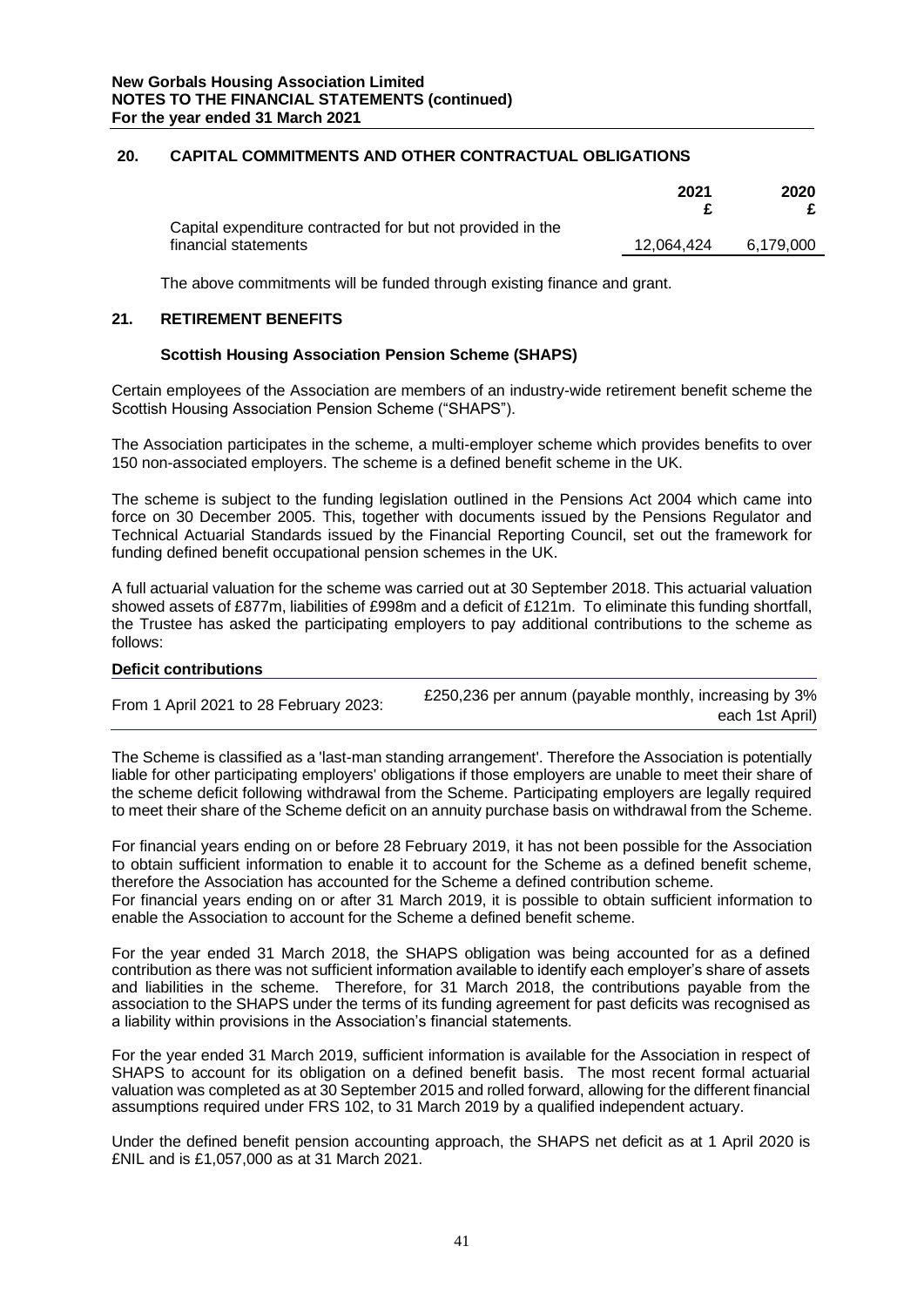# **20. CAPITAL COMMITMENTS AND OTHER CONTRACTUAL OBLIGATIONS**

|                                                                                    | 2021       | 2020      |
|------------------------------------------------------------------------------------|------------|-----------|
| Capital expenditure contracted for but not provided in the<br>financial statements | 12,064,424 | 6.179.000 |

The above commitments will be funded through existing finance and grant.

# **21. RETIREMENT BENEFITS**

# **Scottish Housing Association Pension Scheme (SHAPS)**

Certain employees of the Association are members of an industry-wide retirement benefit scheme the Scottish Housing Association Pension Scheme ("SHAPS").

The Association participates in the scheme, a multi-employer scheme which provides benefits to over 150 non-associated employers. The scheme is a defined benefit scheme in the UK.

The scheme is subject to the funding legislation outlined in the Pensions Act 2004 which came into force on 30 December 2005. This, together with documents issued by the Pensions Regulator and Technical Actuarial Standards issued by the Financial Reporting Council, set out the framework for funding defined benefit occupational pension schemes in the UK.

A full actuarial valuation for the scheme was carried out at 30 September 2018. This actuarial valuation showed assets of £877m, liabilities of £998m and a deficit of £121m. To eliminate this funding shortfall, the Trustee has asked the participating employers to pay additional contributions to the scheme as follows:

# **Deficit contributions**

| From 1 April 2021 to 28 February 2023: | £250,236 per annum (payable monthly, increasing by 3% |
|----------------------------------------|-------------------------------------------------------|
|                                        | each 1st April)                                       |

The Scheme is classified as a 'last-man standing arrangement'. Therefore the Association is potentially liable for other participating employers' obligations if those employers are unable to meet their share of the scheme deficit following withdrawal from the Scheme. Participating employers are legally required to meet their share of the Scheme deficit on an annuity purchase basis on withdrawal from the Scheme.

For financial years ending on or before 28 February 2019, it has not been possible for the Association to obtain sufficient information to enable it to account for the Scheme as a defined benefit scheme, therefore the Association has accounted for the Scheme a defined contribution scheme. For financial years ending on or after 31 March 2019, it is possible to obtain sufficient information to enable the Association to account for the Scheme a defined benefit scheme.

For the year ended 31 March 2018, the SHAPS obligation was being accounted for as a defined contribution as there was not sufficient information available to identify each employer's share of assets and liabilities in the scheme. Therefore, for 31 March 2018, the contributions payable from the association to the SHAPS under the terms of its funding agreement for past deficits was recognised as a liability within provisions in the Association's financial statements.

For the year ended 31 March 2019, sufficient information is available for the Association in respect of SHAPS to account for its obligation on a defined benefit basis. The most recent formal actuarial valuation was completed as at 30 September 2015 and rolled forward, allowing for the different financial assumptions required under FRS 102, to 31 March 2019 by a qualified independent actuary.

Under the defined benefit pension accounting approach, the SHAPS net deficit as at 1 April 2020 is £NIL and is £1,057,000 as at 31 March 2021.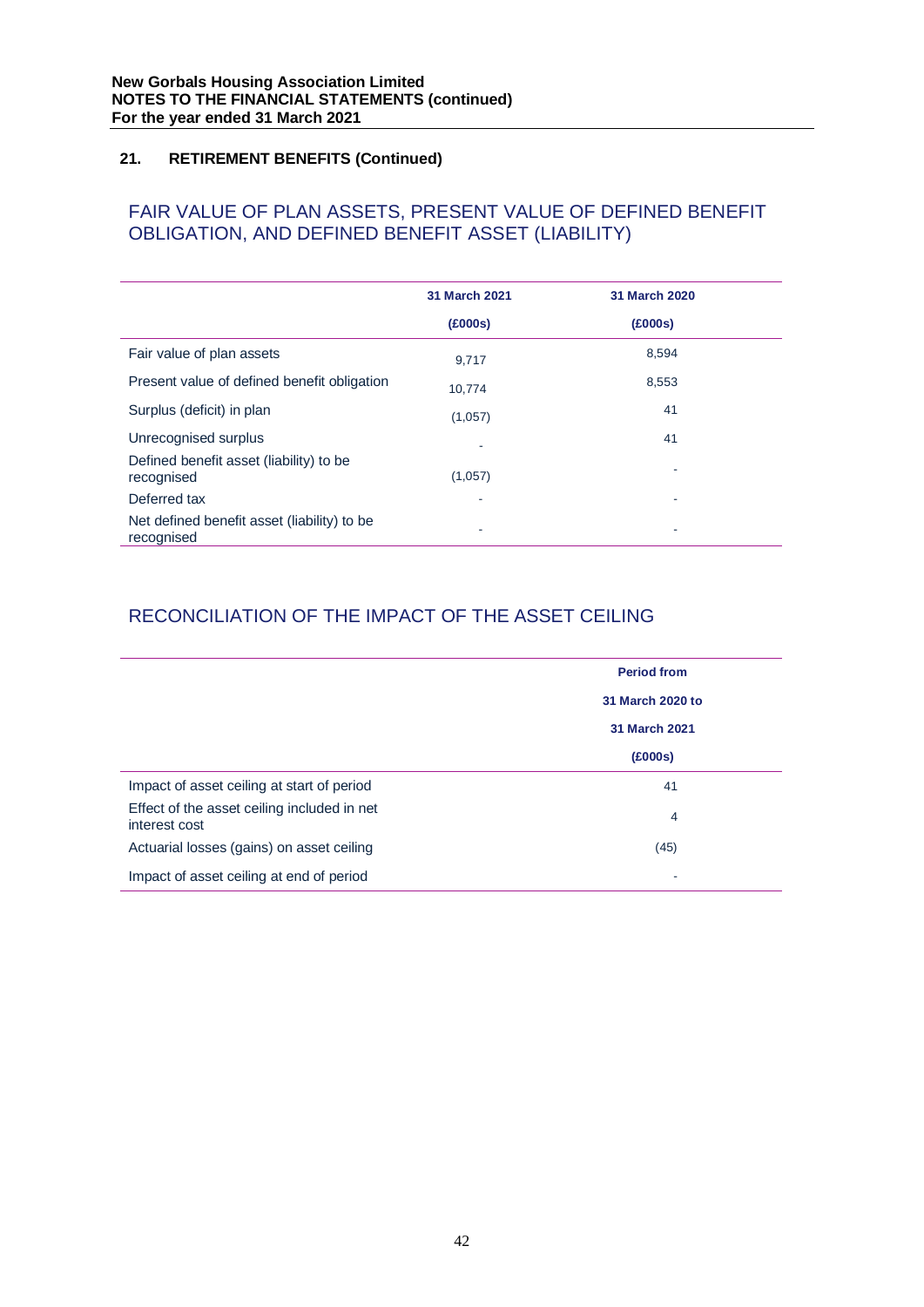# FAIR VALUE OF PLAN ASSETS, PRESENT VALUE OF DEFINED BENEFIT OBLIGATION, AND DEFINED BENEFIT ASSET (LIABILITY)

|                                                           | 31 March 2021 | 31 March 2020 |
|-----------------------------------------------------------|---------------|---------------|
|                                                           | (£000s)       | (£000s)       |
| Fair value of plan assets                                 | 9,717         | 8,594         |
| Present value of defined benefit obligation               | 10.774        | 8,553         |
| Surplus (deficit) in plan                                 | (1,057)       | 41            |
| Unrecognised surplus                                      |               | 41            |
| Defined benefit asset (liability) to be<br>recognised     | (1,057)       |               |
| Deferred tax                                              | ٠             | ٠             |
| Net defined benefit asset (liability) to be<br>recognised | ۰             | ٠             |

# RECONCILIATION OF THE IMPACT OF THE ASSET CEILING

|                                                              | <b>Period from</b> |
|--------------------------------------------------------------|--------------------|
|                                                              | 31 March 2020 to   |
|                                                              | 31 March 2021      |
|                                                              | (£000s)            |
| Impact of asset ceiling at start of period                   | 41                 |
| Effect of the asset ceiling included in net<br>interest cost | 4                  |
| Actuarial losses (gains) on asset ceiling                    | (45)               |
| Impact of asset ceiling at end of period                     | ۰                  |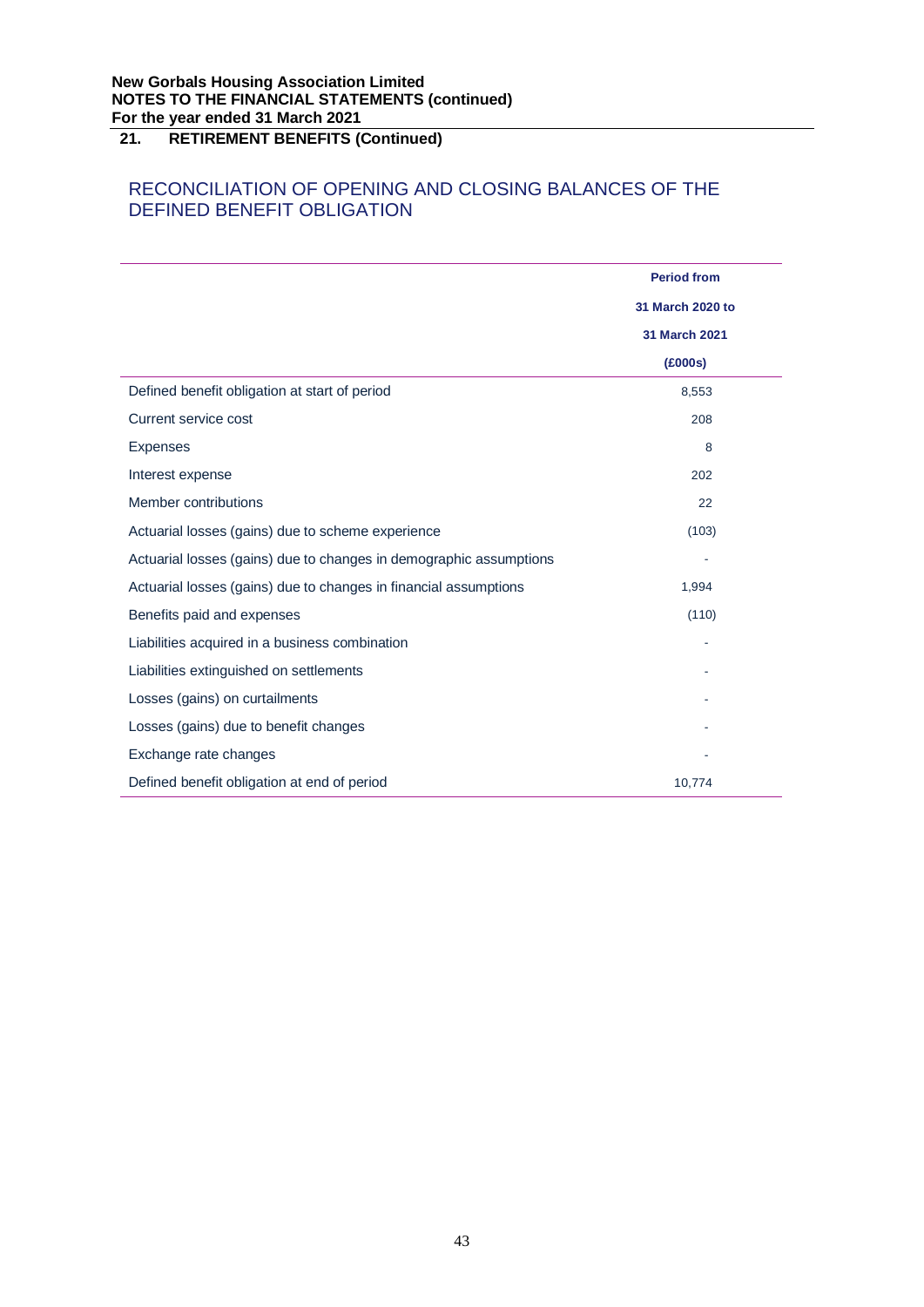# RECONCILIATION OF OPENING AND CLOSING BALANCES OF THE DEFINED BENEFIT OBLIGATION

|                                                                    | <b>Period from</b> |
|--------------------------------------------------------------------|--------------------|
|                                                                    | 31 March 2020 to   |
|                                                                    | 31 March 2021      |
|                                                                    | (£000s)            |
| Defined benefit obligation at start of period                      | 8,553              |
| Current service cost                                               | 208                |
| <b>Expenses</b>                                                    | 8                  |
| Interest expense                                                   | 202                |
| Member contributions                                               | 22                 |
| Actuarial losses (gains) due to scheme experience                  | (103)              |
| Actuarial losses (gains) due to changes in demographic assumptions |                    |
| Actuarial losses (gains) due to changes in financial assumptions   | 1,994              |
| Benefits paid and expenses                                         | (110)              |
| Liabilities acquired in a business combination                     |                    |
| Liabilities extinguished on settlements                            |                    |
| Losses (gains) on curtailments                                     |                    |
| Losses (gains) due to benefit changes                              |                    |
| Exchange rate changes                                              |                    |
| Defined benefit obligation at end of period                        | 10,774             |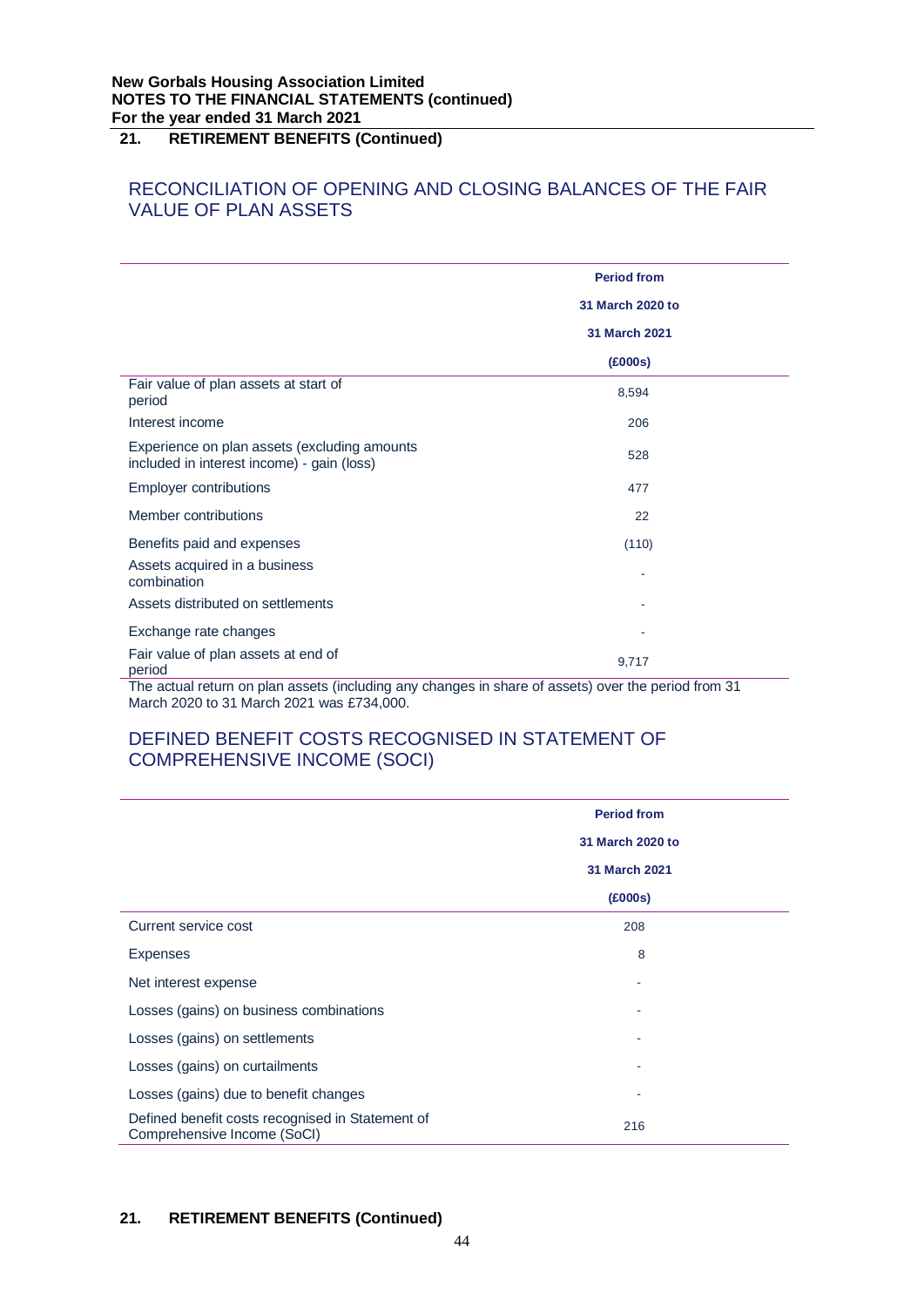# RECONCILIATION OF OPENING AND CLOSING BALANCES OF THE FAIR VALUE OF PLAN ASSETS

|                                                                                            | <b>Period from</b>   |
|--------------------------------------------------------------------------------------------|----------------------|
|                                                                                            | 31 March 2020 to     |
|                                                                                            | <b>31 March 2021</b> |
|                                                                                            | (£000s)              |
| Fair value of plan assets at start of<br>period                                            | 8,594                |
| Interest income                                                                            | 206                  |
| Experience on plan assets (excluding amounts<br>included in interest income) - gain (loss) | 528                  |
| <b>Employer contributions</b>                                                              | 477                  |
| Member contributions                                                                       | 22                   |
| Benefits paid and expenses                                                                 | (110)                |
| Assets acquired in a business<br>combination                                               |                      |
| Assets distributed on settlements                                                          |                      |
| Exchange rate changes                                                                      |                      |
| Fair value of plan assets at end of<br>period                                              | 9,717                |

The actual return on plan assets (including any changes in share of assets) over the period from 31 March 2020 to 31 March 2021 was £734,000.

# DEFINED BENEFIT COSTS RECOGNISED IN STATEMENT OF COMPREHENSIVE INCOME (SOCI)

|                                                                                 | <b>Period from</b> |
|---------------------------------------------------------------------------------|--------------------|
|                                                                                 | 31 March 2020 to   |
|                                                                                 | 31 March 2021      |
|                                                                                 | (£000s)            |
| Current service cost                                                            | 208                |
| <b>Expenses</b>                                                                 | 8                  |
| Net interest expense                                                            |                    |
| Losses (gains) on business combinations                                         |                    |
| Losses (gains) on settlements                                                   |                    |
| Losses (gains) on curtailments                                                  |                    |
| Losses (gains) due to benefit changes                                           |                    |
| Defined benefit costs recognised in Statement of<br>Comprehensive Income (SoCI) | 216                |

# **21. RETIREMENT BENEFITS (Continued)**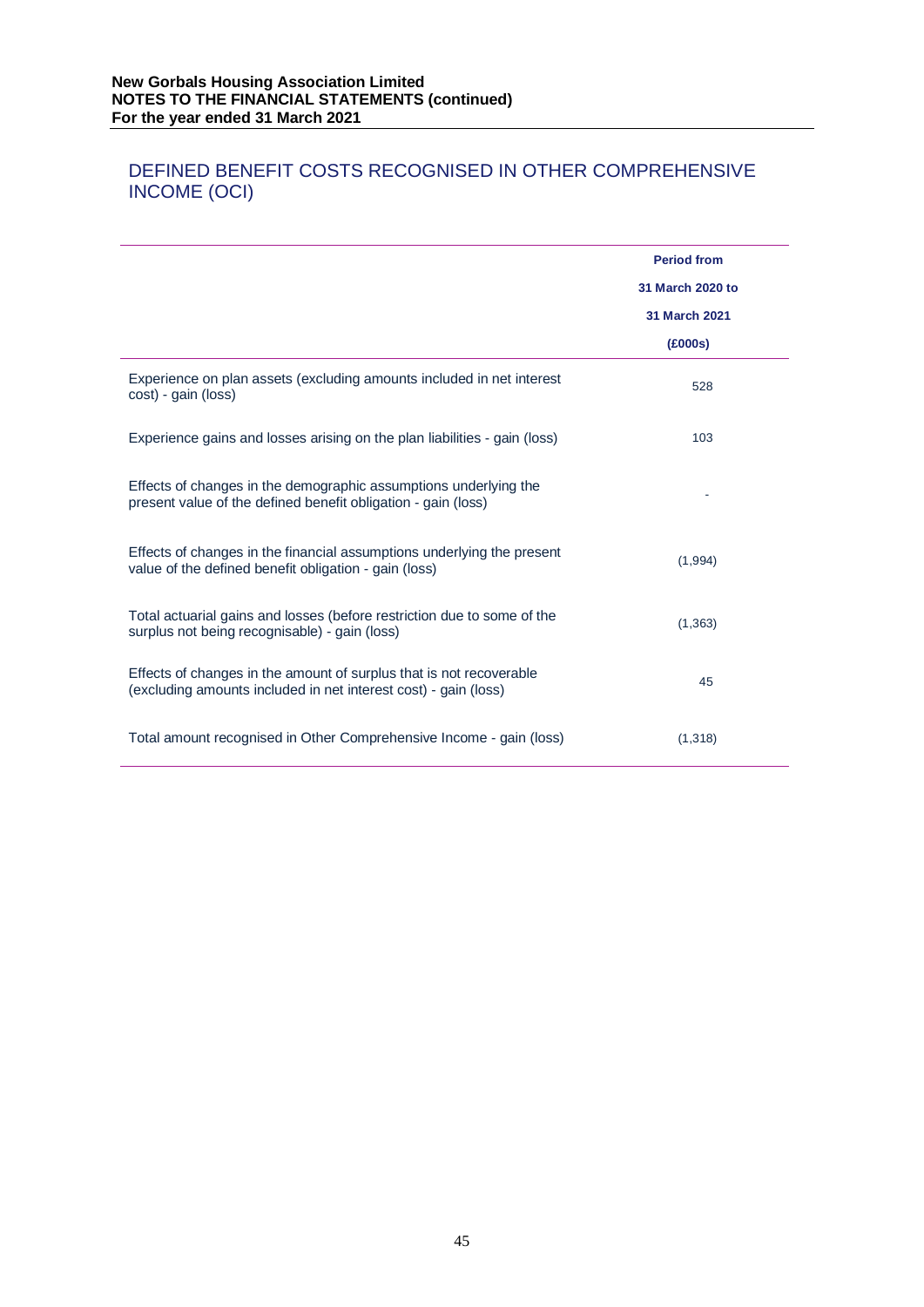# DEFINED BENEFIT COSTS RECOGNISED IN OTHER COMPREHENSIVE INCOME (OCI)

|                                                                                                                                        | <b>Period from</b><br>31 March 2020 to<br>31 March 2021<br>(£000s) |
|----------------------------------------------------------------------------------------------------------------------------------------|--------------------------------------------------------------------|
| Experience on plan assets (excluding amounts included in net interest<br>cost) - gain (loss)                                           | 528                                                                |
| Experience gains and losses arising on the plan liabilities - gain (loss)                                                              | 103                                                                |
| Effects of changes in the demographic assumptions underlying the<br>present value of the defined benefit obligation - gain (loss)      |                                                                    |
| Effects of changes in the financial assumptions underlying the present<br>value of the defined benefit obligation - gain (loss)        | (1,994)                                                            |
| Total actuarial gains and losses (before restriction due to some of the<br>surplus not being recognisable) - gain (loss)               | (1, 363)                                                           |
| Effects of changes in the amount of surplus that is not recoverable<br>(excluding amounts included in net interest cost) - gain (loss) | 45                                                                 |
| Total amount recognised in Other Comprehensive Income - gain (loss)                                                                    | (1,318)                                                            |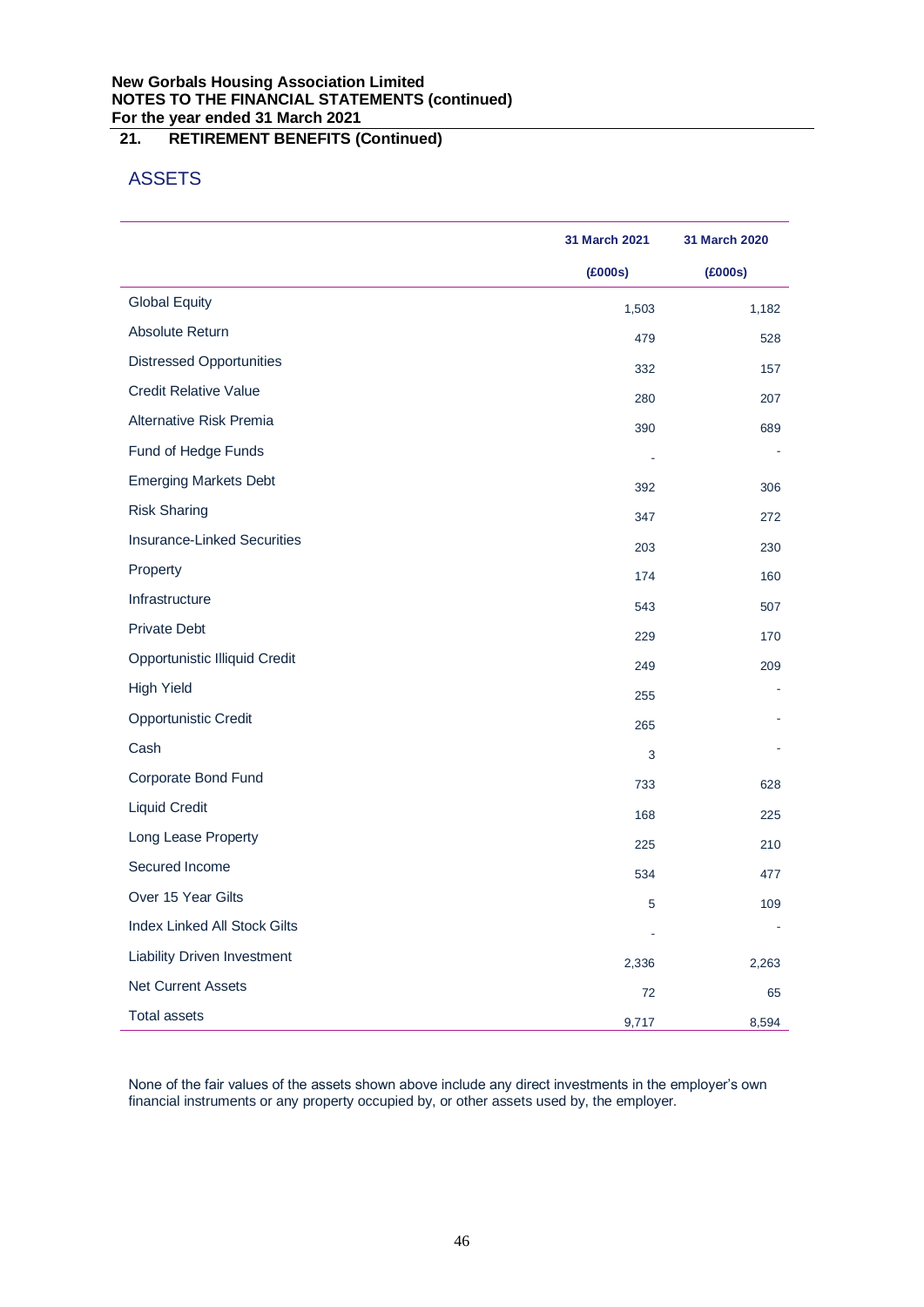# **New Gorbals Housing Association Limited NOTES TO THE FINANCIAL STATEMENTS (continued) For the year ended 31 March 2021**

# **21. RETIREMENT BENEFITS (Continued)**

# ASSETS

|                                     | 31 March 2021 | 31 March 2020 |
|-------------------------------------|---------------|---------------|
|                                     | (£000s)       | (£000s)       |
| <b>Global Equity</b>                | 1,503         | 1,182         |
| Absolute Return                     | 479           | 528           |
| <b>Distressed Opportunities</b>     | 332           | 157           |
| <b>Credit Relative Value</b>        | 280           | 207           |
| Alternative Risk Premia             | 390           | 689           |
| Fund of Hedge Funds                 |               |               |
| <b>Emerging Markets Debt</b>        | 392           | 306           |
| <b>Risk Sharing</b>                 | 347           | 272           |
| <b>Insurance-Linked Securities</b>  | 203           | 230           |
| Property                            | 174           | 160           |
| Infrastructure                      | 543           | 507           |
| Private Debt                        | 229           | 170           |
| Opportunistic Illiquid Credit       | 249           | 209           |
| <b>High Yield</b>                   | 255           |               |
| <b>Opportunistic Credit</b>         | 265           |               |
| Cash                                | 3             |               |
| Corporate Bond Fund                 | 733           | 628           |
| <b>Liquid Credit</b>                | 168           | 225           |
| Long Lease Property                 | 225           | 210           |
| Secured Income                      | 534           | 477           |
| Over 15 Year Gilts                  | 5             | 109           |
| <b>Index Linked All Stock Gilts</b> |               |               |
| <b>Liability Driven Investment</b>  | 2,336         | 2,263         |
| <b>Net Current Assets</b>           | 72            | 65            |
| <b>Total assets</b>                 | 9,717         | 8,594         |

None of the fair values of the assets shown above include any direct investments in the employer's own financial instruments or any property occupied by, or other assets used by, the employer.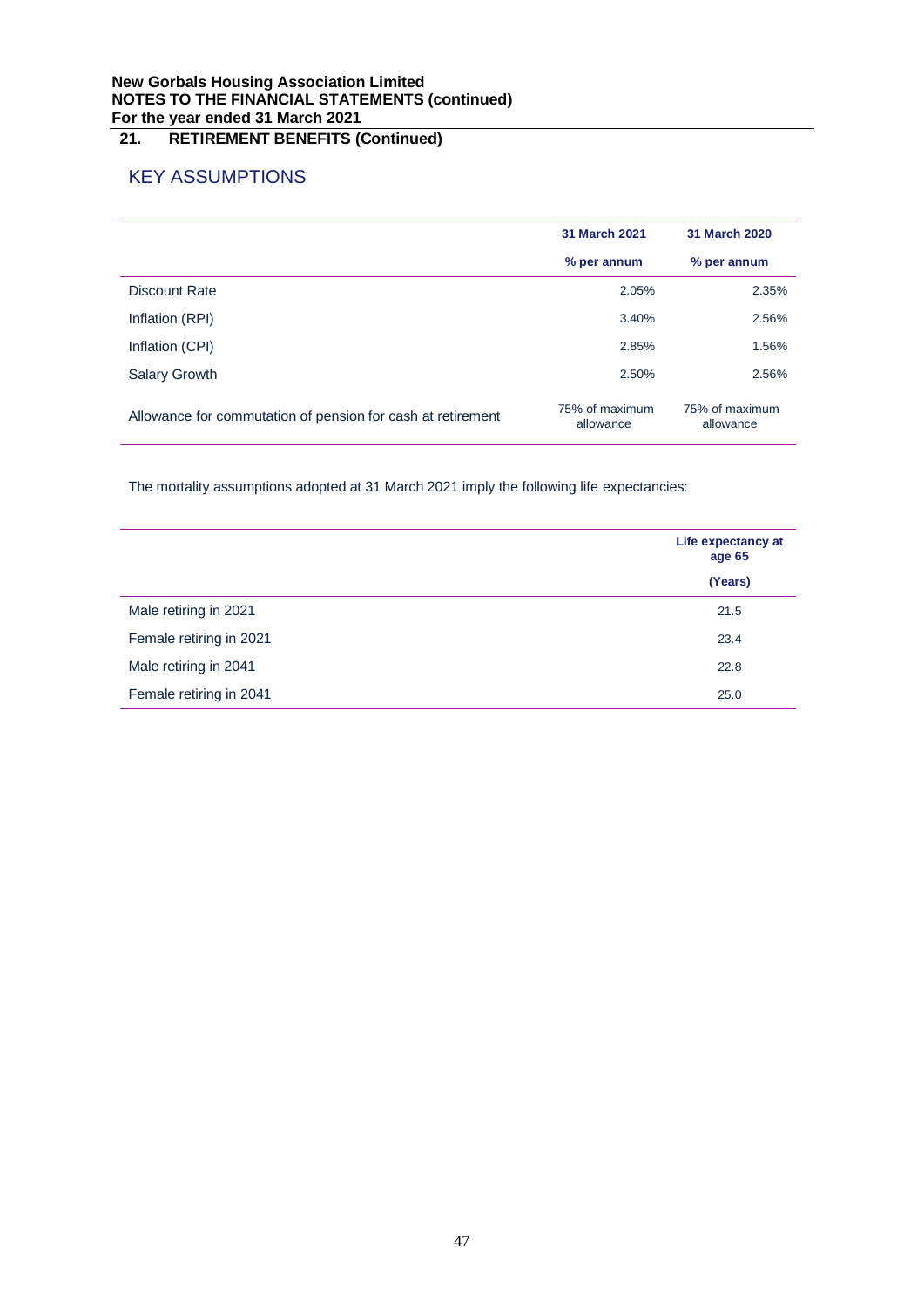# **New Gorbals Housing Association Limited NOTES TO THE FINANCIAL STATEMENTS (continued) For the year ended 31 March 2021**

# **21. RETIREMENT BENEFITS (Continued)**

# KEY ASSUMPTIONS

|                                                             | 31 March 2021               | 31 March 2020               |
|-------------------------------------------------------------|-----------------------------|-----------------------------|
|                                                             | % per annum                 | % per annum                 |
| Discount Rate                                               | 2.05%                       | 2.35%                       |
| Inflation (RPI)                                             | 3.40%                       | 2.56%                       |
| Inflation (CPI)                                             | 2.85%                       | 1.56%                       |
| <b>Salary Growth</b>                                        | 2.50%                       | 2.56%                       |
| Allowance for commutation of pension for cash at retirement | 75% of maximum<br>allowance | 75% of maximum<br>allowance |

The mortality assumptions adopted at 31 March 2021 imply the following life expectancies:

|                         | Life expectancy at<br>age 65 |  |
|-------------------------|------------------------------|--|
|                         | (Years)                      |  |
| Male retiring in 2021   | 21.5                         |  |
| Female retiring in 2021 | 23.4                         |  |
| Male retiring in 2041   | 22.8                         |  |
| Female retiring in 2041 | 25.0                         |  |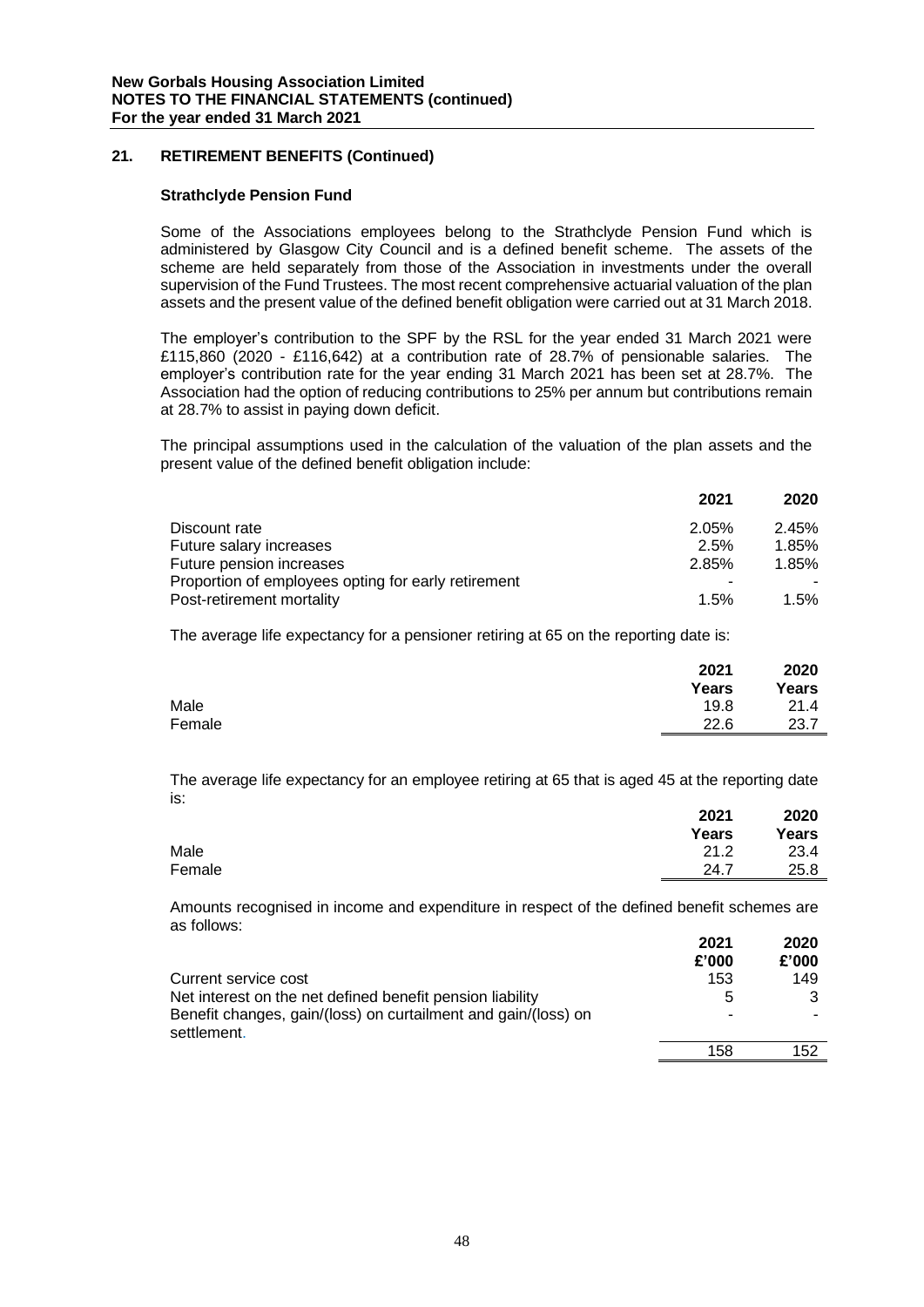# **Strathclyde Pension Fund**

Some of the Associations employees belong to the Strathclyde Pension Fund which is administered by Glasgow City Council and is a defined benefit scheme. The assets of the scheme are held separately from those of the Association in investments under the overall supervision of the Fund Trustees. The most recent comprehensive actuarial valuation of the plan assets and the present value of the defined benefit obligation were carried out at 31 March 2018.

The employer's contribution to the SPF by the RSL for the year ended 31 March 2021 were £115,860 (2020 - £116,642) at a contribution rate of 28.7% of pensionable salaries. The employer's contribution rate for the year ending 31 March 2021 has been set at 28.7%. The Association had the option of reducing contributions to 25% per annum but contributions remain at 28.7% to assist in paying down deficit.

The principal assumptions used in the calculation of the valuation of the plan assets and the present value of the defined benefit obligation include:

|                                                     | 2021  | 2020  |
|-----------------------------------------------------|-------|-------|
| Discount rate                                       | 2.05% | 2.45% |
| Future salary increases                             | 2.5%  | 1.85% |
| Future pension increases                            | 2.85% | 1.85% |
| Proportion of employees opting for early retirement |       |       |
| Post-retirement mortality                           | 1.5%  | 1.5%  |

The average life expectancy for a pensioner retiring at 65 on the reporting date is:

|        | 2021<br>Years | 2020<br>Years |
|--------|---------------|---------------|
| Male   | 19.8          | 21.4          |
| Female | 22.6          | 23.7          |

The average life expectancy for an employee retiring at 65 that is aged 45 at the reporting date is:

|        | 2021  | 2020  |
|--------|-------|-------|
|        | Years | Years |
| Male   | 21.2  | 23.4  |
| Female | 24.7  | 25.8  |
|        |       |       |

Amounts recognised in income and expenditure in respect of the defined benefit schemes are as follows: **2021 2020**

|                                                                               | <b>2021</b><br>£'000 | <b>2020</b><br>£'000 |
|-------------------------------------------------------------------------------|----------------------|----------------------|
| Current service cost                                                          | 153                  | 149                  |
| Net interest on the net defined benefit pension liability                     | 5                    |                      |
| Benefit changes, gain/(loss) on curtailment and gain/(loss) on<br>settlement. | -                    |                      |
|                                                                               | 158                  | 152                  |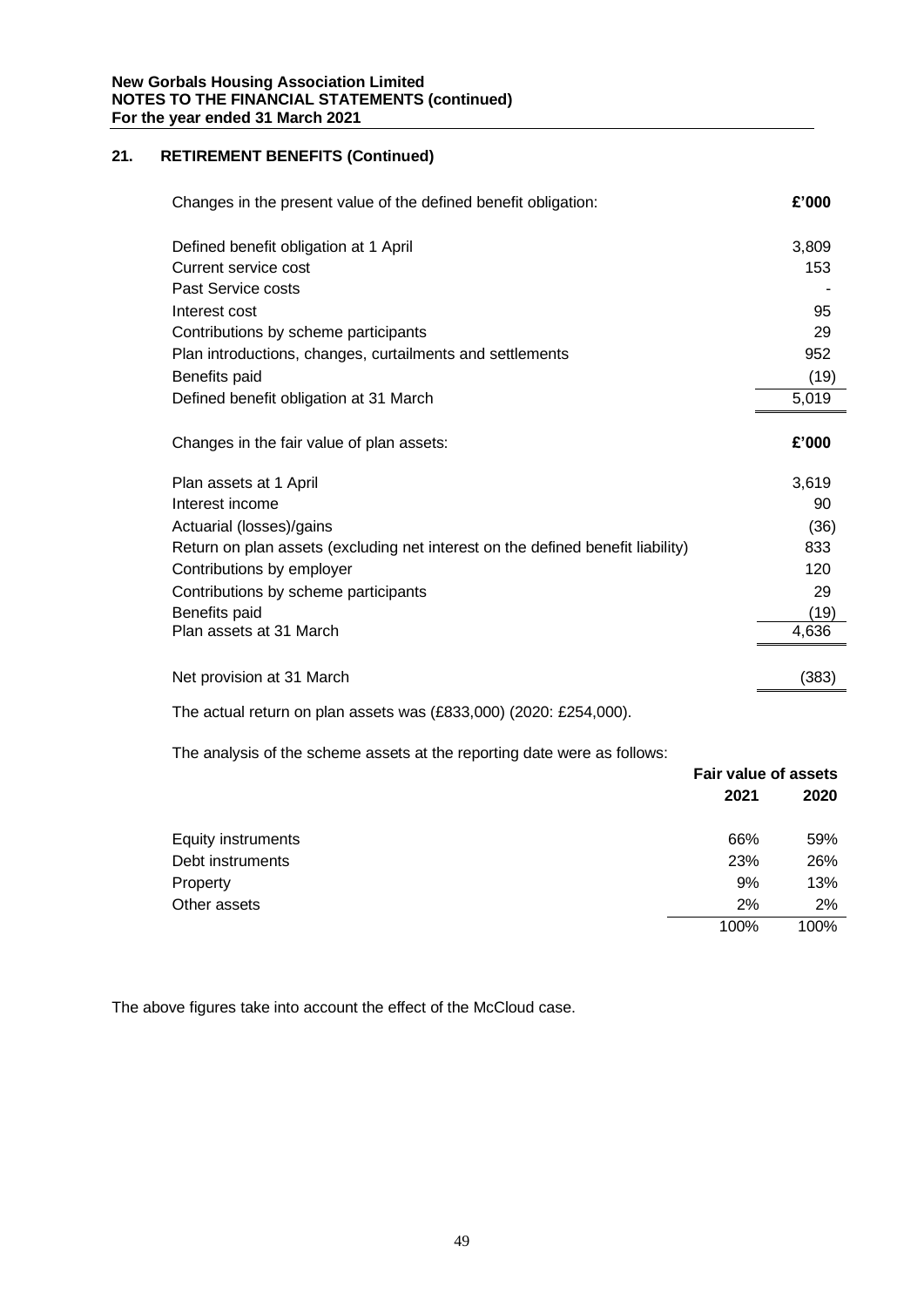| Changes in the present value of the defined benefit obligation:                 | £'000 |
|---------------------------------------------------------------------------------|-------|
| Defined benefit obligation at 1 April                                           | 3,809 |
| Current service cost                                                            | 153   |
| Past Service costs                                                              |       |
| Interest cost                                                                   | 95    |
| Contributions by scheme participants                                            | 29    |
| Plan introductions, changes, curtailments and settlements                       | 952   |
| Benefits paid                                                                   | (19)  |
| Defined benefit obligation at 31 March                                          | 5,019 |
| Changes in the fair value of plan assets:                                       | £'000 |
| Plan assets at 1 April                                                          | 3,619 |
| Interest income                                                                 | 90    |
| Actuarial (losses)/gains                                                        | (36)  |
| Return on plan assets (excluding net interest on the defined benefit liability) | 833   |
| Contributions by employer                                                       | 120   |
| Contributions by scheme participants                                            | 29    |
| Benefits paid                                                                   | (19)  |
| Plan assets at 31 March                                                         | 4,636 |
| Net provision at 31 March                                                       | (383) |

The actual return on plan assets was (£833,000) (2020: £254,000).

The analysis of the scheme assets at the reporting date were as follows:

|                    | <b>Fair value of assets</b> |      |  |
|--------------------|-----------------------------|------|--|
|                    | 2021                        | 2020 |  |
| Equity instruments | 66%                         | 59%  |  |
| Debt instruments   | 23%                         | 26%  |  |
| Property           | 9%                          | 13%  |  |
| Other assets       | 2%                          | 2%   |  |
|                    | 100%                        | 100% |  |

The above figures take into account the effect of the McCloud case.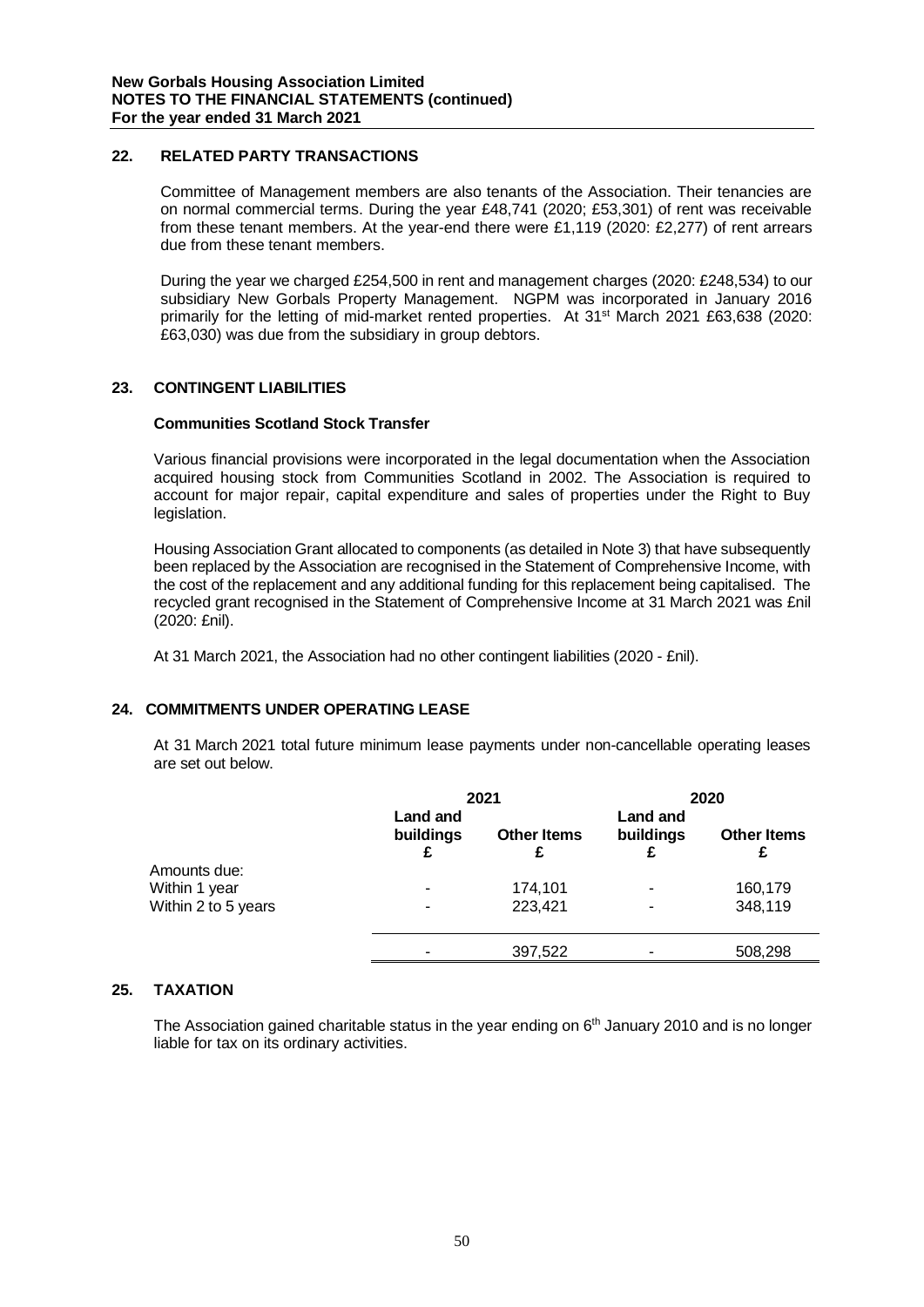# **22. RELATED PARTY TRANSACTIONS**

Committee of Management members are also tenants of the Association. Their tenancies are on normal commercial terms. During the year £48,741 (2020; £53,301) of rent was receivable from these tenant members. At the year-end there were £1,119 (2020: £2,277) of rent arrears due from these tenant members.

During the year we charged £254,500 in rent and management charges (2020: £248,534) to our subsidiary New Gorbals Property Management. NGPM was incorporated in January 2016 primarily for the letting of mid-market rented properties. At 31<sup>st</sup> March 2021 £63,638 (2020: £63,030) was due from the subsidiary in group debtors.

# **23. CONTINGENT LIABILITIES**

# **Communities Scotland Stock Transfer**

Various financial provisions were incorporated in the legal documentation when the Association acquired housing stock from Communities Scotland in 2002. The Association is required to account for major repair, capital expenditure and sales of properties under the Right to Buy legislation.

Housing Association Grant allocated to components (as detailed in Note 3) that have subsequently been replaced by the Association are recognised in the Statement of Comprehensive Income, with the cost of the replacement and any additional funding for this replacement being capitalised. The recycled grant recognised in the Statement of Comprehensive Income at 31 March 2021 was £nil (2020: £nil).

At 31 March 2021, the Association had no other contingent liabilities (2020 - £nil).

# **24. COMMITMENTS UNDER OPERATING LEASE**

At 31 March 2021 total future minimum lease payments under non-cancellable operating leases are set out below.

|                     |                       | 2021               |                              | 2020               |
|---------------------|-----------------------|--------------------|------------------------------|--------------------|
|                     | Land and<br>buildings | <b>Other Items</b> | <b>Land and</b><br>buildings | <b>Other Items</b> |
| Amounts due:        |                       |                    |                              |                    |
| Within 1 year       |                       | 174,101            |                              | 160,179            |
| Within 2 to 5 years |                       | 223,421            | $\overline{\phantom{0}}$     | 348,119            |
|                     |                       | 397,522            |                              | 508,298            |
|                     |                       |                    |                              |                    |

# **25. TAXATION**

The Association gained charitable status in the year ending on 6<sup>th</sup> January 2010 and is no longer liable for tax on its ordinary activities.